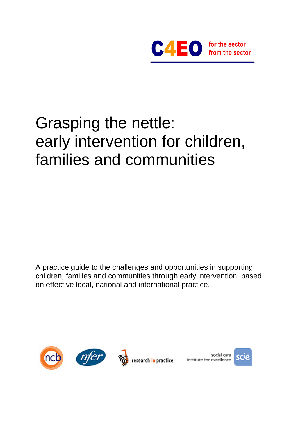

# Grasping the nettle: early intervention for children, families and communities

A practice guide to the challenges and opportunities in supporting children, families and communities through early intervention, based on effective local, national and international practice.







social care institute for excellence

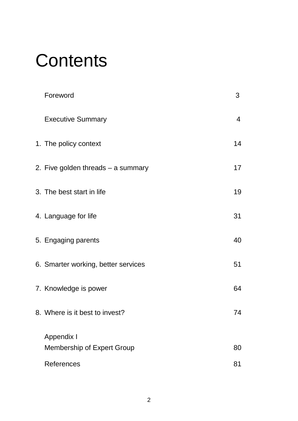# **Contents**

| Foreword                            | 3              |
|-------------------------------------|----------------|
| <b>Executive Summary</b>            | $\overline{4}$ |
| 1. The policy context               | 14             |
| 2. Five golden threads - a summary  | 17             |
| 3. The best start in life           | 19             |
| 4. Language for life                | 31             |
| 5. Engaging parents                 | 40             |
| 6. Smarter working, better services | 51             |
| 7. Knowledge is power               | 64             |
| 8. Where is it best to invest?      | 74             |
| <b>Appendix I</b>                   |                |
| Membership of Expert Group          | 80             |
| References                          | 81             |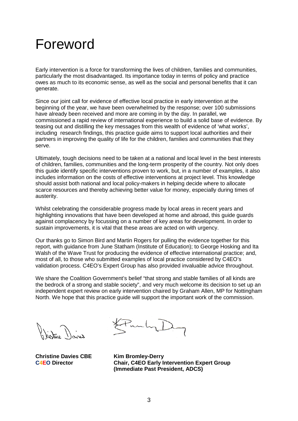## Foreword

Early intervention is a force for transforming the lives of children, families and communities, particularly the most disadvantaged. Its importance today in terms of policy and practice owes as much to its economic sense, as well as the social and personal benefits that it can generate.

Since our joint call for evidence of effective local practice in early intervention at the beginning of the year, we have been overwhelmed by the response; over 100 submissions have already been received and more are coming in by the day. In parallel, we commissioned a rapid review of international experience to build a solid base of evidence. By teasing out and distilling the key messages from this wealth of evidence of 'what works', including research findings, this practice guide aims to support local authorities and their partners in improving the quality of life for the children, families and communities that they serve.

Ultimately, tough decisions need to be taken at a national and local level in the best interests of children, families, communities and the long-term prosperity of the country. Not only does this guide identify specific interventions proven to work, but, in a number of examples, it also includes information on the costs of effective interventions at project level. This knowledge should assist both national and local policy-makers in helping decide where to allocate scarce resources and thereby achieving better value for money, especially during times of austerity.

Whilst celebrating the considerable progress made by local areas in recent years and highlighting innovations that have been developed at home and abroad, this guide guards against complacency by focussing on a number of key areas for development. In order to sustain improvements, it is vital that these areas are acted on with urgency.

Our thanks go to Simon Bird and Martin Rogers for pulling the evidence together for this report, with guidance from June Statham (Institute of Education); to George Hosking and Ita Walsh of the Wave Trust for producing the evidence of effective international practice; and, most of all, to those who submitted examples of local practice considered by C4EO's validation process. C4EO's Expert Group has also provided invaluable advice throughout.

We share the Coalition Government's belief "that strong and stable families of all kinds are the bedrock of a strong and stable society", and very much welcome its decision to set up an independent expert review on early intervention chaired by Graham Allen, MP for Nottingham North. We hope that this practice guide will support the important work of the commission.

**Christine Davies CBE Kim Bromley-Derry**

**C4EO Director Chair, C4EO Early Intervention Expert Group (Immediate Past President, ADCS)**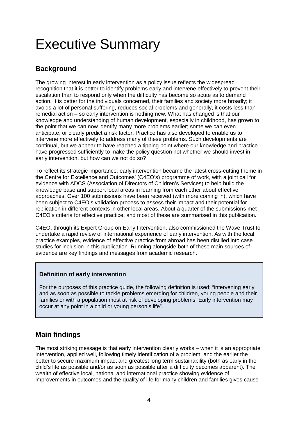## Executive Summary

## **Background**

The growing interest in early intervention as a policy issue reflects the widespread recognition that it is better to identify problems early and intervene effectively to prevent their escalation than to respond only when the difficulty has become so acute as to demand action. It is better for the individuals concerned, their families and society more broadly; it avoids a lot of personal suffering, reduces social problems and generally, it costs less than remedial action – so early intervention is nothing new. What has changed is that our knowledge and understanding of human development, especially in childhood, has grown to the point that we can now identify many more problems earlier; some we can even anticipate, or clearly predict a risk factor. Practice has also developed to enable us to intervene more effectively to address many of these problems. Such developments are continual, but we appear to have reached a tipping point where our knowledge and practice have progressed sufficiently to make the policy question not whether we should invest in early intervention, but how can we not do so?

To reflect its strategic importance, early intervention became the latest cross-cutting theme in the Centre for Excellence and Outcomes' (C4EO's) programme of work, with a joint call for evidence with ADCS (Association of Directors of Children's Services) to help build the knowledge base and support local areas in learning from each other about effective approaches. Over 100 submissions have been received (with more coming in), which have been subject to C4EO's validation process to assess their impact and their potential for replication in different contexts in other local areas. About a quarter of the submissions met C4EO's criteria for effective practice, and most of these are summarised in this publication.

C4EO, through its Expert Group on Early Intervention, also commissioned the Wave Trust to undertake a rapid review of international experience of early intervention. As with the local practice examples, evidence of effective practice from abroad has been distilled into case studies for inclusion in this publication. Running alongside both of these main sources of evidence are key findings and messages from academic research.

#### **Definition of early intervention**

For the purposes of this practice guide, the following definition is used: "intervening early and as soon as possible to tackle problems emerging for children, young people and their families or with a population most at risk of developing problems. Early intervention may occur at any point in a child or young person's life".

## **Main findings**

The most striking message is that early intervention clearly works – when it is an appropriate intervention, applied well, following timely identification of a problem; and the earlier the better to secure maximum impact and greatest long term sustainability (both as early in the child's life as possible and/or as soon as possible after a difficulty becomes apparent). The wealth of effective local, national and international practice showing evidence of improvements in outcomes and the quality of life for many children and families gives cause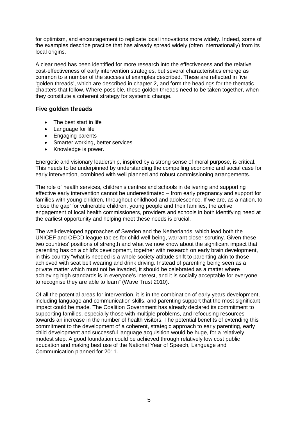for optimism, and encouragement to replicate local innovations more widely. Indeed, some of the examples describe practice that has already spread widely (often internationally) from its local origins.

A clear need has been identified for more research into the effectiveness and the relative cost-effectiveness of early intervention strategies, but several characteristics emerge as common to a number of the successful examples described. These are reflected in five 'golden threads', which are described in chapter 2, and form the headings for the thematic chapters that follow. Where possible, these golden threads need to be taken together, when they constitute a coherent strategy for systemic change.

#### **Five golden threads**

- The best start in life
- Language for life
- Engaging parents
- Smarter working, better services
- Knowledge is power.

Energetic and visionary leadership, inspired by a strong sense of moral purpose, is critical. This needs to be underpinned by understanding the compelling economic and social case for early intervention, combined with well planned and robust commissioning arrangements.

The role of health services, children's centres and schools in delivering and supporting effective early intervention cannot be underestimated – from early pregnancy and support for families with young children, throughout childhood and adolescence. If we are, as a nation, to 'close the gap' for vulnerable children, young people and their families, the active engagement of local health commissioners, providers and schools in both identifying need at the earliest opportunity and helping meet these needs is crucial.

The well-developed approaches of Sweden and the Netherlands, which lead both the UNICEF and OECD league tables for child well-being, warrant closer scrutiny. Given these two countries' positions of strength and what we now know about the significant impact that parenting has on a child's development, together with research on early brain development, in this country "what is needed is a whole society attitude shift to parenting akin to those achieved with seat belt wearing and drink driving. Instead of parenting being seen as a private matter which must not be invaded, it should be celebrated as a matter where achieving high standards is in everyone's interest, and it is socially acceptable for everyone to recognise they are able to learn" (Wave Trust 2010).

Of all the potential areas for intervention, it is in the combination of early years development, including language and communication skills, and parenting support that the most significant impact could be made. The Coalition Government has already declared its commitment to supporting families, especially those with multiple problems, and refocusing resources towards an increase in the number of health visitors. The potential benefits of extending this commitment to the development of a coherent, strategic approach to early parenting, early child development and successful language acquisition would be huge, for a relatively modest step. A good foundation could be achieved through relatively low cost public education and making best use of the National Year of Speech, Language and Communication planned for 2011.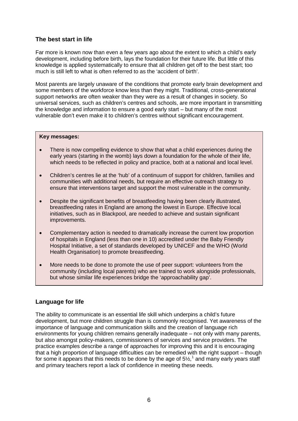#### **The best start in life**

Far more is known now than even a few years ago about the extent to which a child's early development, including before birth, lays the foundation for their future life. But little of this knowledge is applied systematically to ensure that all children get off to the best start; too much is still left to what is often referred to as the 'accident of birth'.

Most parents are largely unaware of the conditions that promote early brain development and some members of the workforce know less than they might. Traditional, cross-generational support networks are often weaker than they were as a result of changes in society. So universal services, such as children's centres and schools, are more important in transmitting the knowledge and information to ensure a good early start – but many of the most vulnerable don't even make it to children's centres without significant encouragement.

#### **Key messages:**

- There is now compelling evidence to show that what a child experiences during the early years (starting in the womb) lays down a foundation for the whole of their life, which needs to be reflected in policy and practice, both at a national and local level.
- Children's centres lie at the 'hub' of a continuum of support for children, families and communities with additional needs, but require an effective outreach strategy to ensure that interventions target and support the most vulnerable in the community.
- Despite the significant benefits of breastfeeding having been clearly illustrated. breastfeeding rates in England are among the lowest in Europe. Effective local initiatives, such as in Blackpool, are needed to achieve and sustain significant improvements.
- Complementary action is needed to dramatically increase the current low proportion of hospitals in England (less than one in 10) accredited under the Baby Friendly Hospital Initiative, a set of standards developed by UNICEF and the WHO (World Health Organisation) to promote breastfeeding.
- More needs to be done to promote the use of peer support: volunteers from the community (including local parents) who are trained to work alongside professionals, but whose similar life experiences bridge the 'approachability gap'.

#### **Language for life**

The ability to communicate is an essential life skill which underpins a child's future development, but more children struggle than is commonly recognised. Yet awareness of the importance of language and communication skills and the creation of language rich environments for young children remains generally inadequate – not only with many parents, but also amongst policy-makers, commissioners of services and service providers. The practice examples describe a range of approaches for improving this and it is encouraging that a high proportion of language difficulties can be remedied with the right support – though for some it appears that this needs to be done by the age of  $5\frac{\frac{1}{2}}{1}$  $5\frac{\frac{1}{2}}{1}$  $5\frac{\frac{1}{2}}{1}$  and many early years staff and primary teachers report a lack of confidence in meeting these needs.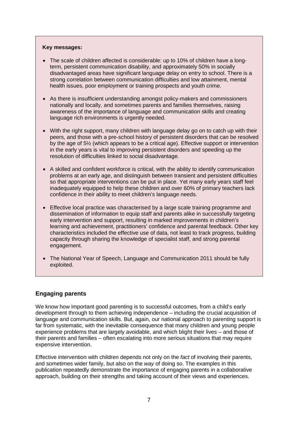#### **Key messages:**

- The scale of children affected is considerable: up to 10% of children have a longterm, persistent communication disability, and approximately 50% in socially disadvantaged areas have significant language delay on entry to school. There is a strong correlation between communication difficulties and low attainment, mental health issues, poor employment or training prospects and youth crime.
- As there is insufficient understanding amongst policy-makers and commissioners nationally and locally, and sometimes parents and families themselves, raising awareness of the importance of language and communication skills and creating language rich environments is urgently needed.
- With the right support, many children with language delay go on to catch up with their peers, and those with a pre-school history of persistent disorders that can be resolved by the age of 5½ (which appears to be a critical age). Effective support or intervention in the early years is vital to improving persistent disorders and speeding up the resolution of difficulties linked to social disadvantage.
- A skilled and confident workforce is critical, with the ability to identify communication problems at an early age, and distinguish between transient and persistent difficulties so that appropriate interventions can be put in place. Yet many early years staff feel inadequately equipped to help these children and over 60% of primary teachers lack confidence in their ability to meet children's language needs.
- Effective local practice was characterised by a large scale training programme and dissemination of information to equip staff and parents alike in successfully targeting early intervention and support, resulting in marked improvements in children's learning and achievement, practitioners' confidence and parental feedback. Other key characteristics included the effective use of data, not least to track progress, building capacity through sharing the knowledge of specialist staff, and strong parental engagement.
- The National Year of Speech, Language and Communication 2011 should be fully exploited.

#### **Engaging parents**

We know how important good parenting is to successful outcomes, from a child's early development through to them achieving independence – including the crucial acquisition of language and communication skills. But, again, our national approach to parenting support is far from systematic, with the inevitable consequence that many children and young people experience problems that are largely avoidable, and which blight their lives – and those of their parents and families – often escalating into more serious situations that may require expensive intervention.

Effective intervention with children depends not only on the *fact* of involving their parents, and sometimes wider family, but also on the *way* of doing so. The examples in this publication repeatedly demonstrate the importance of engaging parents in a collaborative approach, building on their strengths and taking account of their views and experiences.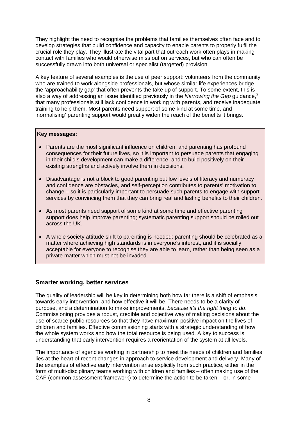They highlight the need to recognise the problems that families themselves often face and to develop strategies that build confidence and capacity to enable parents to properly fulfil the crucial role they play. They illustrate the vital part that outreach work often plays in making contact with families who would otherwise miss out on services, but who can often be successfully drawn into both universal or specialist (targeted) provision.

A key feature of several examples is the use of peer support: volunteers from the community who are trained to work alongside professionals, but whose similar life experiences bridge the 'approachability gap' that often prevents the take up of support. To some extent, this is also a way of addressing an issue identified previously in the *Narrowing the Gap* guidance,<sup>[2](#page-80-1)</sup> that many professionals still lack confidence in working with parents, and receive inadequate training to help them. Most parents need support of some kind at some time, and 'normalising' parenting support would greatly widen the reach of the benefits it brings.

#### **Key messages:**

- Parents are the most significant influence on children, and parenting has profound consequences for their future lives, so it is important to persuade parents that engaging in their child's development can make a difference, and to build positively on their existing strengths and actively involve them in decisions.
- Disadvantage is not a block to good parenting but low levels of literacy and numeracy and confidence are obstacles, and self-perception contributes to parents' motivation to change – so it is particularly important to persuade such parents to engage with support services by convincing them that they can bring real and lasting benefits to their children.
- As most parents need support of some kind at some time and effective parenting support does help improve parenting; systematic parenting support should be rolled out across the UK.
- A whole society attitude shift to parenting is needed: parenting should be celebrated as a matter where achieving high standards is in everyone's interest, and it is socially acceptable for everyone to recognise they are able to learn, rather than being seen as a private matter which must not be invaded.

#### **Smarter working, better services**

The quality of leadership will be key in determining both how far there is a shift of emphasis towards early intervention, and how effective it will be. There needs to be a clarity of purpose, and a determination to make improvements, *because it's the right thing to do*. Commissioning provides a robust, credible and objective way of making decisions about the use of scarce public resources so that they have maximum positive impact on the lives of children and families. Effective commissioning starts with a strategic understanding of how the whole system works and how the total resource is being used. A key to success is understanding that early intervention requires a reorientation of the system at all levels.

The importance of agencies working in partnership to meet the needs of children and families lies at the heart of recent changes in approach to service development and delivery. Many of the examples of effective early intervention arise explicitly from such practice, either in the form of multi-disciplinary teams working with children and families – often making use of the CAF (common assessment framework) to determine the action to be taken – or, in some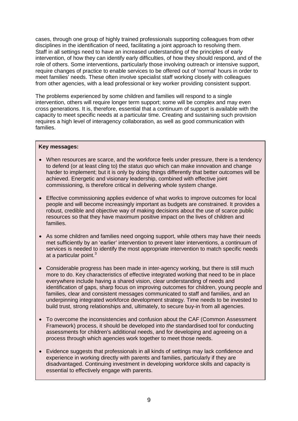cases, through one group of highly trained professionals supporting colleagues from other disciplines in the identification of need, facilitating a joint approach to resolving them. Staff in all settings need to have an increased understanding of the principles of early intervention, of how they can identify early difficulties, of how they should respond, and of the role of others. Some interventions, particularly those involving outreach or intensive support, require changes of practice to enable services to be offered out of 'normal' hours in order to meet families' needs. These often involve specialist staff working closely with colleagues from other agencies, with a lead professional or key worker providing consistent support.

The problems experienced by some children and families will respond to a single intervention, others will require longer term support; some will be complex and may even cross generations. It is, therefore, essential that a continuum of support is available with the capacity to meet specific needs at a particular time. Creating and sustaining such provision requires a high level of interagency collaboration, as well as good communication with families.

#### **Key messages:**

- When resources are scarce, and the workforce feels under pressure, there is a tendency to defend (or at least cling to) the *status quo* which can make innovation and change harder to implement; but it is only by doing things differently that better outcomes will be achieved. Energetic and visionary leadership, combined with effective joint commissioning, is therefore critical in delivering whole system change.
- Effective commissioning applies evidence of what works to improve outcomes for local people and will become increasingly important as budgets are constrained. It provides a robust, credible and objective way of making decisions about the use of scarce public resources so that they have maximum positive impact on the lives of children and families.
- As some children and families need ongoing support, while others may have their needs met sufficiently by an 'earlier' intervention to prevent later interventions, a continuum of services is needed to identify the most appropriate intervention to match specific needs at a particular point.<sup>[3](#page-80-2)</sup>
- Considerable progress has been made in inter-agency working, but there is still much more to do. Key characteristics of effective integrated working that need to be in place everywhere include having a shared vision, clear understanding of needs and identification of gaps, sharp focus on improving outcomes for children, young people and families, clear and consistent messages communicated to staff and families, and an underpinning integrated workforce development strategy. Time needs to be invested to build trust, strong relationships and, ultimately, to secure buy-in from all agencies.
- To overcome the inconsistencies and confusion about the CAF (Common Assessment Framework) process, it should be developed into *the* standardised tool for conducting assessments for children's additional needs, and for developing and agreeing on a process through which agencies work together to meet those needs.
- Evidence suggests that professionals in all kinds of settings may lack confidence and experience in working directly with parents and families, particularly if they are disadvantaged. Continuing investment in developing workforce skills and capacity is essential to effectively engage with parents.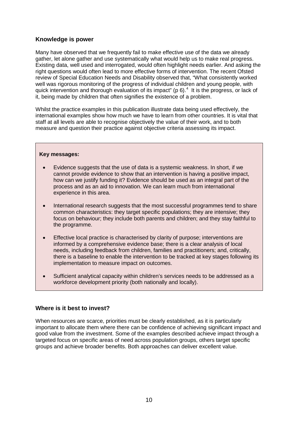#### **Knowledge is power**

Many have observed that we frequently fail to make effective use of the data we already gather, let alone gather and use systematically what would help us to make real progress. Existing data, well used and interrogated, would often highlight needs earlier. And asking the right questions would often lead to more effective forms of intervention. The recent Ofsted review of Special Education Needs and Disability observed that, "What consistently worked well was rigorous monitoring of the progress of individual children and young people, with quick intervention and thorough evaluation of its impact" (p 6).<sup>[4](#page-80-3)</sup> It is the progress, or lack of it, being made by children that often signifies the existence of a problem.

Whilst the practice examples in this publication illustrate data being used effectively, the international examples show how much we have to learn from other countries. It is vital that staff at all levels are able to recognise objectively the value of their work, and to both measure and question their practice against objective criteria assessing its impact.

#### **Key messages:**

- Evidence suggests that the use of data is a systemic weakness. In short, if we cannot provide evidence to show that an intervention is having a positive impact, how can we justify funding it? Evidence should be used as an integral part of the process and as an aid to innovation. We can learn much from international experience in this area.
- International research suggests that the most successful programmes tend to share common characteristics: they target specific populations; they are intensive; they focus on behaviour; they include both parents and children; and they stay faithful to the programme.
- Effective local practice is characterised by clarity of purpose; interventions are informed by a comprehensive evidence base; there is a clear analysis of local needs, including feedback from children, families and practitioners; and, critically, there is a baseline to enable the intervention to be tracked at key stages following its implementation to measure impact on outcomes.
- Sufficient analytical capacity within children's services needs to be addressed as a workforce development priority (both nationally and locally).

#### **Where is it best to invest?**

When resources are scarce, priorities must be clearly established, as it is particularly important to allocate them where there can be confidence of achieving significant impact and good value from the investment. Some of the examples described achieve impact through a targeted focus on specific areas of need across population groups, others target specific groups and achieve broader benefits. Both approaches can deliver excellent value.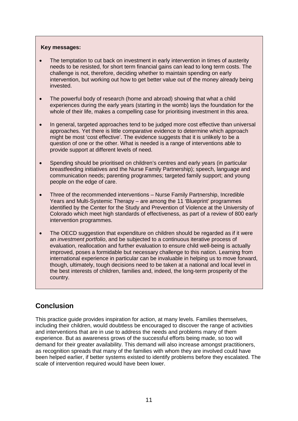#### **Key messages:**

- The temptation to cut back on investment in early intervention in times of austerity needs to be resisted, for short term financial gains can lead to long term costs. The challenge is not, therefore, deciding whether to maintain spending on early intervention, but working out how to get better value out of the money already being invested.
- The powerful body of research (home and abroad) showing that what a child experiences during the early years (starting in the womb) lays the foundation for the whole of their life, makes a compelling case for prioritising investment in this area.
- In general, targeted approaches tend to be judged more cost effective than universal approaches. Yet there is little comparative evidence to determine which approach might be most 'cost effective'. The evidence suggests that it is unlikely to be a question of one or the other. What is needed is a range of interventions able to provide support at different levels of need.
- Spending should be prioritised on children's centres and early years (in particular breastfeeding initiatives and the Nurse Family Partnership); speech, language and communication needs; parenting programmes; targeted family support; and young people on the edge of care.
- Three of the recommended interventions Nurse Family Partnership, Incredible Years and Multi-Systemic Therapy – are among the 11 'Blueprint' programmes identified by the Center for the Study and Prevention of Violence at the University of Colorado which meet high standards of effectiveness, as part of a review of 800 early intervention programmes.
- The OECD suggestion that expenditure on children should be regarded as if it were an *investment portfolio*, and be subjected to a continuous iterative process of evaluation, reallocation and further evaluation to ensure child well-being is actually improved, poses a formidable but necessary challenge to this nation. Learning from international experience in particular can be invaluable in helping us to move forward, though, ultimately, tough decisions need to be taken at a national and local level in the best interests of children, families and, indeed, the long-term prosperity of the country.

## **Conclusion**

This practice guide provides inspiration for action, at many levels. Families themselves, including their children, would doubtless be encouraged to discover the range of activities and interventions that are in use to address the needs and problems many of them experience. But as awareness grows of the successful efforts being made, so too will demand for their greater availability. This demand will also increase amongst practitioners, as recognition spreads that many of the families with whom they are involved could have been helped earlier, if better systems existed to identify problems before they escalated. The scale of intervention required would have been lower.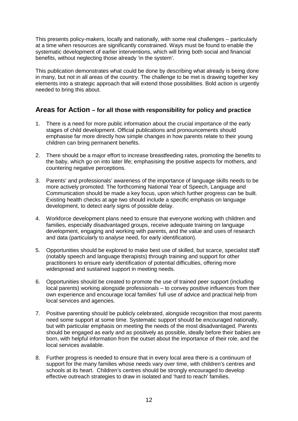This presents policy-makers, locally and nationally, with some real challenges – particularly at a time when resources are significantly constrained. Ways must be found to enable the systematic development of earlier interventions, which will bring both social and financial benefits, without neglecting those already 'in the system'.

This publication demonstrates what could be done by describing what already is being done in many, but not in all areas of the country. The challenge to be met is drawing together key elements into a strategic approach that will extend those possibilities. Bold action is urgently needed to bring this about.

### **Areas for Action – for all those with responsibility for policy and practice**

- 1. There is a need for more public information about the crucial importance of the early stages of child development. Official publications and pronouncements should emphasise far more directly how simple changes in how parents relate to their young children can bring permanent benefits.
- 2. There should be a major effort to increase breastfeeding rates, promoting the benefits to the baby, which go on into later life; emphasising the positive aspects for mothers, and countering negative perceptions.
- 3. Parents' and professionals' awareness of the importance of language skills needs to be more actively promoted. The forthcoming National Year of Speech, Language and Communication should be made a key focus, upon which further progress can be built. Existing health checks at age two should include a specific emphasis on language development, to detect early signs of possible delay.
- 4. Workforce development plans need to ensure that everyone working with children and families, especially disadvantaged groups, receive adequate training on language development, engaging and working with parents, and the value and uses of research and data (particularly to analyse need, for early identification).
- 5. Opportunities should be explored to make best use of skilled, but scarce, specialist staff (notably speech and language therapists) through training and support for other practitioners to ensure early identification of potential difficulties, offering more widespread and sustained support in meeting needs.
- 6. Opportunities should be created to promote the use of trained peer support (including local parents) working alongside professionals – to convey positive influences from their own experience and encourage local families' full use of advice and practical help from local services and agencies.
- 7. Positive parenting should be publicly celebrated, alongside recognition that most parents need some support at some time. Systematic support should be encouraged nationally, but with particular emphasis on meeting the needs of the most disadvantaged. Parents should be engaged as early and as positively as possible, ideally before their babies are born, with helpful information from the outset about the importance of their role, and the local services available.
- 8. Further progress is needed to ensure that in every local area there is a continuum of support for the many families whose needs vary over time, with children's centres and schools at its heart. Children's centres should be strongly encouraged to develop effective outreach strategies to draw in isolated and 'hard to reach' families.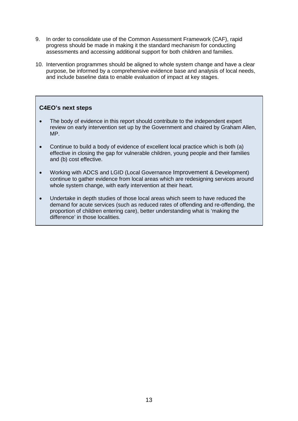- 9. In order to consolidate use of the Common Assessment Framework (CAF), rapid progress should be made in making it the standard mechanism for conducting assessments and accessing additional support for both children and families.
- 10. Intervention programmes should be aligned to whole system change and have a clear purpose, be informed by a comprehensive evidence base and analysis of local needs, and include baseline data to enable evaluation of impact at key stages.

#### **C4EO's next steps**

- The body of evidence in this report should contribute to the independent expert review on early intervention set up by the Government and chaired by Graham Allen, MP.
- Continue to build a body of evidence of excellent local practice which is both (a) effective in closing the gap for vulnerable children, young people and their families and (b) cost effective.
- Working with ADCS and LGID (Local Governance Improvement & Development) continue to gather evidence from local areas which are redesigning services around whole system change, with early intervention at their heart.
- Undertake in depth studies of those local areas which seem to have reduced the demand for acute services (such as reduced rates of offending and re-offending, the proportion of children entering care), better understanding what is 'making the difference' in those localities.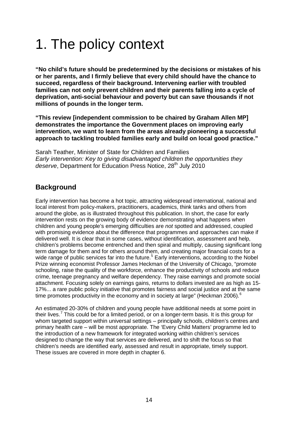# 1. The policy context

**"No child's future should be predetermined by the decisions or mistakes of his or her parents, and I firmly believe that every child should have the chance to succeed, regardless of their background. Intervening earlier with troubled families can not only prevent children and their parents falling into a cycle of deprivation, anti-social behaviour and poverty but can save thousands if not millions of pounds in the longer term.**

**"This review [independent commission to be chaired by Graham Allen MP] demonstrates the importance the Government places on improving early intervention, we want to learn from the areas already pioneering a successful approach to tackling troubled families early and build on local good practice."**

Sarah Teather, Minister of State for Children and Families *Early intervention: Key to giving disadvantaged children the opportunities they*  deserve, Department for Education Press Notice, 28<sup>th</sup> July 2010

## **Background**

Early intervention has become a hot topic, attracting widespread international, national and local interest from policy-makers, practitioners, academics, think tanks and others from around the globe, as is illustrated throughout this publication. In short, the case for early intervention rests on the growing body of evidence demonstrating what happens when children and young people's emerging difficulties are *not* spotted and addressed, coupled with promising evidence about the difference that programmes and approaches can make if delivered well. It is clear that in some cases, without identification, assessment and help, children's problems become entrenched and then spiral and multiply, causing significant long term damage for them and for others around them, and creating major financial costs for a wide range of public services far into the future.<sup>[5](#page-80-4)</sup> Early interventions, according to the Nobel Prize winning economist Professor James Heckman of the University of Chicago, "promote schooling, raise the quality of the workforce, enhance the productivity of schools and reduce crime, teenage pregnancy and welfare dependency. They raise earnings and promote social attachment. Focusing solely on earnings gains, returns to dollars invested are as high as 15- 17%... a rare public policy initiative that promotes fairness and social justice and at the same time promotes productivity in the economy and in society at large" (Heckman 200[6](#page-80-5)).<sup>6</sup>

An estimated 20-30% of children and young people have additional needs at some point in their lives.[7](#page-80-6) This could be for a limited period, or on a longer-term basis. It is this group for whom targeted support within universal settings – principally schools, children's centres and primary health care – will be most appropriate. The 'Every Child Matters' programme led to the introduction of a new framework for integrated working within children's services designed to change the way that services are delivered, and to shift the focus so that children's needs are identified early, assessed and result in appropriate, timely support. These issues are covered in more depth in chapter 6.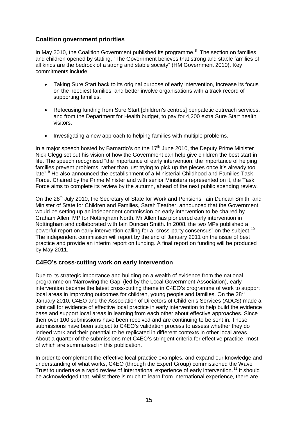#### **Coalition government priorities**

In May 2010, the Coalition Government published its programme.<sup>[8](#page-80-7)</sup> The section on families and children opened by stating, "The Government believes that strong and stable families of all kinds are the bedrock of a strong and stable society" (HM Government 2010). Key commitments include:

- Taking Sure Start back to its original purpose of early intervention, increase its focus on the neediest families, and better involve organisations with a track record of supporting families.
- Refocusing funding from Sure Start [children's centres] peripatetic outreach services, and from the Department for Health budget, to pay for 4,200 extra Sure Start health visitors.
- Investigating a new approach to helping families with multiple problems.

In a major speech hosted by Barnardo's on the  $17<sup>th</sup>$  June 2010, the Deputy Prime Minister Nick Clegg set out his vision of how the Government can help give children the best start in life. The speech recognised "the importance of early intervention; the importance of helping families prevent problems, rather than just trying to pick up the pieces once it's already too late".<sup>[9](#page-80-8)</sup> He also announced the establishment of a Ministerial Childhood and Families Task Force. Chaired by the Prime Minister and with senior Ministers represented on it, the Task Force aims to complete its review by the autumn, ahead of the next public spending review.

On the 28<sup>th</sup> July 2010, the Secretary of State for Work and Pensions, Iain Duncan Smith, and Minister of State for Children and Families, Sarah Teather, announced that the Government would be setting up an independent commission on early intervention to be chaired by Graham Allen, MP for Nottingham North. Mr Allen has pioneered early intervention in Nottingham and collaborated with Iain Duncan Smith. In 2008, the two MPs published a powerful report on early intervention calling for a "cross-party consensus" on the subject.<sup>[10](#page-80-9)</sup> The independent commission will report by the end of January 2011 on the issue of best practice and provide an interim report on funding. A final report on funding will be produced by May 2011.

#### **C4EO's cross-cutting work on early intervention**

Due to its strategic importance and building on a wealth of evidence from the national programme on 'Narrowing the Gap' (led by the Local Government Association), early intervention became the latest cross-cutting theme in C4EO's programme of work to support local areas in improving outcomes for children, young people and families. On the 28<sup>th</sup> January 2010, C4EO and the Association of Directors of Children's Services (ADCS) made a joint call for evidence of effective local practice in early intervention to help build the evidence base and support local areas in learning from each other about effective approaches. Since then over 100 submissions have been received and are continuing to be sent in. These submissions have been subject to C4EO's validation process to assess whether they do indeed work and their potential to be replicated in different contexts in other local areas. About a quarter of the submissions met C4EO's stringent criteria for effective practice, most of which are summarised in this publication.

In order to complement the effective local practice examples, and expand our knowledge and understanding of what works, C4EO (through the Expert Group) commissioned the Wave Trust to undertake a rapid review of international experience of early intervention.<sup>[11](#page-80-10)</sup> It should be acknowledged that, whilst there is much to learn from international experience, there are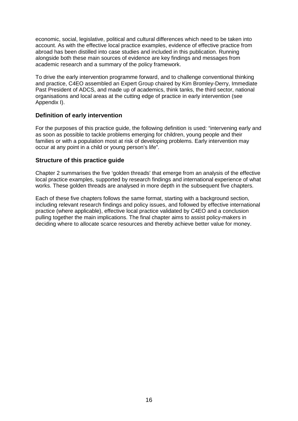economic, social, legislative, political and cultural differences which need to be taken into account. As with the effective local practice examples, evidence of effective practice from abroad has been distilled into case studies and included in this publication. Running alongside both these main sources of evidence are key findings and messages from academic research and a summary of the policy framework.

To drive the early intervention programme forward, and to challenge conventional thinking and practice, C4EO assembled an Expert Group chaired by Kim Bromley-Derry, Immediate Past President of ADCS, and made up of academics, think tanks, the third sector, national organisations and local areas at the cutting edge of practice in early intervention (see Appendix I).

#### **Definition of early intervention**

For the purposes of this practice guide, the following definition is used: "intervening early and as soon as possible to tackle problems emerging for children, young people and their families or with a population most at risk of developing problems. Early intervention may occur at any point in a child or young person's life".

#### **Structure of this practice guide**

Chapter 2 summarises the five 'golden threads' that emerge from an analysis of the effective local practice examples, supported by research findings and international experience of what works. These golden threads are analysed in more depth in the subsequent five chapters.

Each of these five chapters follows the same format, starting with a background section, including relevant research findings and policy issues, and followed by effective international practice (where applicable), effective local practice validated by C4EO and a conclusion pulling together the main implications. The final chapter aims to assist policy-makers in deciding where to allocate scarce resources and thereby achieve better value for money.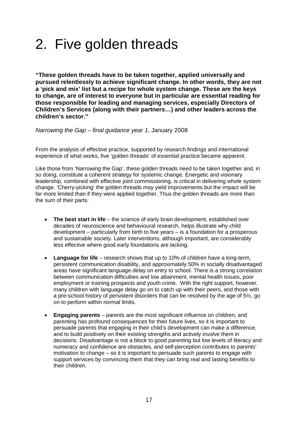## 2. Five golden threads

**"These golden threads have to be taken together, applied universally and pursued relentlessly to achieve significant change. In other words, they are not a 'pick and mix' list but a recipe for whole system change. These are the keys to change, are of interest to everyone but in particular are essential reading for those responsible for leading and managing services, especially Directors of Children's Services (along with their partners…) and other leaders across the children's sector."**

*Narrowing the Gap – final guidance year 1*, January 2008

From the analysis of effective practice, supported by research findings and international experience of what works, five 'golden threads' of essential practice became apparent.

Like those from 'Narrowing the Gap', these golden threads need to be taken together and, in so doing, constitute a coherent strategy for systemic change. Energetic and visionary leadership, combined with effective joint commissioning, is critical in delivering whole system change. 'Cherry-picking' the golden threads may yield improvements but the impact will be far more limited than if they were applied together. Thus the golden threads are more than the sum of their parts.

- **The best start in life** the science of early brain development, established over decades of neuroscience and behavioural research, helps illustrate why child development – particularly from birth to five years – is a foundation for a prosperous and sustainable society. Later interventions, although important, are considerably less effective where good early foundations are lacking.
- **Language for life** research shows that up to 10% of children have a long-term, persistent communication disability, and approximately 50% in socially disadvantaged areas have significant language delay on entry to school. There is a strong correlation between communication difficulties and low attainment, mental health issues, poor employment or training prospects and youth crime. With the right support, however, many children with language delay go on to catch up with their peers, and those with a pre-school history of persistent disorders that can be resolved by the age of 5½, go on to perform within normal limits.
- **Engaging parents** parents are the most significant influence on children, and parenting has profound consequences for their future lives, so it is important to persuade parents that engaging in their child's development can make a difference, and to build positively on their existing strengths and actively involve them in decisions. Disadvantage is not a block to good parenting but low levels of literacy and numeracy and confidence are obstacles, and self-perception contributes to parents' motivation to change – so it is important to persuade such parents to engage with support services by convincing them that they can bring real and lasting benefits to their children.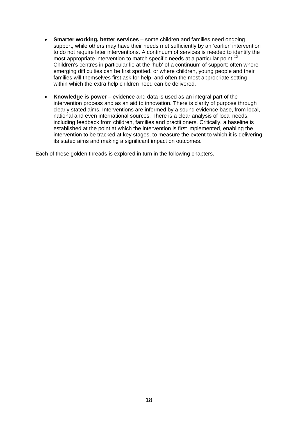- **Smarter working, better services** some children and families need ongoing support, while others may have their needs met sufficiently by an 'earlier' intervention to do not require later interventions. A continuum of services is needed to identify the most appropriate intervention to match specific needs at a particular point.<sup>[12](#page-80-11)</sup> Children's centres in particular lie at the 'hub' of a continuum of support: often where emerging difficulties can be first spotted, or where children, young people and their families will themselves first ask for help, and often the most appropriate setting within which the extra help children need can be delivered.
- **Knowledge is power** evidence and data is used as an integral part of the intervention process and as an aid to innovation. There is clarity of purpose through clearly stated aims. Interventions are informed by a sound evidence base, from local, national and even international sources. There is a clear analysis of local needs, including feedback from children, families and practitioners. Critically, a baseline is established at the point at which the intervention is first implemented, enabling the intervention to be tracked at key stages, to measure the extent to which it is delivering its stated aims and making a significant impact on outcomes.

Each of these golden threads is explored in turn in the following chapters.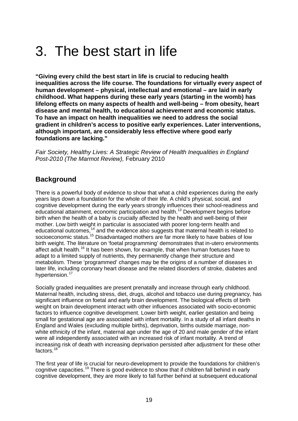## 3. The best start in life

**"Giving every child the best start in life is crucial to reducing health inequalities across the life course. The foundations for virtually every aspect of human development – physical, intellectual and emotional – are laid in early childhood. What happens during these early years (starting in the womb) has lifelong effects on many aspects of health and well-being – from obesity, heart disease and mental health, to educational achievement and economic status. To have an impact on health inequalities we need to address the social gradient in children's access to positive early experiences. Later interventions, although important, are considerably less effective where good early foundations are lacking."**

*Fair Society, Healthy Lives: A Strategic Review of Health Inequalities in England Post-2010 (The Marmot Review),* February 2010

## **Background**

There is a powerful body of evidence to show that what a child experiences during the early years lays down a foundation for the whole of their life. A child's physical, social, and cognitive development during the early years strongly influences their school-readiness and educational attainment, economic participation and health.<sup>[13](#page-80-12)</sup> Development begins before birth when the health of a baby is crucially affected by the health and well-being of their mother. Low birth weight in particular is associated with poorer long-term health and educational outcomes,<sup>[14](#page-80-13)</sup> and the evidence also suggests that maternal health is related to socioeconomic status.<sup>[15](#page-80-14)</sup> Disadvantaged mothers are far more likely to have babies of low birth weight. The literature on 'foetal programming' demonstrates that in-utero environments affect adult health.<sup>[16](#page-80-15)</sup> It has been shown, for example, that when human foetuses have to adapt to a limited supply of nutrients, they permanently change their structure and metabolism. These 'programmed' changes may be the origins of a number of diseases in later life, including coronary heart disease and the related disorders of stroke, diabetes and hypertension.<sup>[17](#page-80-16)</sup>

Socially graded inequalities are present prenatally and increase through early childhood. Maternal health, including stress, diet, drugs, alcohol and tobacco use during pregnancy, has significant influence on foetal and early brain development. The biological effects of birth weight on brain development interact with other influences associated with socio-economic factors to influence cognitive development. Lower birth weight, earlier gestation and being small for gestational age are associated with infant mortality. In a study of all infant deaths in England and Wales (excluding multiple births), deprivation, births outside marriage, nonwhite ethnicity of the infant, maternal age under the age of 20 and male gender of the infant were all independently associated with an increased risk of infant mortality. A trend of increasing risk of death with increasing deprivation persisted after adjustment for these other factors.<sup>[18](#page-80-17)</sup>

The first year of life is crucial for neuro-development to provide the foundations for children's cognitive capacities.<sup>[19](#page-80-18)</sup> There is good evidence to show that if children fall behind in early cognitive development, they are more likely to fall further behind at subsequent educational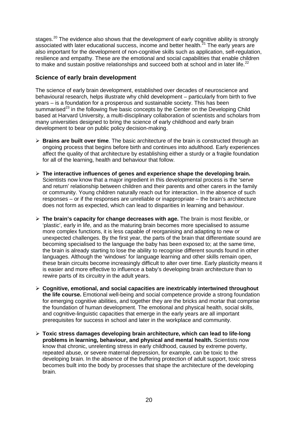stages. $^{20}$  $^{20}$  $^{20}$  The evidence also shows that the development of early cognitive ability is strongly associated with later educational success, income and better health. $^{21}$  $^{21}$  $^{21}$  The early years are also important for the development of non-cognitive skills such as application, self-regulation, resilience and empathy. These are the emotional and social capabilities that enable children to make and sustain positive relationships and succeed both at school and in later life.<sup>[22](#page-80-21)</sup>

#### **Science of early brain development**

The science of early brain development, established over decades of neuroscience and behavioural research, helps illustrate why child development – particularly from birth to five years – is a foundation for a prosperous and sustainable society. This has been summarised<sup>[23](#page-80-22)</sup> in the following five basic concepts by the Center on the Developing Child based at Harvard University, a multi-disciplinary collaboration of scientists and scholars from many universities designed to bring the science of early childhood and early brain development to bear on public policy decision-making.

- **Brains are built over time**. The basic architecture of the brain is constructed through an ongoing process that begins before birth and continues into adulthood. Early experiences affect the quality of that architecture by establishing either a sturdy or a fragile foundation for all of the learning, health and behaviour that follow.
- **The interactive influences of genes and experience shape the developing brain.**  Scientists now know that a major ingredient in this developmental process is the 'serve and return' relationship between children and their parents and other carers in the family or community. Young children naturally reach out for interaction. In the absence of such responses – or if the responses are unreliable or inappropriate – the brain's architecture does not form as expected, which can lead to disparities in learning and behaviour.
- **The brain's capacity for change decreases with age.** The brain is most flexible, or 'plastic', early in life, and as the maturing brain becomes more specialised to assume more complex functions, it is less capable of reorganising and adapting to new or unexpected challenges. By the first year, the parts of the brain that differentiate sound are becoming specialised to the language the baby has been exposed to; at the same time, the brain is already starting to lose the ability to recognise different sounds found in other languages. Although the 'windows' for language learning and other skills remain open, these brain circuits become increasingly difficult to alter over time. Early plasticity means it is easier and more effective to influence a baby's developing brain architecture than to rewire parts of its circuitry in the adult years.
- **Cognitive, emotional, and social capacities are inextricably intertwined throughout the life course.** Emotional well-being and social competence provide a strong foundation for emerging cognitive abilities, and together they are the bricks and mortar that comprise the foundation of human development. The emotional and physical health, social skills, and cognitive-linguistic capacities that emerge in the early years are all important prerequisites for success in school and later in the workplace and community.
- **Toxic stress damages developing brain architecture, which can lead to life-long problems in learning, behaviour, and physical and mental health.** Scientists now know that chronic, unrelenting stress in early childhood, caused by extreme poverty, repeated abuse, or severe maternal depression, for example, can be toxic to the developing brain. In the absence of the buffering protection of adult support, toxic stress becomes built into the body by processes that shape the architecture of the developing brain.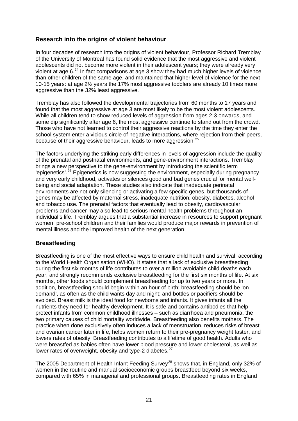#### **Research into the origins of violent behaviour**

In four decades of research into the origins of violent behaviour, Professor Richard Tremblay of the University of Montreal has found solid evidence that the most aggressive and violent adolescents did not become more violent in their adolescent years; they were already very violent at age 6.<sup>[24](#page-80-23)</sup> In fact comparisons at age 3 show they had much higher levels of violence than other children of the same age, and maintained that higher level of violence for the next 10-15 years: at age 2½ years the 17% most aggressive toddlers are already 10 times more aggressive than the 32% least aggressive.

Tremblay has also followed the developmental trajectories from 60 months to 17 years and found that the most aggressive at age 3 are most likely to be the most violent adolescents. While all children tend to show reduced levels of aggression from ages 2-3 onwards, and some dip significantly after age 6, the most aggressive continue to stand out from the crowd. Those who have not learned to control their aggressive reactions by the time they enter the school system enter a vicious circle of negative interactions, where rejection from their peers, because of their aggressive behaviour, leads to more aggression.<sup>[25](#page-80-24)</sup>

The factors underlying the striking early differences in levels of aggression include the quality of the prenatal and postnatal environments, and gene-environment interactions. Tremblay brings a new perspective to the gene-environment by introducing the scientific term 'epigenetics'.<sup>[26](#page-80-25)</sup> Epigenetics is now suggesting the environment, especially during pregnancy and very early childhood, activates or silences good and bad genes crucial for mental wellbeing and social adaptation. These studies also indicate that inadequate perinatal environments are not only silencing or activating a few specific genes, but thousands of genes may be affected by maternal stress, inadequate nutrition, obesity, diabetes, alcohol and tobacco use. The prenatal factors that eventually lead to obesity, cardiovascular problems and cancer may also lead to serious mental health problems throughout an individual's life. Tremblay argues that a substantial increase in resources to support pregnant women, pre-school children and their families would produce major rewards in prevention of mental illness and the improved health of the next generation.

#### **Breastfeeding**

Breastfeeding is one of the most effective ways to ensure child health and survival, according to the World Health Organisation (WHO). It states that a lack of exclusive breastfeeding during the first six months of life contributes to over a million avoidable child deaths each year, and strongly recommends exclusive breastfeeding for the first six months of life. At six months, other foods should complement breastfeeding for up to two years or more. In addition, breastfeeding should begin within an hour of birth; breastfeeding should be 'on demand', as often as the child wants day and night; and bottles or pacifiers should be avoided. Breast milk is the ideal food for newborns and infants. It gives infants all the nutrients they need for healthy development. It is safe and contains antibodies that help protect infants from common childhood illnesses – such as diarrhoea and pneumonia, the two primary causes of child mortality worldwide. Breastfeeding also benefits mothers. The practice when done exclusively often induces a lack of menstruation, reduces risks of breast and ovarian cancer later in life, helps women return to their pre-pregnancy weight faster, and lowers rates of obesity. Breastfeeding contributes to a lifetime of good health. Adults who were breastfed as babies often have lower blood pressure and lower cholesterol, as well as lower rates of overweight, obesity and type-2 diabetes.<sup>[27](#page-80-26)</sup>

The 2005 Department of Health Infant Feeding Survey<sup>[28](#page-80-27)</sup> shows that, in England, only 32% of women in the routine and manual socioeconomic groups breastfeed beyond six weeks, compared with 65% in managerial and professional groups. Breastfeeding rates in England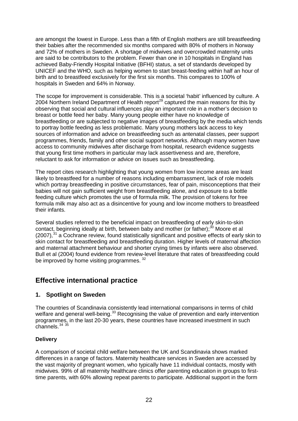are amongst the lowest in Europe. Less than a fifth of English mothers are still breastfeeding their babies after the recommended six months compared with 80% of mothers in Norway and 72% of mothers in Sweden. A shortage of midwives and overcrowded maternity units are said to be contributors to the problem. Fewer than one in 10 hospitals in England has achieved Baby-Friendly Hospital Initiative (BFHI) status, a set of standards developed by UNICEF and the WHO, such as helping women to start breast-feeding within half an hour of birth and to breastfeed exclusively for the first six months. This compares to 100% of hospitals in Sweden and 64% in Norway.

The scope for improvement is considerable. This is a societal 'habit' influenced by culture. A 2004 Northern Ireland Department of Health report<sup>[29](#page-81-0)</sup> captured the main reasons for this by observing that social and cultural influences play an important role in a mother's decision to breast or bottle feed her baby. Many young people either have no knowledge of breastfeeding or are subjected to negative images of breastfeeding by the media which tends to portray bottle feeding as less problematic. Many young mothers lack access to key sources of information and advice on breastfeeding such as antenatal classes, peer support programmes, friends, family and other social support networks. Although many women have access to community midwives after discharge from hospital, research evidence suggests that young first time mothers in particular may lack assertiveness and are, therefore, reluctant to ask for information or advice on issues such as breastfeeding.

The report cites research highlighting that young women from low income areas are least likely to breastfeed for a number of reasons including embarrassment, lack of role models which portray breastfeeding in positive circumstances, fear of pain, misconceptions that their babies will not gain sufficient weight from breastfeeding alone, and exposure to a bottle feeding culture which promotes the use of formula milk. The provision of tokens for free formula milk may also act as a disincentive for young and low income mothers to breastfeed their infants.

Several studies referred to the beneficial impact on breastfeeding of early skin-to-skin contact, beginning ideally at birth, between baby and mother (or father);<sup>[30](#page-81-1)</sup> Moore et al  $(2007),<sup>31</sup>$  $(2007),<sup>31</sup>$  $(2007),<sup>31</sup>$  a Cochrane review, found statistically significant and positive effects of early skin to skin contact for breastfeeding and breastfeeding duration. Higher levels of maternal affection and maternal attachment behaviour and shorter crying times by infants were also observed. Bull et al (2004) found evidence from review-level literature that rates of breastfeeding could be improved by home visiting programmes.<sup>[32](#page-81-3)</sup>

## **Effective international practice**

#### **1. Spotlight on Sweden**

The countries of Scandinavia consistently lead international comparisons in terms of child welfare and general well-being.<sup>[33](#page-81-4)</sup> Recognising the value of prevention and early intervention programmes, in the last 20-30 years, these countries have increased investment in such channels.  $34 \times 35$  $34 \times 35$  $34 \times 35$ 

#### **Delivery**

A comparison of societal child welfare between the UK and Scandinavia shows marked differences in a range of factors. Maternity healthcare services in Sweden are accessed by the vast majority of pregnant women, who typically have 11 individual contacts, mostly with midwives. 99% of all maternity healthcare clinics offer parenting education in groups to firsttime parents, with 60% allowing repeat parents to participate. Additional support in the form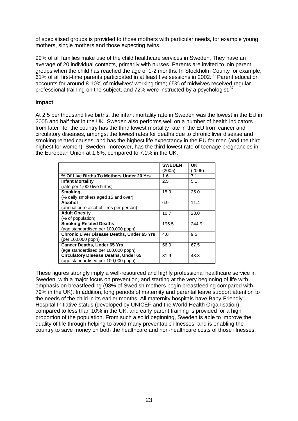of specialised groups is provided to those mothers with particular needs, for example young mothers, single mothers and those expecting twins.

99% of all families make use of the child healthcare services in Sweden. They have an average of 20 individual contacts, primarily with nurses. Parents are invited to join parent groups when the child has reached the age of 1-2 months. In Stockholm County for example, 61% of all first-time parents participated in at least five sessions in 2002.[36](#page-81-7) Parent education accounts for around 8-10% of midwives' working time; 65% of midwives received regular professional training on the subject, and 72% were instructed by a psychologist.<sup>[37](#page-81-8)</sup>

#### **Impact**

At 2.5 per thousand live births, the infant mortality rate in Sweden was the lowest in the EU in 2005 and half that in the UK*.* Sweden also performs well on a number of health indicators from later life; the country has the third lowest mortality rate in the EU from cancer and circulatory diseases, amongst the lowest rates for deaths due to chronic liver disease and smoking related causes, and has the highest life expectancy in the EU for men (and the third highest for women). Sweden, moreover, has the third-lowest rate of teenage pregnancies in the European Union at 1.6%, compared to 7.1% in the UK.

|                                                   | <b>SWEDEN</b> | UK.    |
|---------------------------------------------------|---------------|--------|
|                                                   | (2005)        | (2005) |
| % Of Live Births To Mothers Under 20 Yrs          | 1.6           | 7.1    |
| <b>Infant Mortality</b>                           | 2.5           | 5.1    |
| (rate per 1,000 live births)                      |               |        |
| <b>Smoking</b>                                    | 15.9          | 25.0   |
| (% daily smokers aged 15 and over)                |               |        |
| <b>Alcohol</b>                                    | 6.9           | 11.4   |
| (annual pure alcohol litres per person)           |               |        |
| <b>Adult Obesity</b>                              | 10.7          | 23.0   |
| (% of population)                                 |               |        |
| <b>Smoking Related Deaths</b>                     | 195.5         | 244.9  |
| (age standardised per 100,000 popn)               |               |        |
| <b>Chronic Liver Disease Deaths, Under 65 Yrs</b> | 4.0           | 9.5    |
| (per 100,000 popn)                                |               |        |
| <b>Cancer Deaths, Under 65 Yrs</b>                | 56.0          | 67.5   |
| (age standardised per 100,000 popn)               |               |        |
| <b>Circulatory Disease Deaths, Under 65</b>       | 31.9          | 43.3   |
| (age standardised per 100,000 popn)               |               |        |

These figures strongly imply a well-resourced and highly professional healthcare service in Sweden, with a major focus on prevention, and starting at the very beginning of life with emphasis on breastfeeding (98% of Swedish mothers begin breastfeeding compared with 79% in the UK). In addition, long periods of maternity and parental leave support attention to the needs of the child in its earlier months. All maternity hospitals have Baby-Friendly Hospital Initiative status (developed by UNICEF and the World Health Organisation), compared to less than 10% in the UK, and early parent training is provided for a high proportion of the population. From such a solid beginning, Sweden is able to improve the quality of life through helping to avoid many preventable illnesses, and is enabling the country to save money on both the healthcare and non-healthcare costs of those illnesses.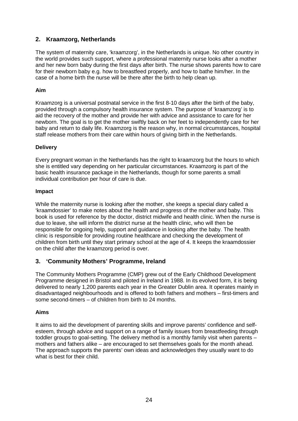#### **2. Kraamzorg, Netherlands**

The system of maternity care, 'kraamzorg', in the Netherlands is unique. No other country in the world provides such support, where a professional maternity nurse looks after a mother and her new born baby during the first days after birth. The nurse shows parents how to care for their newborn baby e.g. how to breastfeed properly, and how to bathe him/her. In the case of a home birth the nurse will be there after the birth to help clean up.

#### **Aim**

Kraamzorg is a universal postnatal service in the first 8-10 days after the birth of the baby, provided through a compulsory health insurance system. The purpose of 'kraamzorg' is to aid the recovery of the mother and provide her with advice and assistance to care for her newborn. The goal is to get the mother swiftly back on her feet to independently care for her baby and return to daily life. Kraamzorg is the reason why, in normal circumstances, hospital staff release mothers from their care within hours of giving birth in the Netherlands.

#### **Delivery**

Every pregnant woman in the Netherlands has the right to kraamzorg but the hours to which she is entitled vary depending on her particular circumstances. Kraamzorg is part of the basic health insurance package in the Netherlands, though for some parents a small individual contribution per hour of care is due.

#### **Impact**

While the maternity nurse is looking after the mother, she keeps a special diary called a 'kraamdossier' to make notes about the health and progress of the mother and baby. This book is used for reference by the doctor, district midwife and health clinic. When the nurse is due to leave, she will inform the district nurse at the health clinic, who will then be responsible for ongoing help, support and guidance in looking after the baby. The health clinic is responsible for providing routine healthcare and checking the development of children from birth until they start primary school at the age of 4. It keeps the kraamdossier on the child after the kraamzorg period is over.

#### **3. 'Community Mothers' Programme, Ireland**

The Community Mothers Programme (CMP) grew out of the Early Childhood Development Programme designed in Bristol and piloted in Ireland in 1988. In its evolved form, it is being delivered to nearly 1,200 parents each year in the Greater Dublin area. It operates mainly in disadvantaged neighbourhoods and is offered to both fathers and mothers – first-timers and some second-timers – of children from birth to 24 months.

#### **Aims**

It aims to aid the development of parenting skills and improve parents' confidence and selfesteem, through advice and support on a range of family issues from breastfeeding through toddler groups to goal-setting. The delivery method is a monthly family visit when parents – mothers and fathers alike – are encouraged to set themselves goals for the month ahead. The approach supports the parents' own ideas and acknowledges they usually want to do what is best for their child.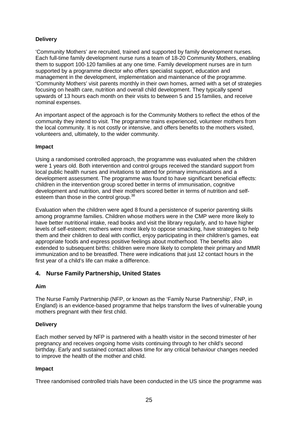#### **Delivery**

'Community Mothers' are recruited, trained and supported by family development nurses. Each full-time family development nurse runs a team of 18-20 Community Mothers, enabling them to support 100-120 families at any one time. Family development nurses are in turn supported by a programme director who offers specialist support, education and management in the development, implementation and maintenance of the programme. 'Community Mothers' visit parents monthly in their own homes, armed with a set of strategies focusing on health care, nutrition and overall child development. They typically spend upwards of 13 hours each month on their visits to between 5 and 15 families, and receive nominal expenses.

An important aspect of the approach is for the Community Mothers to reflect the ethos of the community they intend to visit. The programme trains experienced, volunteer mothers from the local community. It is not costly or intensive, and offers benefits to the mothers visited, volunteers and, ultimately, to the wider community.

#### **Impact**

Using a randomised controlled approach, the programme was evaluated when the children were 1 years old. Both intervention and control groups received the standard support from local public health nurses and invitations to attend for primary immunisations and a development assessment. The programme was found to have significant beneficial effects: children in the intervention group scored better in terms of immunisation, cognitive development and nutrition, and their mothers scored better in terms of nutrition and self-esteem than those in the control group.<sup>[38](#page-81-9)</sup>

Evaluation when the children were aged 8 found a persistence of superior parenting skills among programme families. Children whose mothers were in the CMP were more likely to have better nutritional intake, read books and visit the library regularly, and to have higher levels of self-esteem; mothers were more likely to oppose smacking, have strategies to help them and their children to deal with conflict, enjoy participating in their children's games, eat appropriate foods and express positive feelings about motherhood. The benefits also extended to subsequent births: children were more likely to complete their primary and MMR immunization and to be breastfed. There were indications that just 12 contact hours in the first year of a child's life can make a difference.

#### **4. Nurse Family Partnership, United States**

#### **Aim**

The Nurse Family Partnership (NFP, or known as the 'Family Nurse Partnership', FNP, in England) is an evidence-based programme that helps transform the lives of vulnerable young mothers pregnant with their first child.

#### **Delivery**

Each mother served by NFP is partnered with a health visitor in the second trimester of her pregnancy and receives ongoing home visits continuing through to her child's second birthday. Early and sustained contact allows time for any critical behaviour changes needed to improve the health of the mother and child.

#### **Impact**

Three randomised controlled trials have been conducted in the US since the programme was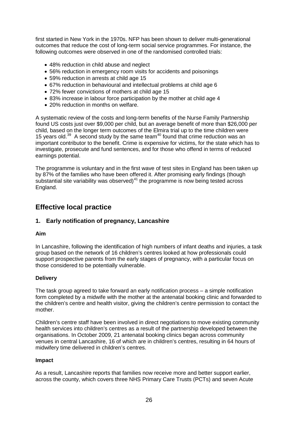first started in New York in the 1970s. NFP has been shown to deliver multi-generational outcomes that reduce the cost of long-term social service programmes. For instance, the following outcomes were observed in one of the randomised controlled trials:

- 48% reduction in child abuse and neglect
- 56% reduction in emergency room visits for accidents and poisonings
- 59% reduction in arrests at child age 15
- 67% reduction in behavioural and intellectual problems at child age 6
- 72% fewer convictions of mothers at child age 15
- 83% increase in labour force participation by the mother at child age 4
- 20% reduction in months on welfare.

A systematic review of the costs and long-term benefits of the Nurse Family Partnership found US costs just over \$9,000 per child, but an average benefit of more than \$26,000 per child, based on the longer term outcomes of the Elmira trial up to the time children were 15 years old.<sup>[39](#page-81-10)</sup> A second study by the same team<sup>[40](#page-81-11)</sup> found that crime reduction was an important contributor to the benefit. Crime is expensive for victims, for the state which has to investigate, prosecute and fund sentences, and for those who offend in terms of reduced earnings potential.

The programme is voluntary and in the first wave of test sites in England has been taken up by 87% of the families who have been offered it. After promising early findings (though substantial site variability was observed) $41$  the programme is now being tested across England.

### **Effective local practice**

#### **1. Early notification of pregnancy, Lancashire**

#### **Aim**

In Lancashire, following the identification of high numbers of infant deaths and injuries, a task group based on the network of 16 children's centres looked at how professionals could support prospective parents from the early stages of pregnancy, with a particular focus on those considered to be potentially vulnerable.

#### **Delivery**

The task group agreed to take forward an early notification process – a simple notification form completed by a midwife with the mother at the antenatal booking clinic and forwarded to the children's centre and health visitor, giving the children's centre permission to contact the mother.

Children's centre staff have been involved in direct negotiations to move existing community health services into children's centres as a result of the partnership developed between the organisations. In October 2009, 21 antenatal booking clinics began across community venues in central Lancashire, 16 of which are in children's centres, resulting in 64 hours of midwifery time delivered in children's centres.

#### **Impact**

As a result, Lancashire reports that families now receive more and better support earlier, across the county, which covers three NHS Primary Care Trusts (PCTs) and seven Acute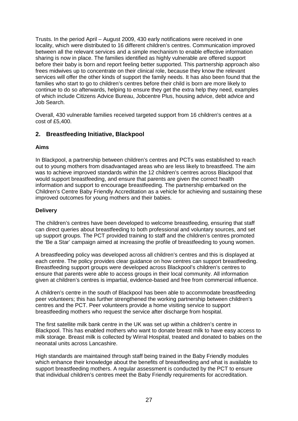Trusts. In the period April – August 2009, 430 early notifications were received in one locality, which were distributed to 16 different children's centres. Communication improved between all the relevant services and a simple mechanism to enable effective information sharing is now in place. The families identified as highly vulnerable are offered support before their baby is born and report feeling better supported. This partnership approach also frees midwives up to concentrate on their clinical role, because they know the relevant services will offer the other kinds of support the family needs. It has also been found that the families who start to go to children's centres before their child is born are more likely to continue to do so afterwards, helping to ensure they get the extra help they need, examples of which include Citizens Advice Bureau, Jobcentre Plus, housing advice, debt advice and Job Search.

Overall, 430 vulnerable families received targeted support from 16 children's centres at a cost of £5,400.

#### **2. Breastfeeding Initiative, Blackpool**

#### **Aims**

In Blackpool, a partnership between children's centres and PCTs was established to reach out to young mothers from disadvantaged areas who are less likely to breastfeed. The aim was to achieve improved standards within the 12 children's centres across Blackpool that would support breastfeeding, and ensure that parents are given the correct health information and support to encourage breastfeeding. The partnership embarked on the Children's Centre Baby Friendly Accreditation as a vehicle for achieving and sustaining these improved outcomes for young mothers and their babies.

#### **Delivery**

The children's centres have been developed to welcome breastfeeding, ensuring that staff can direct queries about breastfeeding to both professional and voluntary sources, and set up support groups. The PCT provided training to staff and the children's centres promoted the 'Be a Star' campaign aimed at increasing the profile of breastfeeding to young women.

A breastfeeding policy was developed across all children's centres and this is displayed at each centre. The policy provides clear guidance on how centres can support breastfeeding. Breastfeeding support groups were developed across Blackpool's children's centres to ensure that parents were able to access groups in their local community. All information given at children's centres is impartial, evidence-based and free from commercial influence.

A children's centre in the south of Blackpool has been able to accommodate breastfeeding peer volunteers; this has further strengthened the working partnership between children's centres and the PCT. Peer volunteers provide a home visiting service to support breastfeeding mothers who request the service after discharge from hospital.

The first satellite milk bank centre in the UK was set up within a children's centre in Blackpool. This has enabled mothers who want to donate breast milk to have easy access to milk storage. Breast milk is collected by Wirral Hospital, treated and donated to babies on the neonatal units across Lancashire.

High standards are maintained through staff being trained in the Baby Friendly modules which enhance their knowledge about the benefits of breastfeeding and what is available to support breastfeeding mothers. A regular assessment is conducted by the PCT to ensure that individual children's centres meet the Baby Friendly requirements for accreditation.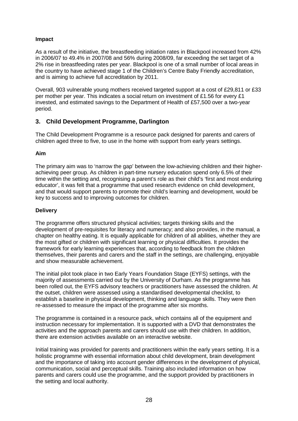#### **Impact**

As a result of the initiative, the breastfeeding initiation rates in Blackpool increased from 42% in 2006/07 to 49.4% in 2007/08 and 56% during 2008/09, far exceeding the set target of a 2% rise in breastfeeding rates per year. Blackpool is one of a small number of local areas in the country to have achieved stage 1 of the Children's Centre Baby Friendly accreditation, and is aiming to achieve full accreditation by 2011.

Overall, 903 vulnerable young mothers received targeted support at a cost of £29,811 or £33 per mother per year. This indicates a social return on investment of £1.56 for every £1 invested, and estimated savings to the Department of Health of £57,500 over a two-year period.

#### **3. Child Development Programme, Darlington**

The Child Development Programme is a resource pack designed for parents and carers of children aged three to five, to use in the home with support from early years settings.

#### **Aim**

The primary aim was to 'narrow the gap' between the low-achieving children and their higherachieving peer group. As children in part-time nursery education spend only 6.5% of their time within the setting and, recognising a parent's role as their child's 'first and most enduring educator', it was felt that a programme that used research evidence on child development, and that would support parents to promote their child's learning and development, would be key to success and to improving outcomes for children.

#### **Delivery**

The programme offers structured physical activities; targets thinking skills and the development of pre-requisites for literacy and numeracy; and also provides, in the manual, a chapter on healthy eating. It is equally applicable for children of all abilities, whether they are the most gifted or children with significant learning or physical difficulties. It provides the framework for early learning experiences that, according to feedback from the children themselves, their parents and carers and the staff in the settings, are challenging, enjoyable and show measurable achievement.

The initial pilot took place in two Early Years Foundation Stage (EYFS) settings, with the majority of assessments carried out by the University of Durham. As the programme has been rolled out, the EYFS advisory teachers or practitioners have assessed the children. At the outset, children were assessed using a standardised developmental checklist, to establish a baseline in physical development, thinking and language skills. They were then re-assessed to measure the impact of the programme after six months.

The programme is contained in a resource pack, which contains all of the equipment and instruction necessary for implementation. It is supported with a DVD that demonstrates the activities and the approach parents and carers should use with their children. In addition, there are extension activities available on an interactive website.

Initial training was provided for parents and practitioners within the early years setting. It is a holistic programme with essential information about child development, brain development and the importance of taking into account gender differences in the development of physical, communication, social and perceptual skills. Training also included information on how parents and carers could use the programme, and the support provided by practitioners in the setting and local authority.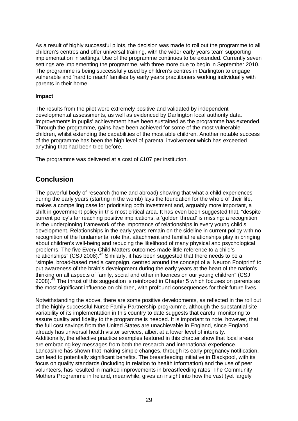As a result of highly successful pilots, the decision was made to roll out the programme to all children's centres and offer universal training, with the wider early years team supporting implementation in settings. Use of the programme continues to be extended. Currently seven settings are implementing the programme, with three more due to begin in September 2010. The programme is being successfully used by children's centres in Darlington to engage vulnerable and 'hard to reach' families by early years practitioners working individually with parents in their home.

#### **Impact**

The results from the pilot were extremely positive and validated by independent developmental assessments, as well as evidenced by Darlington local authority data. Improvements in pupils' achievement have been sustained as the programme has extended. Through the programme, gains have been achieved for some of the most vulnerable children, whilst extending the capabilities of the most able children. Another notable success of the programme has been the high level of parental involvement which has exceeded anything that had been tried before.

The programme was delivered at a cost of £107 per institution.

## **Conclusion**

The powerful body of research (home and abroad) showing that what a child experiences during the early years (starting in the womb) lays the foundation for the whole of their life, makes a compelling case for prioritising both investment and, arguably more important, a shift in government policy in this most critical area. It has even been suggested that, "despite current policy's far reaching positive implications, a 'golden thread' is missing: a recognition in the underpinning framework of the importance of relationships in every young child's development. Relationships in the early years remain on the sideline in current policy with no recognition of the fundamental role that attachment and familial relationships play in bringing about children's well-being and reducing the likelihood of many physical and psychological problems. The five Every Child Matters outcomes made little reference to a child's relationships" (CSJ 2008).<sup>[42](#page-81-13)</sup> Similarly, it has been suggested that there needs to be a "simple, broad-based media campaign, centred around the concept of a 'Neuron Footprint' to put awareness of the brain's development during the early years at the heart of the nation's thinking on all aspects of family, social and other influences on our young children" (CSJ 2008).<sup>[43](#page-81-14)</sup> The thrust of this suggestion is reinforced in Chapter 5 which focuses on parents as the most significant influence on children, with profound consequences for their future lives.

Notwithstanding the above, there are some positive developments, as reflected in the roll out of the highly successful Nurse Family Partnership programme, although the substantial site variability of its implementation in this country to date suggests that careful monitoring to assure quality and fidelity to the programme is needed. It is important to note, however, that the full cost savings from the United States are unachievable in England, since England already has universal health visitor services, albeit at a lower level of intensity. Additionally, the effective practice examples featured in this chapter show that local areas are embracing key messages from both the research and international experience. Lancashire has shown that making simple changes, through its early pregnancy notification, can lead to potentially significant benefits. The breastfeeding initiative in Blackpool, with its focus on quality standards (including in relation to health information) and the use of peer volunteers, has resulted in marked improvements in breastfeeding rates. The Community Mothers Programme in Ireland, meanwhile, gives an insight into how the vast (yet largely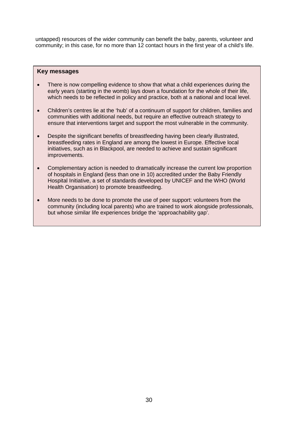untapped) resources of the wider community can benefit the baby, parents, volunteer and community; in this case, for no more than 12 contact hours in the first year of a child's life.

#### **Key messages**

- There is now compelling evidence to show that what a child experiences during the early years (starting in the womb) lays down a foundation for the whole of their life, which needs to be reflected in policy and practice, both at a national and local level.
- Children's centres lie at the 'hub' of a continuum of support for children, families and communities with additional needs, but require an effective outreach strategy to ensure that interventions target and support the most vulnerable in the community.
- Despite the significant benefits of breastfeeding having been clearly illustrated, breastfeeding rates in England are among the lowest in Europe. Effective local initiatives, such as in Blackpool, are needed to achieve and sustain significant improvements.
- Complementary action is needed to dramatically increase the current low proportion of hospitals in England (less than one in 10) accredited under the Baby Friendly Hospital Initiative, a set of standards developed by UNICEF and the WHO (World Health Organisation) to promote breastfeeding.
- More needs to be done to promote the use of peer support: volunteers from the community (including local parents) who are trained to work alongside professionals, but whose similar life experiences bridge the 'approachability gap'.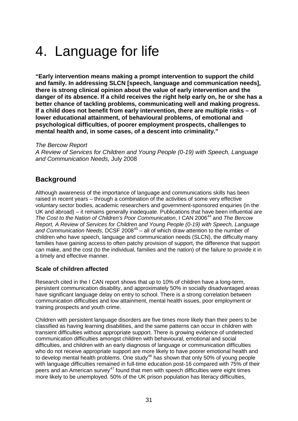# 4. Language for life

**"Early intervention means making a prompt intervention to support the child and family. In addressing SLCN [speech, language and communication needs], there is strong clinical opinion about the value of early intervention and the danger of its absence. If a child receives the right help early on, he or she has a better chance of tackling problems, communicating well and making progress. If a child does not benefit from early intervention, there are multiple risks – of lower educational attainment, of behavioural problems, of emotional and psychological difficulties, of poorer employment prospects, challenges to mental health and, in some cases, of a descent into criminality."**

#### *The Bercow Report*

*A Review of Services for Children and Young People (0-19) with Speech, Language and Communication Needs,* July 2008

### **Background**

Although awareness of the importance of language and communications skills has been raised in recent years – through a combination of the activities of some very effective voluntary sector bodies, academic researchers and government-sponsored enquiries (in the UK and abroad) – it remains generally inadequate. Publications that have been influential are *The Cost to the Nation of Children's Poor Communication*, I CAN 2006<sup>[44](#page-81-15)</sup> and *The Bercow Report, A Review of Services for Children and Young People (0-19) with Speech, Language*  and Communication Needs, DCSF 2008<sup>[45](#page-81-16)</sup> – all of which draw attention to the number of children who have speech, language and communication needs (SLCN), the difficulty many families have gaining access to often patchy provision of support, the difference that support can make, and the cost (to the individual, families and the nation) of the failure to provide it in a timely and effective manner.

#### **Scale of children affected**

Research cited in the I CAN report shows that up to 10% of children have a long-term, persistent communication disability, and approximately 50% in socially disadvantaged areas have significant language delay on entry to school. There is a strong correlation between communication difficulties and low attainment, mental health issues, poor employment or training prospects and youth crime.

Children with persistent language disorders are five times more likely than their peers to be classified as having learning disabilities, and the same patterns can occur in children with transient difficulties without appropriate support. There is growing evidence of undetected communication difficulties amongst children with behavioural, emotional and social difficulties, and children with an early diagnosis of language or communication difficulties who do not receive appropriate support are more likely to have poorer emotional health and to develop mental health problems. One study<sup>[46](#page-81-17)</sup> has shown that only 50% of young people with language difficulties remained in full-time education post-16 compared with 75% of their peers and an American survey<sup>[47](#page-81-18)</sup> found that men with speech difficulties were eight times more likely to be unemployed. 50% of the UK prison population has literacy difficulties,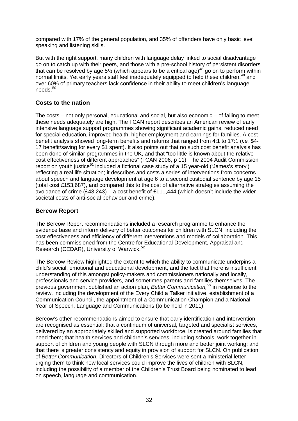compared with 17% of the general population, and 35% of offenders have only basic level speaking and listening skills.

But with the right support, many children with language delay linked to social disadvantage go on to catch up with their peers, and those with a pre-school history of persistent disorders that can be resolved by age 5½ (which appears to be a critical age)<sup>[48](#page-81-19)</sup> go on to perform within normal limits. Yet early years staff feel inadequately equipped to help these children,<sup>[49](#page-81-20)</sup> and over 60% of primary teachers lack confidence in their ability to meet children's language needs. [50](#page-81-21)

#### **Costs to the nation**

The costs – not only personal, educational and social, but also economic – of failing to meet these needs adequately are high. The I CAN report describes an American review of early intensive language support programmes showing significant academic gains, reduced need for special education, improved health, higher employment and earnings for families. A cost benefit analysis showed long-term benefits and returns that ranged from 4:1 to 17:1 (*i.e.* \$4- 17 benefit/saving for every \$1 spent). It also points out that no such cost benefit analysis has been done of similar programmes in the UK, and that "too little is known about the relative cost effectiveness of different approaches" (I CAN 2006, p 11). The 2004 Audit Commission report on youth justice<sup>[51](#page-81-22)</sup> included a fictional case study of a 15 year-old ('James's story') reflecting a real life situation; it describes and costs a series of interventions from concerns about speech and language development at age 6 to a second custodial sentence by age 15 (total cost £153,687), and compared this to the cost of alternative strategies assuming the avoidance of crime (£43,243) – a cost benefit of £111,444 (which doesn't include the wider societal costs of anti-social behaviour and crime).

#### **Bercow Report**

The Bercow Report recommendations included a research programme to enhance the evidence base and inform delivery of better outcomes for children with SLCN, including the cost effectiveness and efficiency of different interventions and models of collaboration. This has been commissioned from the Centre for Educational Development, Appraisal and Research (CEDAR), University of Warwick. [52](#page-81-23)

The Bercow Review highlighted the extent to which the ability to communicate underpins a child's social, emotional and educational development, and the fact that there is insufficient understanding of this amongst policy-makers and commissioners nationally and locally, professionals and service providers, and sometimes parents and families themselves. The previous government published an action plan, *Better Communication, [53](#page-81-24)* in response to the review, including the development of the Every Child a Talker initiative, establishment of a Communication Council, the appointment of a Communication Champion and a National Year of Speech, Language and Communications (to be held in 2011).

Bercow's other recommendations aimed to ensure that early identification and intervention are recognised as essential; that a continuum of universal, targeted and specialist services, delivered by an appropriately skilled and supported workforce, is created around families that need them; that health services and children's services, including schools, work together in support of children and young people with SLCN through more and better joint working; and that there is greater consistency and equity in provision of support for SLCN. On publication of *Better Communication*, Directors of Children's Services were sent a ministerial letter urging them to think how local services could improve the lives of children with SLCN, including the possibility of a member of the Children's Trust Board being nominated to lead on speech, language and communication.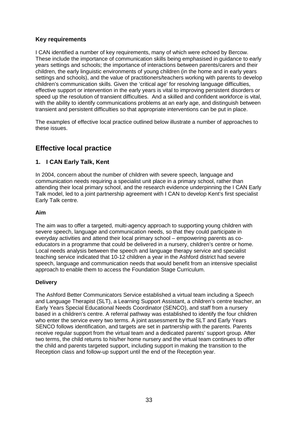#### **Key requirements**

I CAN identified a number of key requirements, many of which were echoed by Bercow. These include the importance of communication skills being emphasised in guidance to early years settings and schools; the importance of interactions between parents/carers and their children, the early linguistic environments of young children (in the home and in early years settings and schools), and the value of practitioners/teachers working with parents to develop children's communication skills. Given the 'critical age' for resolving language difficulties, effective support or intervention in the early years is vital to improving persistent disorders or speed up the resolution of transient difficulties. And a skilled and confident workforce is vital, with the ability to identify communications problems at an early age, and distinguish between transient and persistent difficulties so that appropriate interventions can be put in place.

The examples of effective local practice outlined below illustrate a number of approaches to these issues.

## **Effective local practice**

#### **1. I CAN Early Talk, Kent**

In 2004, concern about the number of children with severe speech, language and communication needs requiring a specialist unit place in a primary school, rather than attending their local primary school, and the research evidence underpinning the I CAN Early Talk model, led to a joint partnership agreement with I CAN to develop Kent's first specialist Early Talk centre.

#### **Aim**

The aim was to offer a targeted, multi-agency approach to supporting young children with severe speech, language and communication needs, so that they could participate in everyday activities and attend their local primary school – empowering parents as coeducators in a programme that could be delivered in a nursery, children's centre or home. Local needs analysis between the speech and language therapy service and specialist teaching service indicated that 10-12 children a year in the Ashford district had severe speech, language and communication needs that would benefit from an intensive specialist approach to enable them to access the Foundation Stage Curriculum.

#### **Delivery**

The Ashford Better Communicators Service established a virtual team including a Speech and Language Therapist (SLT), a Learning Support Assistant, a children's centre teacher, an Early Years Special Educational Needs Coordinator (SENCO), and staff from a nursery based in a children's centre. A referral pathway was established to identify the four children who enter the service every two terms. A joint assessment by the SLT and Early Years SENCO follows identification, and targets are set in partnership with the parents. Parents receive regular support from the virtual team and a dedicated parents' support group. After two terms, the child returns to his/her home nursery and the virtual team continues to offer the child and parents targeted support, including support in making the transition to the Reception class and follow-up support until the end of the Reception year.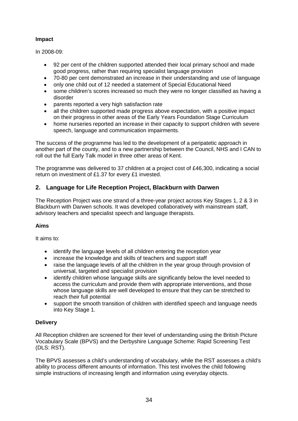#### **Impact**

In 2008-09:

- 92 per cent of the children supported attended their local primary school and made good progress, rather than requiring specialist language provision
- 70-80 per cent demonstrated an increase in their understanding and use of language
- only one child out of 12 needed a statement of Special Educational Need
- some children's scores increased so much they were no longer classified as having a disorder
- parents reported a very high satisfaction rate
- all the children supported made progress above expectation, with a positive impact on their progress in other areas of the Early Years Foundation Stage Curriculum
- home nurseries reported an increase in their capacity to support children with severe speech, language and communication impairments.

The success of the programme has led to the development of a peripatetic approach in another part of the county, and to a new partnership between the Council, NHS and I CAN to roll out the full Early Talk model in three other areas of Kent.

The programme was delivered to 37 children at a project cost of £46,300, indicating a social return on investment of £1.37 for every £1 invested.

#### **2. Language for Life Reception Project, Blackburn with Darwen**

The Reception Project was one strand of a three-year project across Key Stages 1, 2 & 3 in Blackburn with Darwen schools. It was developed collaboratively with mainstream staff, advisory teachers and specialist speech and language therapists.

#### **Aims**

It aims to:

- identify the language levels of all children entering the reception year
- increase the knowledge and skills of teachers and support staff
- raise the language levels of all the children in the year group through provision of universal, targeted and specialist provision
- identify children whose language skills are significantly below the level needed to access the curriculum and provide them with appropriate interventions, and those whose language skills are well developed to ensure that they can be stretched to reach their full potential
- support the smooth transition of children with identified speech and language needs into Key Stage 1.

#### **Delivery**

All Reception children are screened for their level of understanding using the British Picture Vocabulary Scale (BPVS) and the Derbyshire Language Scheme: Rapid Screening Test (DLS: RST).

The BPVS assesses a child's understanding of vocabulary, while the RST assesses a child's ability to process different amounts of information. This test involves the child following simple instructions of increasing length and information using everyday objects.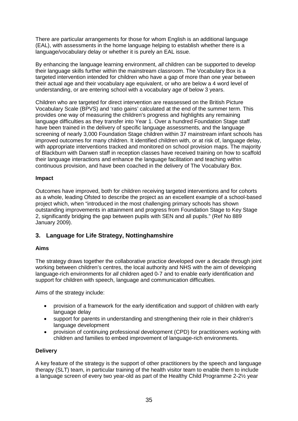There are particular arrangements for those for whom English is an additional language (EAL), with assessments in the home language helping to establish whether there is a language/vocabulary delay or whether it is purely an EAL issue.

By enhancing the language learning environment, *all* children can be supported to develop their language skills further within the mainstream classroom. The Vocabulary Box is a targeted intervention intended for children who have a gap of more than one year between their actual age and their vocabulary age equivalent, or who are below a 4 word level of understanding, or are entering school with a vocabulary age of below 3 years.

Children who are targeted for direct intervention are reassessed on the British Picture Vocabulary Scale (BPVS) and 'ratio gains' calculated at the end of the summer term. This provides one way of measuring the children's progress and highlights any remaining language difficulties as they transfer into Year 1. Over a hundred Foundation Stage staff have been trained in the delivery of specific language assessments, and the language screening of nearly 3,000 Foundation Stage children within 37 mainstream infant schools has improved outcomes for many children. It identified children with, or at risk of, language delay, with appropriate interventions tracked and monitored on school provision maps. The majority of Blackburn with Darwen staff in reception classes have received training on how to scaffold their language interactions and enhance the language facilitation and teaching within continuous provision, and have been coached in the delivery of The Vocabulary Box.

#### **Impact**

Outcomes have improved, both for children receiving targeted interventions and for cohorts as a whole, leading Ofsted to describe the project as an excellent example of a school-based project which, when "introduced in the most challenging primary schools has shown outstanding improvements in attainment and progress from Foundation Stage to Key Stage 2, significantly bridging the gap between pupils with SEN and all pupils." (Ref No 889 January 2009).

#### **3. Language for Life Strategy, Nottinghamshire**

#### **Aims**

The strategy draws together the collaborative practice developed over a decade through joint working between children's centres, the local authority and NHS with the aim of developing language-rich environments for *all* children aged 0-7 and to enable early identification and support for children with speech, language and communication difficulties.

Aims of the strategy include:

- provision of a framework for the early identification and support of children with early language delay
- support for parents in understanding and strengthening their role in their children's language development
- provision of continuing professional development (CPD) for practitioners working with children and families to embed improvement of language-rich environments.

#### **Delivery**

A key feature of the strategy is the support of other practitioners by the speech and language therapy (SLT) team, in particular training of the health visitor team to enable them to include a language screen of every two year-old as part of the Healthy Child Programme 2-2½ year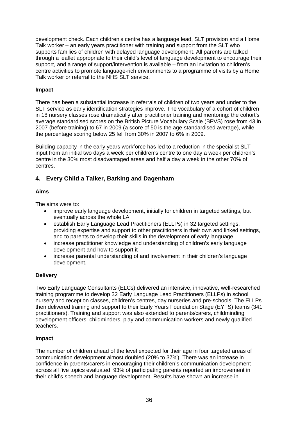development check. Each children's centre has a language lead, SLT provision and a Home Talk worker – an early years practitioner with training and support from the SLT who supports families of children with delayed language development. All parents are talked through a leaflet appropriate to their child's level of language development to encourage their support, and a range of support/intervention is available – from an invitation to children's centre activities to promote language-rich environments to a programme of visits by a Home Talk worker or referral to the NHS SLT service.

#### **Impact**

There has been a substantial increase in referrals of children of two years and under to the SLT service as early identification strategies improve. The vocabulary of a cohort of children in 18 nursery classes rose dramatically after practitioner training and mentoring: the cohort's average standardised scores on the British Picture Vocabulary Scale (BPVS) rose from 43 in 2007 (before training) to 67 in 2009 (a score of 50 is the age-standardised average), while the percentage scoring below 25 fell from 30% in 2007 to 6% in 2009.

Building capacity in the early years workforce has led to a reduction in the specialist SLT input from an initial two days a week per children's centre to one day a week per children's centre in the 30% most disadvantaged areas and half a day a week in the other 70% of centres.

#### **4. Every Child a Talker, Barking and Dagenham**

#### **Aims**

The aims were to:

- improve early language development, initially for children in targeted settings, but eventually across the whole LA
- establish Early Language Lead Practitioners (ELLPs) in 32 targeted settings, providing expertise and support to other practitioners in their own and linked settings, and to parents to develop their skills in the development of early language
- increase practitioner knowledge and understanding of children's early language development and how to support it
- increase parental understanding of and involvement in their children's language development.

#### **Delivery**

Two Early Language Consultants (ELCs) delivered an intensive, innovative, well-researched training programme to develop 32 Early Language Lead Practitioners (ELLPs) in school nursery and reception classes, children's centres, day nurseries and pre-schools. The ELLPs then delivered training and support to their Early Years Foundation Stage (EYFS) teams (341 practitioners). Training and support was also extended to parents/carers, childminding development officers, childminders, play and communication workers and newly qualified teachers.

#### **Impact**

The number of children ahead of the level expected for their age in four targeted areas of communication development almost doubled (20% to 37%). There was an increase in confidence in parents/carers in encouraging their children's communication development across all five topics evaluated; 93% of participating parents reported an improvement in their child's speech and language development. Results have shown an increase in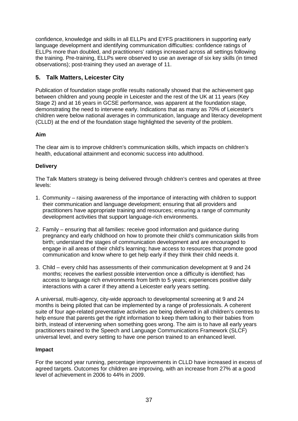confidence, knowledge and skills in all ELLPs and EYFS practitioners in supporting early language development and identifying communication difficulties: confidence ratings of ELLPs more than doubled, and practitioners' ratings increased across all settings following the training. Pre-training, ELLPs were observed to use an average of six key skills (in timed observations); post-training they used an average of 11.

# **5. Talk Matters, Leicester City**

Publication of foundation stage profile results nationally showed that the achievement gap between children and young people in Leicester and the rest of the UK at 11 years (Key Stage 2) and at 16 years in GCSE performance, was apparent at the foundation stage, demonstrating the need to intervene early. Indications that as many as 70% of Leicester's children were below national averages in communication, language and literacy development (CLLD) at the end of the foundation stage highlighted the severity of the problem.

#### **Aim**

The clear aim is to improve children's communication skills, which impacts on children's health, educational attainment and economic success into adulthood.

#### **Delivery**

The Talk Matters strategy is being delivered through children's centres and operates at three levels:

- 1. Community raising awareness of the importance of interacting with children to support their communication and language development; ensuring that all providers and practitioners have appropriate training and resources; ensuring a range of community development activities that support language-rich environments.
- 2. Family ensuring that all families: receive good information and guidance during pregnancy and early childhood on how to promote their child's communication skills from birth; understand the stages of communication development and are encouraged to engage in all areas of their child's learning; have access to resources that promote good communication and know where to get help early if they think their child needs it.
- 3. Child every child has assessments of their communication development at 9 and 24 months; receives the earliest possible intervention once a difficulty is identified; has access to language rich environments from birth to 5 years; experiences positive daily interactions with a carer if they attend a Leicester early years setting.

A universal, multi-agency, city-wide approach to developmental screening at 9 and 24 months is being piloted that can be implemented by a range of professionals. A coherent suite of four age-related preventative activities are being delivered in all children's centres to help ensure that parents get the right information to keep them talking to their babies from birth, instead of intervening when something goes wrong. The aim is to have all early years practitioners trained to the Speech and Language Communications Framework (SLCF) universal level, and every setting to have one person trained to an enhanced level.

#### **Impact**

For the second year running, percentage improvements in CLLD have increased in excess of agreed targets. Outcomes for children are improving, with an increase from 27% at a good level of achievement in 2006 to 44% in 2009.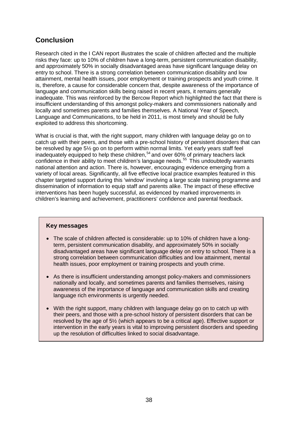# **Conclusion**

Research cited in the I CAN report illustrates the scale of children affected and the multiple risks they face: up to 10% of children have a long-term, persistent communication disability, and approximately 50% in socially disadvantaged areas have significant language delay on entry to school. There is a strong correlation between communication disability and low attainment, mental health issues, poor employment or training prospects and youth crime. It is, therefore, a cause for considerable concern that, despite awareness of the importance of language and communication skills being raised in recent years, it remains generally inadequate. This was reinforced by the Bercow Report which highlighted the fact that there is insufficient understanding of this amongst policy-makers and commissioners nationally and locally and sometimes parents and families themselves. A National Year of Speech, Language and Communications, to be held in 2011, is most timely and should be fully exploited to address this shortcoming.

What is crucial is that, with the right support, many children with language delay go on to catch up with their peers, and those with a pre-school history of persistent disorders that can be resolved by age 5½ go on to perform within normal limits. Yet early years staff feel inadequately equipped to help these children,<sup>[54](#page-81-0)</sup> and over 60% of primary teachers lack confidence in their ability to meet children's language needs. [55](#page-81-1) This undoubtedly warrants national attention and action. There is, however, encouraging evidence emerging from a variety of local areas. Significantly, all five effective local practice examples featured in this chapter targeted support during this 'window' involving a large scale training programme and dissemination of information to equip staff and parents alike. The impact of these effective interventions has been hugely successful, as evidenced by marked improvements in children's learning and achievement, practitioners' confidence and parental feedback.

#### **Key messages**

- The scale of children affected is considerable: up to 10% of children have a longterm, persistent communication disability, and approximately 50% in socially disadvantaged areas have significant language delay on entry to school. There is a strong correlation between communication difficulties and low attainment, mental health issues, poor employment or training prospects and youth crime.
- As there is insufficient understanding amongst policy-makers and commissioners nationally and locally, and sometimes parents and families themselves, raising awareness of the importance of language and communication skills and creating language rich environments is urgently needed.
- With the right support, many children with language delay go on to catch up with their peers, and those with a pre-school history of persistent disorders that can be resolved by the age of 5½ (which appears to be a critical age). Effective support or intervention in the early years is vital to improving persistent disorders and speeding up the resolution of difficulties linked to social disadvantage.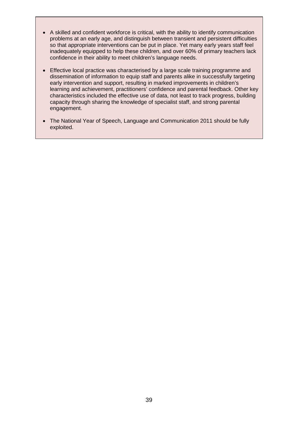- A skilled and confident workforce is critical, with the ability to identify communication problems at an early age, and distinguish between transient and persistent difficulties so that appropriate interventions can be put in place. Yet many early years staff feel inadequately equipped to help these children, and over 60% of primary teachers lack confidence in their ability to meet children's language needs.
- Effective local practice was characterised by a large scale training programme and dissemination of information to equip staff and parents alike in successfully targeting early intervention and support, resulting in marked improvements in children's learning and achievement, practitioners' confidence and parental feedback. Other key characteristics included the effective use of data, not least to track progress, building capacity through sharing the knowledge of specialist staff, and strong parental engagement.
- The National Year of Speech, Language and Communication 2011 should be fully exploited.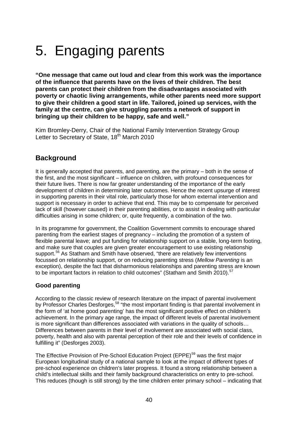# 5. Engaging parents

**"One message that came out loud and clear from this work was the importance of the influence that parents have on the lives of their children. The best parents can protect their children from the disadvantages associated with poverty or chaotic living arrangements, while other parents need more support to give their children a good start in life. Tailored, joined up services, with the family at the centre, can give struggling parents a network of support in bringing up their children to be happy, safe and well."**

Kim Bromley-Derry, Chair of the National Family Intervention Strategy Group Letter to Secretary of State, 18<sup>th</sup> March 2010

# **Background**

It is generally accepted that parents, and parenting, are the primary – both in the sense of the first, and the most significant – influence on children, with profound consequences for their future lives. There is now far greater understanding of the importance of the early development of children in determining later outcomes. Hence the recent upsurge of interest in supporting parents in their vital role, particularly those for whom external intervention and support is necessary in order to achieve that end. This may be to compensate for perceived lack of skill (however caused) in their parenting abilities, or to assist in dealing with particular difficulties arising in some children; or, quite frequently, a combination of the two.

In its programme for government, the Coalition Government commits to encourage shared parenting from the earliest stages of pregnancy – including the promotion of a system of flexible parental leave; and put funding for relationship support on a stable, long-term footing, and make sure that couples are given greater encouragement to use existing relationship support.<sup>[56](#page-81-2)</sup> As Statham and Smith have observed, "there are relatively few interventions focussed on relationship support, or on reducing parenting stress (*Mellow Parenting* is an exception), despite the fact that disharmonious relationships and parenting stress are known to be important factors in relation to child outcomes" (Statham and Smith 2010).<sup>[57](#page-82-0)</sup>

# **Good parenting**

According to the classic review of research literature on the impact of parental involvement by Professor Charles Desforges,<sup>[58](#page-82-1)</sup> "the most important finding is that parental involvement in the form of 'at home good parenting' has the most significant positive effect on children's achievement. In the primary age range, the impact of different levels of parental involvement is more significant than differences associated with variations in the quality of schools… Differences between parents in their level of involvement are associated with social class, poverty, health and also with parental perception of their role and their levels of confidence in fulfilling it" (Desforges 2003).

The Effective Provision of Pre-School Education Project (EPPE) [59](#page-82-2) was the first major European longitudinal study of a national sample to look at the impact of different types of pre-school experience on children's later progress. It found a strong relationship between a child's intellectual skills and their family background characteristics on entry to pre-school. This reduces (though is still strong) by the time children enter primary school – indicating that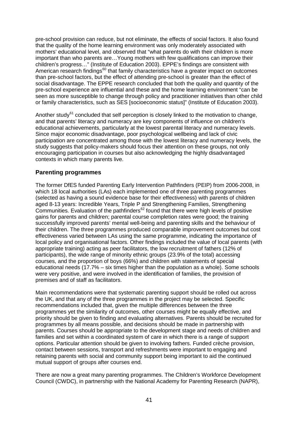pre-school provision can reduce, but not eliminate, the effects of social factors. It also found that the quality of the home learning environment was only moderately associated with mothers' educational level, and observed that "what parents do with their children is more important than who parents are…Young mothers with few qualifications can improve their children's progress…" (Institute of Education 2003). EPPE's findings are consistent with American research findings $60$  that family characteristics have a greater impact on outcomes than pre-school factors, but the effect of attending pre-school is greater than the effect of social disadvantage. The EPPE research concluded that both the quality and quantity of the pre-school experience are influential and these and the home learning environment "can be seen as more susceptible to change through policy and practitioner initiatives than other child or family characteristics, such as SES [socioeconomic status]" (Institute of Education 2003).

Another study $61$  concluded that self perception is closely linked to the motivation to change, and that parents' literacy and numeracy are key components of influence on children's educational achievements, particularly at the lowest parental literacy and numeracy levels. Since major economic disadvantage, poor psychological wellbeing and lack of civic participation are concentrated among those with the lowest literacy and numeracy levels, the study suggests that policy-makers should focus their attention on these groups, not only encouraging participation in courses but also acknowledging the highly disadvantaged contexts in which many parents live.

## **Parenting programmes**

The former DfES funded Parenting Early Intervention Pathfinders (PEIP) from 2006-2008, in which 18 local authorities (LAs) each implemented one of three parenting programmes (selected as having a sound evidence base for their effectiveness) with parents of children aged 8-13 years: Incredible Years, Triple P and Strengthening Families, Strengthening Communities. Evaluation of the pathfinders $62$  found that there were high levels of positive gains for parents and children; parental course completion rates were good; the training successfully improved parents' mental well-being and parenting skills and the behaviour of their children. The three programmes produced comparable improvement outcomes but cost effectiveness varied between LAs using the same programme, indicating the importance of local policy and organisational factors. Other findings included the value of local parents (with appropriate training) acting as peer facilitators, the low recruitment of fathers (12% of participants), the wide range of minority ethnic groups (23.9% of the total) accessing courses, and the proportion of boys (66%) and children with statements of special educational needs (17.7% – six times higher than the population as a whole). Some schools were very positive, and were involved in the identification of families, the provision of premises and of staff as facilitators.

Main recommendations were that systematic parenting support should be rolled out across the UK, and that any of the three programmes in the project may be selected. Specific recommendations included that, given the multiple differences between the three programmes yet the similarity of outcomes, other courses might be equally effective, and priority should be given to finding and evaluating alternatives. Parents should be recruited for programmes by all means possible, and decisions should be made in partnership with parents. Courses should be appropriate to the development stage and needs of children and families and set within a coordinated system of care in which there is a range of support options. Particular attention should be given to involving fathers. Funded crèche provision, contact between sessions, transport and refreshments were important to engaging and retaining parents with social and community support being important to aid the continued mutual support of groups after courses end.

There are now a great many parenting programmes. The Children's Workforce Development Council (CWDC), in partnership with the National Academy for Parenting Research (NAPR),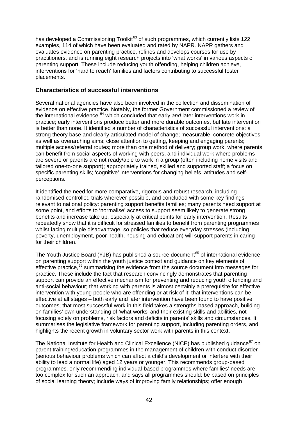has developed a Commissioning Toolkit<sup>[63](#page-82-6)</sup> of such programmes, which currently lists 122 examples, 114 of which have been evaluated and rated by NAPR. NAPR gathers and evaluates evidence on parenting practice, refines and develops courses for use by practitioners, and is running eight research projects into 'what works' in various aspects of parenting support. These include reducing youth offending, helping children achieve, interventions for 'hard to reach' families and factors contributing to successful foster placements.

#### **Characteristics of successful interventions**

Several national agencies have also been involved in the collection and dissemination of evidence on effective practice. Notably, the former Government commissioned a review of the international evidence, [64](#page-82-7) which concluded that early *and* later interventions work in practice; early interventions produce better and more durable outcomes, but late intervention is better than none. It identified a number of characteristics of successful interventions: a strong theory base and clearly articulated model of change; measurable, concrete objectives as well as overarching aims; close attention to getting, keeping and engaging parents; multiple access/referral routes; more than one method of delivery; group work, where parents can benefit from social aspects of working with peers, and individual work where problems are severe or parents are not ready/able to work in a group (often including home visits and tailored one-to-one support); appropriately trained, skilled and supported staff; a focus on specific parenting skills; 'cognitive' interventions for changing beliefs, attitudes and selfperceptions.

It identified the need for more comparative, rigorous and robust research, including randomised controlled trials wherever possible, and concluded with some key findings relevant to national policy: parenting support benefits families; many parents need support at some point, and efforts to 'normalise' access to support seem likely to generate strong benefits and increase take up, especially at critical points for early intervention. Results repeatedly show that it is difficult for stressed families to benefit from parenting programmes whilst facing multiple disadvantage, so policies that reduce everyday stresses (including poverty, unemployment, poor health, housing and education) will support parents in caring for their children.

The Youth Justice Board (YJB) has published a source document<sup>[65](#page-82-8)</sup> of international evidence on parenting support within the youth justice context and guidance on key elements of effective practice,<sup>[66](#page-82-9)</sup> summarising the evidence from the source document into messages for practice. These include the fact that research convincingly demonstrates that parenting support can provide an effective mechanism for preventing and reducing youth offending and anti-social behaviour; that working with parents is almost certainly a prerequisite for effective intervention with young people who are offending or at risk of it; that interventions can be effective at all stages – both early and later intervention have been found to have positive outcomes; that most successful work in this field takes a strengths-based approach, building on families' own understanding of 'what works' and their existing skills and abilities, not focusing solely on problems, risk factors and deficits in parents' skills and circumstances. It summarises the legislative framework for parenting support, including parenting orders, and highlights the recent growth in voluntary sector work with parents in this context.

The National Institute for Health and Clinical Excellence (NICE) has published guidance<sup>[67](#page-82-10)</sup> on parent training/education programmes in the management of children with conduct disorder (serious behaviour problems which can affect a child's development or interfere with their ability to lead a normal life) aged 12 years or younger. This recommends group-based programmes, only recommending individual-based programmes where families' needs are too complex for such an approach, and says all programmes should: be based on principles of social learning theory; include ways of improving family relationships; offer enough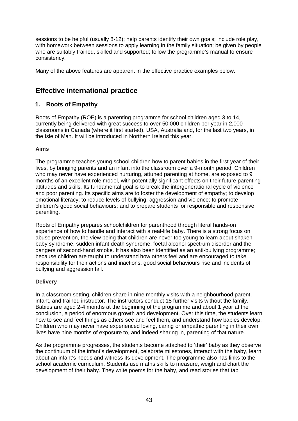sessions to be helpful (usually 8-12); help parents identify their own goals; include role play, with homework between sessions to apply learning in the family situation; be given by people who are suitably trained, skilled and supported; follow the programme's manual to ensure consistency.

Many of the above features are apparent in the effective practice examples below.

# **Effective international practice**

# **1. Roots of Empathy**

Roots of Empathy (ROE) is a parenting programme for school children aged 3 to 14, currently being delivered with great success to over 50,000 children per year in 2,000 classrooms in Canada (where it first started), USA, Australia and, for the last two years, in the Isle of Man. It will be introduced in Northern Ireland this year.

## **Aims**

The programme teaches young school-children how to parent babies in the first year of their lives, by bringing parents and an infant into the classroom over a 9-month period. Children who may never have experienced nurturing, attuned parenting at home, are exposed to 9 months of an excellent role model, with potentially significant effects on their future parenting attitudes and skills. Its fundamental goal is to break the intergenerational cycle of violence and poor parenting. Its specific aims are to foster the development of empathy; to develop emotional literacy; to reduce levels of bullying, aggression and violence; to promote children's good social behaviours; and to prepare students for responsible and responsive parenting.

Roots of Empathy prepares schoolchildren for parenthood through literal hands-on experience of how to handle and interact with a real-life baby. There is a strong focus on abuse prevention, the view being that children are never too young to learn about shaken baby syndrome, sudden infant death syndrome, foetal alcohol spectrum disorder and the dangers of second-hand smoke. It has also been identified as an anti-bullying programme; because children are taught to understand how others feel and are encouraged to take responsibility for their actions and inactions, good social behaviours rise and incidents of bullying and aggression fall.

#### **Delivery**

In a classroom setting, children share in nine monthly visits with a neighbourhood parent, infant, and trained instructor. The instructors conduct 18 further visits without the family. Babies are aged 2-4 months at the beginning of the programme and about 1 year at the conclusion, a period of enormous growth and development. Over this time, the students learn how to see and feel things as others see and feel them, and understand how babies develop. Children who may never have experienced loving, caring or empathic parenting in their own lives have nine months of exposure to, and indeed sharing in, parenting of that nature.

As the programme progresses, the students become attached to 'their' baby as they observe the continuum of the infant's development, celebrate milestones, interact with the baby, learn about an infant's needs and witness its development. The programme also has links to the school academic curriculum. Students use maths skills to measure, weigh and chart the development of their baby. They write poems for the baby, and read stories that tap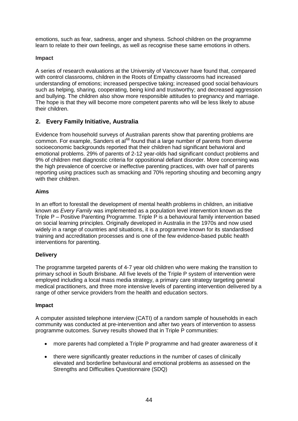emotions, such as fear, sadness, anger and shyness. School children on the programme learn to relate to their own feelings, as well as recognise these same emotions in others.

#### **Impact**

A series of research evaluations at the University of Vancouver have found that, compared with control classrooms, children in the Roots of Empathy classrooms had increased understanding of emotions; increased perspective taking; increased good social behaviours such as helping, sharing, cooperating, being kind and trustworthy; and decreased aggression and bullying. The children also show more responsible attitudes to pregnancy and marriage. The hope is that they will become more competent parents who will be less likely to abuse their children.

# **2. Every Family Initiative, Australia**

Evidence from household surveys of Australian parents show that parenting problems are  $common.$  For example, Sanders et al $^{68}$  $^{68}$  $^{68}$  found that a large number of parents from diverse socioeconomic backgrounds reported that their children had significant behavioral and emotional problems. 29% of parents of 2-12 year-olds had significant conduct problems and 9% of children met diagnostic criteria for oppositional defiant disorder. More concerning was the high prevalence of coercive or ineffective parenting practices, with over half of parents reporting using practices such as smacking and 70% reporting shouting and becoming angry with their children.

#### **Aims**

In an effort to forestall the development of mental health problems in children, an initiative known as *Every Family* was implemented as a population level intervention known as the Triple P – Positive Parenting Programme. Triple P is a behavioural family intervention based on social learning principles. Originally developed in Australia in the 1970s and now used widely in a range of countries and situations, it is a programme known for its standardised training and accreditation processes and is one of the few evidence-based public health interventions for parenting.

#### **Delivery**

The programme targeted parents of 4-7 year old children who were making the transition to primary school in South Brisbane. All five levels of the Triple P system of intervention were employed including a local mass media strategy, a primary care strategy targeting general medical practitioners, and three more intensive levels of parenting intervention delivered by a range of other service providers from the health and education sectors.

#### **Impact**

A computer assisted telephone interview (CATI) of a random sample of households in each community was conducted at pre-intervention and after two years of intervention to assess programme outcomes. Survey results showed that in Triple P communities:

- more parents had completed a Triple P programme and had greater awareness of it
- there were significantly greater reductions in the number of cases of clinically elevated and borderline behavioural and emotional problems as assessed on the Strengths and Difficulties Questionnaire (SDQ)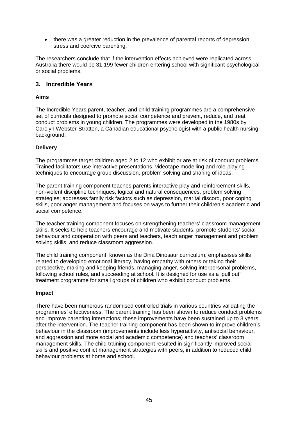• there was a greater reduction in the prevalence of parental reports of depression, stress and coercive parenting.

The researchers conclude that if the intervention effects achieved were replicated across Australia there would be 31,199 fewer children entering school with significant psychological or social problems.

#### **3. Incredible Years**

#### **Aims**

The Incredible Years parent, teacher, and child training programmes are a comprehensive set of curricula designed to promote social competence and prevent, reduce, and treat conduct problems in young children. The programmes were developed in the 1980s by Carolyn Webster-Stratton, a Canadian educational psychologist with a public health nursing background.

#### **Delivery**

The programmes target children aged 2 to 12 who exhibit or are at risk of conduct problems. Trained facilitators use interactive presentations, videotape modelling and role-playing techniques to encourage group discussion, problem solving and sharing of ideas.

The parent training component teaches parents interactive play and reinforcement skills, non-violent discipline techniques, logical and natural consequences, problem solving strategies; addresses family risk factors such as depression, marital discord, poor coping skills, poor anger management and focuses on ways to further their children's academic and social competence.

The teacher training component focuses on strengthening teachers' classroom management skills. It seeks to help teachers encourage and motivate students, promote students' social behaviour and cooperation with peers and teachers, teach anger management and problem solving skills, and reduce classroom aggression.

The child training component, known as the Dina Dinosaur curriculum, emphasises skills related to developing emotional literacy, having empathy with others or taking their perspective, making and keeping friends, managing anger, solving interpersonal problems, following school rules, and succeeding at school. It is designed for use as a 'pull out' treatment programme for small groups of children who exhibit conduct problems.

#### **Impact**

There have been numerous randomised controlled trials in various countries validating the programmes' effectiveness. The parent training has been shown to reduce conduct problems and improve parenting interactions; these improvements have been sustained up to 3 years after the intervention. The teacher training component has been shown to improve children's behaviour in the classroom (improvements include less hyperactivity, antisocial behaviour, and aggression and more social and academic competence) and teachers' classroom management skills. The child training component resulted in significantly improved social skills and positive conflict management strategies with peers, in addition to reduced child behaviour problems at home and school.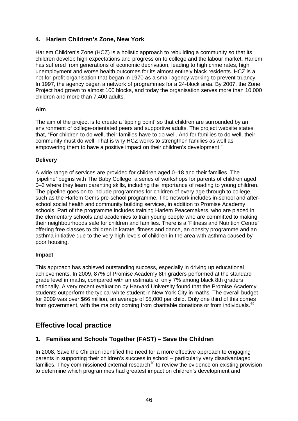# **4. Harlem Children's Zone, New York**

Harlem Children's Zone (HCZ) is a holistic approach to rebuilding a community so that its children develop high expectations and progress on to college and the labour market. Harlem has suffered from generations of economic deprivation, leading to high crime rates, high unemployment and worse health outcomes for its almost entirely black residents. HCZ is a not for profit organisation that began in 1970 as a small agency working to prevent truancy. In 1997, the agency began a network of programmes for a 24-block area. By 2007, the Zone Project had grown to almost 100 blocks, and today the organisation serves more than 10,000 children and more than 7,400 adults.

#### **Aim**

The aim of the project is to create a 'tipping point' so that children are surrounded by an environment of college-orientated peers and supportive adults. The project website states that, "For children to do well, their families have to do well. And for families to do well, their community must do well. That is why HCZ works to strengthen families as well as empowering them to have a positive impact on their children's development."

## **Delivery**

A wide range of services are provided for children aged 0–18 and their families. The 'pipeline' begins with The Baby College, a series of workshops for parents of children aged 0–3 where they learn parenting skills, including the importance of reading to young children. The pipeline goes on to include programmes for children of every age through to college, such as the Harlem Gems pre-school programme. The network includes in-school and afterschool social health and community building services, in addition to Promise Academy schools. Part of the programme includes training Harlem Peacemakers, who are placed in the elementary schools and academies to train young people who are committed to making their neighbourhoods safe for children and families. There is a 'Fitness and Nutrition Centre' offering free classes to children in karate, fitness and dance, an obesity programme and an asthma initiative due to the very high levels of children in the area with asthma caused by poor housing.

#### **Impact**

This approach has achieved outstanding success, especially in driving up educational achievements. In 2009, 87% of Promise Academy 8th graders performed at the standard grade level in maths, compared with an estimate of only 7% among black 8th graders nationally. A very recent evaluation by Harvard University found that the Promise Academy students outperform the typical white student in New York City in maths. The overall budget for 2009 was over \$66 million, an average of \$5,000 per child. Only one third of this comes from government, with the majority coming from charitable donations or from individuals.<sup>[69](#page-82-12)</sup>

# **Effective local practice**

# **1. Families and Schools Together (FAST) – Save the Children**

In 2008, Save the Children identified the need for a more effective approach to engaging parents in supporting their children's success in school – particularly very disadvantaged families. They commissioned external research<sup>[70](#page-82-13)</sup> to review the evidence on existing provision to determine which programmes had greatest impact on children's development and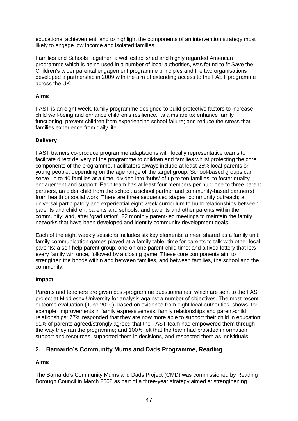educational achievement, and to highlight the components of an intervention strategy most likely to engage low income and isolated families.

Families and Schools Together, a well established and highly regarded American programme which is being used in a number of local authorities, was found to fit Save the Children's wider parental engagement programme principles and the two organisations developed a partnership in 2009 with the aim of extending access to the FAST programme across the UK.

### **Aims**

FAST is an eight-week, family programme designed to build protective factors to increase child well-being and enhance children's resilience. Its aims are to: enhance family functioning; prevent children from experiencing school failure; and reduce the stress that families experience from daily life.

#### **Delivery**

FAST trainers co-produce programme adaptations with locally representative teams to facilitate direct delivery of the programme to children and families whilst protecting the core components of the programme. Facilitators always include at least 25% local parents or young people, depending on the age range of the target group. School-based groups can serve up to 40 families at a time, divided into 'hubs' of up to ten families, to foster quality engagement and support. Each team has at least four members per hub: one to three parent partners, an older child from the school, a school partner and community-based partner(s) from health or social work. There are three sequenced stages: community outreach; a universal participatory and experiential eight-week curriculum to build relationships between parents and children, parents and schools, and parents and other parents within the community; and, after 'graduation', 22 monthly parent-led meetings to maintain the family networks that have been developed and identify community development goals.

Each of the eight weekly sessions includes six key elements: a meal shared as a family unit; family communication games played at a family table; time for parents to talk with other local parents; a self-help parent group; one-on-one parent-child time; and a fixed lottery that lets every family win once, followed by a closing game. These core components aim to strengthen the bonds within and between families, and between families, the school and the community.

#### **Impact**

Parents and teachers are given post-programme questionnaires, which are sent to the FAST project at Middlesex University for analysis against a number of objectives. The most recent outcome evaluation (June 2010), based on evidence from eight local authorities, shows, for example: improvements in family expressiveness, family relationships and parent-child relationships; 77% responded that they are now more able to support their child in education; 91% of parents agreed/strongly agreed that the FAST team had empowered them through the way they ran the programme; and 100% felt that the team had provided information, support and resources, supported them in decisions, and respected them as individuals.

# **2. Barnardo's Community Mums and Dads Programme, Reading**

#### **Aims**

The Barnardo's Community Mums and Dads Project (CMD) was commissioned by Reading Borough Council in March 2008 as part of a three-year strategy aimed at strengthening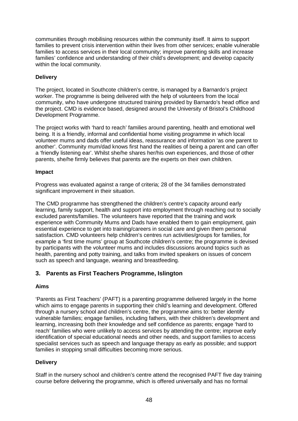communities through mobilising resources within the community itself. It aims to support families to prevent crisis intervention within their lives from other services; enable vulnerable families to access services in their local community; improve parenting skills and increase families' confidence and understanding of their child's development; and develop capacity within the local community.

#### **Delivery**

The project, located in Southcote children's centre, is managed by a Barnardo's project worker. The programme is being delivered with the help of volunteers from the local community, who have undergone structured training provided by Barnardo's head office and the project. CMD is evidence based, designed around the University of Bristol's Childhood Development Programme.

The project works with 'hard to reach' families around parenting, health and emotional well being. It is a friendly, informal and confidential home visiting programme in which local volunteer mums and dads offer useful ideas, reassurance and information 'as one parent to another'. Community mum/dad knows first hand the realities of being a parent and can offer a 'friendly listening ear'. Whilst she/he shares her/his own experiences, and those of other parents, she/he firmly believes that parents are the experts on their own children.

#### **Impact**

Progress was evaluated against a range of criteria; 28 of the 34 families demonstrated significant improvement in their situation.

The CMD programme has strengthened the children's centre's capacity around early learning, family support, health and support into employment through reaching out to socially excluded parents/families. The volunteers have reported that the training and work experience with Community Mums and Dads have enabled them to gain employment, gain essential experience to get into training/careers in social care and given them personal satisfaction. CMD volunteers help children's centres run activities/groups for families, for example a 'first time mums' group at Southcote children's centre; the programme is devised by participants with the volunteer mums and includes discussions around topics such as health, parenting and potty training, and talks from invited speakers on issues of concern such as speech and language, weaning and breastfeeding.

#### **3. Parents as First Teachers Programme, Islington**

#### **Aims**

'Parents as First Teachers' (PAFT) is a parenting programme delivered largely in the home which aims to engage parents in supporting their child's learning and development. Offered through a nursery school and children's centre, the programme aims to: better identify vulnerable families; engage families, including fathers, with their children's development and learning, increasing both their knowledge and self confidence as parents; engage 'hard to reach' families who were unlikely to access services by attending the centre; improve early identification of special educational needs and other needs, and support families to access specialist services such as speech and language therapy as early as possible; and support families in stopping small difficulties becoming more serious.

#### **Delivery**

Staff in the nursery school and children's centre attend the recognised PAFT five day training course before delivering the programme, which is offered universally and has no formal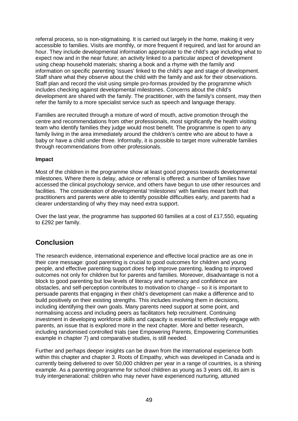referral process, so is non-stigmatising. It is carried out largely in the home, making it very accessible to families. Visits are monthly, or more frequent if required, and last for around an hour. They include developmental information appropriate to the child's age including what to expect now and in the near future; an activity linked to a particular aspect of development using cheap household materials; sharing a book and a rhyme with the family and information on specific parenting 'issues' linked to the child's age and stage of development. Staff share what they observe about the child with the family and ask for their observations. Staff plan and record the visit using simple pro-formas provided by the programme which includes checking against developmental milestones. Concerns about the child's development are shared with the family. The practitioner, with the family's consent, may then refer the family to a more specialist service such as speech and language therapy.

Families are recruited through a mixture of word of mouth, active promotion through the centre and recommendations from other professionals, most significantly the health visiting team who identify families they judge would most benefit. The programme is open to any family living in the area immediately around the children's centre who are about to have a baby or have a child under three. Informally, it is possible to target more vulnerable families through recommendations from other professionals.

#### **Impact**

Most of the children in the programme show at least good progress towards developmental milestones. Where there is delay, advice or referral is offered: a number of families have accessed the clinical psychology service, and others have begun to use other resources and facilities. The consideration of developmental 'milestones' with families meant both that practitioners and parents were able to identify possible difficulties early, and parents had a clearer understanding of why they may need extra support.

Over the last year, the programme has supported 60 families at a cost of £17,550, equating to £292 per family.

# **Conclusion**

The research evidence, international experience and effective local practice are as one in their core message: good parenting is crucial to good outcomes for children and young people, and effective parenting support *does* help improve parenting, leading to improved outcomes not only for children but for parents and families. Moreover, disadvantage is not a block to good parenting but low levels of literacy and numeracy and confidence are obstacles, and self-perception contributes to motivation to change – so it is important to persuade parents that engaging in their child's development can make a difference and to build positively on their existing strengths. This includes involving them in decisions, including identifying their own goals. Many parents need support at some point, and normalising access and including peers as facilitators help recruitment. Continuing investment in developing workforce skills and capacity is essential to effectively engage with parents, an issue that is explored more in the next chapter. More and better research, including randomised controlled trials (see Empowering Parents, Empowering Communities example in chapter 7) and comparative studies, is still needed.

Further and perhaps deeper insights can be drawn from the international experience both within this chapter and chapter 3. Roots of Empathy, which was developed in Canada and is currently being delivered to over 50,000 children per year in a range of countries, is a shining example. As a parenting programme for school children as young as 3 years old, its aim is truly intergenerational: children who may never have experienced nurturing, attuned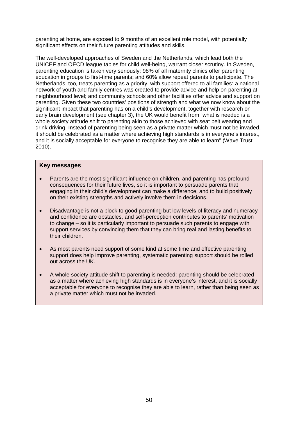parenting at home, are exposed to 9 months of an excellent role model, with potentially significant effects on their future parenting attitudes and skills.

The well-developed approaches of Sweden and the Netherlands, which lead both the UNICEF and OECD league tables for child well-being, warrant closer scrutiny. In Sweden, parenting education is taken very seriously: 98% of all maternity clinics offer parenting education in groups to first-time parents; and 60% allow repeat parents to participate. The Netherlands, too, treats parenting as a priority, with support offered to all families: a national network of youth and family centres was created to provide advice and help on parenting at neighbourhood level; and community schools and other facilities offer advice and support on parenting. Given these two countries' positions of strength and what we now know about the significant impact that parenting has on a child's development, together with research on early brain development (see chapter 3), the UK would benefit from "what is needed is a whole society attitude shift to parenting akin to those achieved with seat belt wearing and drink driving. Instead of parenting being seen as a private matter which must not be invaded, it should be celebrated as a matter where achieving high standards is in everyone's interest, and it is socially acceptable for everyone to recognise they are able to learn" (Wave Trust 2010).

#### **Key messages**

- Parents are the most significant influence on children, and parenting has profound consequences for their future lives, so it is important to persuade parents that engaging in their child's development can make a difference, and to build positively on their existing strengths and actively involve them in decisions.
- Disadvantage is not a block to good parenting but low levels of literacy and numeracy and confidence are obstacles, and self-perception contributes to parents' motivation to change – so it is particularly important to persuade such parents to engage with support services by convincing them that they can bring real and lasting benefits to their children.
- As most parents need support of some kind at some time and effective parenting support does help improve parenting, systematic parenting support should be rolled out across the UK.
- A whole society attitude shift to parenting is needed: parenting should be celebrated as a matter where achieving high standards is in everyone's interest, and it is socially acceptable for everyone to recognise they are able to learn, rather than being seen as a private matter which must not be invaded.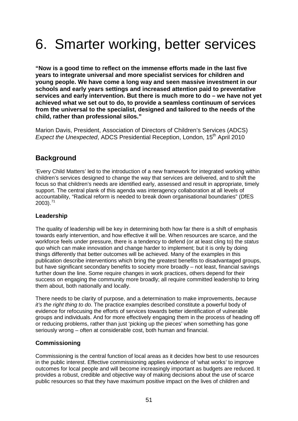# 6. Smarter working, better services

**"Now is a good time to reflect on the immense efforts made in the last five years to integrate universal and more specialist services for children and young people. We have come a long way and seen massive investment in our schools and early years settings and increased attention paid to preventative services and early intervention. But there is much more to do – we have not yet achieved what we set out to do, to provide a seamless continuum of services from the universal to the specialist, designed and tailored to the needs of the child, rather than professional silos."**

Marion Davis, President, Association of Directors of Children's Services (ADCS) *Expect the Unexpected*, ADCS Presidential Reception, London, 15<sup>th</sup> April 2010

# **Background**

'Every Child Matters' led to the introduction of a new framework for integrated working within children's services designed to change the way that services are delivered, and to shift the focus so that children's needs are identified early, assessed and result in appropriate, timely support. The central plank of this agenda was interagency collaboration at all levels of accountability, "Radical reform is needed to break down organisational boundaries" (DfES  $2003$ ).<sup>[71](#page-82-14)</sup>

# **Leadership**

The quality of leadership will be key in determining both how far there is a shift of emphasis towards early intervention, and how effective it will be. When resources are scarce, and the workforce feels under pressure, there is a tendency to defend (or at least cling to) the *status quo* which can make innovation and change harder to implement; but it is only by doing things differently that better outcomes will be achieved. Many of the examples in this publication describe interventions which bring the greatest benefits to disadvantaged groups, but have significant secondary benefits to society more broadly – not least, financial savings further down the line. Some require changes in work practices, others depend for their success on engaging the community more broadly; all require committed leadership to bring them about, both nationally and locally.

There needs to be clarity of purpose, and a determination to make improvements, *because it's the right thing to do*. The practice examples described constitute a powerful body of evidence for refocusing the efforts of services towards better identification of vulnerable groups and individuals. And for more effectively engaging them in the process of heading off or reducing problems, rather than just 'picking up the pieces' when something has gone seriously wrong – often at considerable cost, both human and financial.

# **Commissioning**

Commissioning is the central function of local areas as it decides how best to use resources in the public interest. Effective commissioning applies evidence of 'what works' to improve outcomes for local people and will become increasingly important as budgets are reduced. It provides a robust, credible and objective way of making decisions about the use of scarce public resources so that they have maximum positive impact on the lives of children and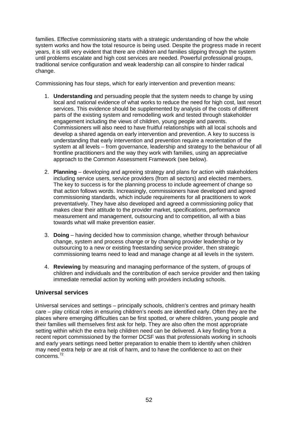families. Effective commissioning starts with a strategic understanding of how the whole system works and how the total resource is being used. Despite the progress made in recent years, it is still very evident that there are children and families slipping through the system until problems escalate and high cost services are needed. Powerful professional groups, traditional service configuration and weak leadership can all conspire to hinder radical change.

Commissioning has four steps, which for early intervention and prevention means:

- 1. **Understanding** and persuading people that the system needs to change by using local and national evidence of what works to reduce the need for high cost, last resort services. This evidence should be supplemented by analysis of the costs of different parts of the existing system and remodelling work and tested through stakeholder engagement including the views of children, young people and parents. Commissioners will also need to have fruitful relationships with all local schools and develop a shared agenda on early intervention and prevention. A key to success is understanding that early intervention and prevention require a reorientation of the system at all levels – from governance, leadership and strategy to the behaviour of all frontline practitioners and the way they work with families, using an appreciative approach to the Common Assessment Framework (see below).
- 2. **Planning** developing and agreeing strategy and plans for action with stakeholders including service users, service providers (from all sectors) and elected members. The key to success is for the planning process to include agreement of change so that action follows words. Increasingly, commissioners have developed and agreed commissioning standards, which include requirements for all practitioners to work preventatively. They have also developed and agreed a commissioning policy that makes clear their attitude to the provider market, specifications, performance measurement and management, outsourcing and to competition, all with a bias towards what will make prevention easier.
- 3. **Doing** having decided how to commission change, whether through behaviour change, system and process change or by changing provider leadership or by outsourcing to a new or existing freestanding service provider, then strategic commissioning teams need to lead and manage change at all levels in the system.
- 4. **Reviewing** by measuring and managing performance of the system, of groups of children and individuals and the contribution of each service provider and then taking immediate remedial action by working with providers including schools.

# **Universal services**

Universal services and settings – principally schools, children's centres and primary health care – play critical roles in ensuring children's needs are identified early. Often they are the places where emerging difficulties can be first spotted, or where children, young people and their families will themselves first ask for help. They are also often the most appropriate setting within which the extra help children need can be delivered. A key finding from a recent report commissioned by the former DCSF was that professionals working in schools and early years settings need better preparation to enable them to identify when children may need extra help or are at risk of harm, and to have the confidence to act on their concerns.[72](#page-82-15)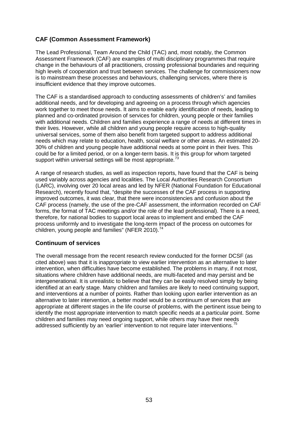## **CAF (Common Assessment Framework)**

The Lead Professional, Team Around the Child (TAC) and, most notably, the Common Assessment Framework (CAF) are examples of multi disciplinary programmes that require change in the behaviours of all practitioners, crossing professional boundaries and requiring high levels of cooperation and trust between services. The challenge for commissioners now is to mainstream these processes and behaviours, challenging services, where there is insufficient evidence that they improve outcomes.

The CAF is a standardised approach to conducting assessments of children's' and families additional needs, and for developing and agreeing on a process through which agencies work together to meet those needs. It aims to enable early identification of needs, leading to planned and co-ordinated provision of services for children, young people or their families with additional needs. Children and families experience a range of needs at different times in their lives. However, while all children and young people require access to high-quality universal services, some of them also benefit from targeted support to address additional needs which may relate to education, health, social welfare or other areas. An estimated 20- 30% of children and young people have additional needs at some point in their lives. This could be for a limited period, or on a longer-term basis. It is this group for whom targeted support within universal settings will be most appropriate.<sup>[73](#page-82-16)</sup>

A range of research studies, as well as inspection reports, have found that the CAF is being used variably across agencies and localities. The Local Authorities Research Consortium (LARC), involving over 20 local areas and led by NFER (National Foundation for Educational Research), recently found that, "despite the successes of the CAF process in supporting improved outcomes, it was clear, that there were inconsistencies and confusion about the CAF process (namely, the use of the pre-CAF assessment, the information recorded on CAF forms, the format of TAC meetings and/or the role of the lead professional). There is a need, therefore, for national bodies to support local areas to implement and embed the CAF process uniformly and to investigate the long-term impact of the process on outcomes for children, young people and families" (NFER 2010).<sup>[74](#page-82-17)</sup>

#### **Continuum of services**

The overall message from the recent research review conducted for the former DCSF (as cited above) was that it is inappropriate to view earlier intervention as an alternative to later intervention, when difficulties have become established. The problems in many, if not most, situations where children have additional needs, are multi-faceted and may persist and be intergenerational. It is unrealistic to believe that they can be easily resolved simply by being identified at an early stage. Many children and families are likely to need continuing support, and interventions at a number of points. Rather than looking upon earlier intervention as an alternative to later intervention, a better model would be a continuum of services that are appropriate at different stages in the life course of problems, with the pertinent issue being to identify the most appropriate intervention to match specific needs at a particular point. Some children and families may need ongoing support, while others may have their needs addressed sufficiently by an 'earlier' intervention to not require later interventions.<sup>[75](#page-82-18)</sup>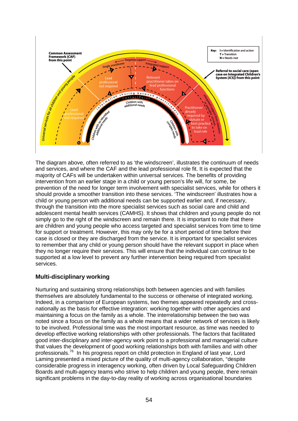

The diagram above, often referred to as 'the windscreen', illustrates the continuum of needs and services, and where the CAF and the lead professional role fit. It is expected that the majority of CAFs will be undertaken within universal services. The benefits of providing intervention from an earlier stage in a child or young person's life will, for some, be prevention of the need for longer term involvement with specialist services, while for others it should provide a smoother transition into these services. 'The windscreen' illustrates how a child or young person with additional needs can be supported earlier and, if necessary, through the transition into the more specialist services such as social care and child and adolescent mental health services (CAMHS). It shows that children and young people do not simply go to the right of the windscreen and remain there. It is important to note that there are children and young people who access targeted and specialist services from time to time for support or treatment. However, this may only be for a short period of time before their case is closed or they are discharged from the service. It is important for specialist services to remember that any child or young person should have the relevant support in place when they no longer require their services. This will ensure that the individual can continue to be supported at a low level to prevent any further intervention being required from specialist services.

#### **Multi-disciplinary working**

Nurturing and sustaining strong relationships both between agencies and with families themselves are absolutely fundamental to the success or otherwise of integrated working. Indeed, in a comparison of European systems, two themes appeared repeatedly and crossnationally as the basis for effective integration: working together with other agencies and maintaining a focus on the family as a whole. The interrelationship between the two was noted since a focus on the family as a whole means that a wider network of services is likely to be involved. Professional time was the most important resource, as time was needed to develop effective working relationships with other professionals. The factors that facilitated good inter-disciplinary and inter-agency work point to a professional and managerial culture that values the development of good working relationships both with families and with other professionals.<sup>[76](#page-82-19)</sup> In his progress report on child protection in England of last year, Lord Laming presented a mixed picture of the quality of multi-agency collaboration, "despite considerable progress in interagency working, often driven by Local Safeguarding Children Boards and multi-agency teams who strive to help children and young people, there remain significant problems in the day-to-day reality of working across organisational boundaries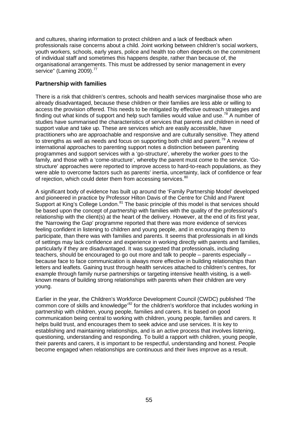and cultures, sharing information to protect children and a lack of feedback when professionals raise concerns about a child. Joint working between children's social workers, youth workers, schools, early years, police and health too often depends on the commitment of individual staff and sometimes this happens despite, rather than because of, the organisational arrangements. This must be addressed by senior management in every service" (Laming 2009).<sup>[77](#page-82-20)</sup>

# **Partnership with families**

There is a risk that children's centres, schools and health services marginalise those who are already disadvantaged, because these children or their families are less able or willing to access the provision offered. This needs to be mitigated by effective outreach strategies and finding out what kinds of support and help such families would value and use.<sup>[78](#page-82-21)</sup> A number of studies have summarised the characteristics of services that parents and children in need of support value and take up. These are services which are easily accessible, have practitioners who are approachable and responsive and are culturally sensitive. They attend to strengths as well as needs and focus on supporting both child and parent.<sup>[79](#page-82-22)</sup> A review of international approaches to parenting support notes a distinction between parenting programmes and support services with a 'go-structure', whereby the worker *goes* to the family, and those with a 'come-structure', whereby the parent must *come* to the service. 'Gostructure' approaches were reported to improve access to hard-to-reach populations, as they were able to overcome factors such as parents' inertia, uncertainty, lack of confidence or fear of rejection, which could deter them from accessing services.<sup>[80](#page-82-23)</sup>

A significant body of evidence has built up around the 'Family Partnership Model' developed and pioneered in practice by Professor Hilton Davis of the Centre for Child and Parent Support at King's College London.<sup>[81](#page-82-24)</sup> The basic principle of this model is that services should be based upon the concept of *partnership* with families with the quality of the professional's relationship with the client(s) at the heart of the delivery. However, at the end of its first year, the 'Narrowing the Gap' programme reported that there was more evidence of services feeling confident in listening to children and young people, and in encouraging them to participate, than there was with families and parents. It seems that professionals in all kinds of settings may lack confidence and experience in working directly with parents and families, particularly if they are disadvantaged. It was suggested that professionals, including teachers, should be encouraged to go out more and talk to people – parents especially – because face to face communication is always more effective in building relationships than letters and leaflets. Gaining trust through health services attached to children's centres, for example through family nurse partnerships or targeting intensive health visiting, is a wellknown means of building strong relationships with parents when their children are very young.

Earlier in the year, the Children's Workforce Development Council (CWDC) published 'The common core of skills and knowledge<sup>,[82](#page-82-25)</sup> for the children's workforce that includes working in partnership with children, young people, families and carers. It is based on good communication being central to working with children, young people, families and carers. It helps build trust, and encourages them to seek advice and use services. It is key to establishing and maintaining relationships, and is an active process that involves listening, questioning, understanding and responding. To build a rapport with children, young people, their parents and carers, it is important to be respectful, understanding and honest. People become engaged when relationships are continuous and their lives improve as a result.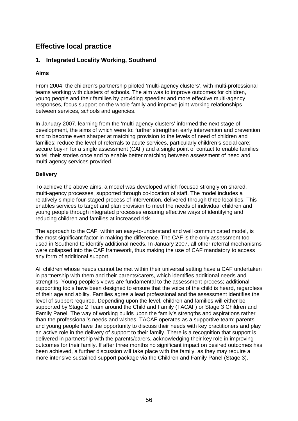# **Effective local practice**

# **1. Integrated Locality Working, Southend**

#### **Aims**

From 2004, the children's partnership piloted 'multi-agency clusters', with multi-professional teams working with clusters of schools. The aim was to improve outcomes for children, young people and their families by providing speedier and more effective multi-agency responses, focus support on the whole family and improve joint working relationships between services, schools and agencies.

In January 2007, learning from the 'multi-agency clusters' informed the next stage of development, the aims of which were to: further strengthen early intervention and prevention and to become even sharper at matching provision to the levels of need of children and families; reduce the level of referrals to acute services, particularly children's social care; secure buy-in for a single assessment (CAF) and a single point of contact to enable families to tell their stories once and to enable better matching between assessment of need and multi-agency services provided.

#### **Delivery**

To achieve the above aims, a model was developed which focused strongly on shared, multi-agency processes, supported through co-location of staff. The model includes a relatively simple four-staged process of intervention, delivered through three localities. This enables services to target and plan provision to meet the needs of individual children and young people through integrated processes ensuring effective ways of identifying and reducing children and families at increased risk.

The approach to the CAF, within an easy-to-understand and well communicated model, is the most significant factor in making the difference. The CAF is the only assessment tool used in Southend to identify additional needs. In January 2007, all other referral mechanisms were collapsed into the CAF framework, thus making the use of CAF mandatory to access any form of additional support.

All children whose needs cannot be met within their universal setting have a CAF undertaken in partnership with them and their parents/carers, which identifies additional needs and strengths. Young people's views are fundamental to the assessment process; additional supporting tools have been designed to ensure that the voice of the child is heard, regardless of their age and ability. Families agree a lead professional and the assessment identifies the level of support required. Depending upon the level, children and families will either be supported by Stage 2 Team around the Child and Family (TACAF) or Stage 3 Children and Family Panel. The way of working builds upon the family's strengths and aspirations rather than the professional's needs and wishes. TACAF operates as a supportive team; parents and young people have the opportunity to discuss their needs with key practitioners and play an active role in the delivery of support to their family. There is a recognition that support is delivered in partnership with the parents/carers, acknowledging their key role in improving outcomes for their family. If after three months no significant impact on desired outcomes has been achieved, a further discussion will take place with the family, as they may require a more intensive sustained support package via the Children and Family Panel (Stage 3).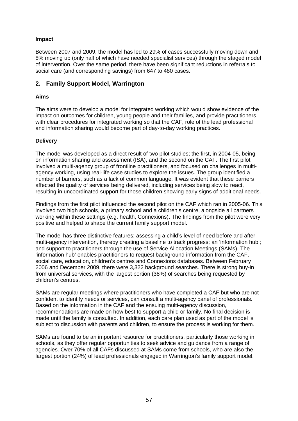#### **Impact**

Between 2007 and 2009, the model has led to 29% of cases successfully moving down and 8% moving up (only half of which have needed specialist services) through the staged model of intervention. Over the same period, there have been significant reductions in referrals to social care (and corresponding savings) from 647 to 480 cases.

## **2. Family Support Model, Warrington**

#### **Aims**

The aims were to develop a model for integrated working which would show evidence of the impact on outcomes for children, young people and their families, and provide practitioners with clear procedures for integrated working so that the CAF, role of the lead professional and information sharing would become part of day-to-day working practices.

#### **Delivery**

The model was developed as a direct result of two pilot studies; the first, in 2004-05, being on information sharing and assessment (ISA), and the second on the CAF. The first pilot involved a multi-agency group of frontline practitioners, and focused on challenges in multiagency working, using real-life case studies to explore the issues. The group identified a number of barriers, such as a lack of common language. It was evident that these barriers affected the quality of services being delivered, including services being slow to react, resulting in uncoordinated support for those children showing early signs of additional needs.

Findings from the first pilot influenced the second pilot on the CAF which ran in 2005-06. This involved two high schools, a primary school and a children's centre, alongside all partners working within these settings (e.g. health, Connexions). The findings from the pilot were very positive and helped to shape the current family support model.

The model has three distinctive features: assessing a child's level of need before and after multi-agency intervention, thereby creating a baseline to track progress; an 'information hub'; and support to practitioners through the use of Service Allocation Meetings (SAMs). The 'information hub' enables practitioners to request background information from the CAF, social care, education, children's centres and Connexions databases. Between February 2006 and December 2009, there were 3,322 background searches. There is strong buy-in from universal services, with the largest portion (38%) of searches being requested by children's centres.

SAMs are regular meetings where practitioners who have completed a CAF but who are not confident to identify needs or services, can consult a multi-agency panel of professionals. Based on the information in the CAF and the ensuing multi-agency discussion, recommendations are made on how best to support a child or family. No final decision is made until the family is consulted. In addition, each care plan used as part of the model is subject to discussion with parents and children, to ensure the process is working for them.

SAMs are found to be an important resource for practitioners, particularly those working in schools, as they offer regular opportunities to seek advice and guidance from a range of agencies. Over 70% of all CAFs discussed at SAMs come from schools, who are also the largest portion (24%) of lead professionals engaged in Warrington's family support model.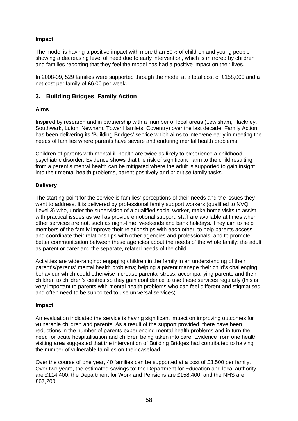#### **Impact**

The model is having a positive impact with more than 50% of children and young people showing a decreasing level of need due to early intervention, which is mirrored by children and families reporting that they feel the model has had a positive impact on their lives.

In 2008-09, 529 families were supported through the model at a total cost of £158,000 and a net cost per family of £6.00 per week.

#### **3. Building Bridges, Family Action**

#### **Aims**

Inspired by research and in partnership with a number of local areas (Lewisham, Hackney, Southwark, Luton, Newham, Tower Hamlets, Coventry) over the last decade, Family Action has been delivering its 'Building Bridges' service which aims to intervene early in meeting the needs of families where parents have severe and enduring mental health problems.

Children of parents with mental ill-health are twice as likely to experience a childhood psychiatric disorder. Evidence shows that the risk of significant harm to the child resulting from a parent's mental health can be mitigated where the adult is supported to gain insight into their mental health problems, parent positively and prioritise family tasks.

#### **Delivery**

The starting point for the service is families' perceptions of their needs and the issues they want to address. It is delivered by professional family support workers (qualified to NVQ Level 3) who, under the supervision of a qualified social worker, make home visits to assist with practical issues as well as provide emotional support; staff are available at times when other services are not, such as night-time, weekends and bank holidays. They aim to help members of the family improve their relationships with each other; to help parents access and coordinate their relationships with other agencies and professionals, and to promote better communication between these agencies about the needs of the whole family: the adult as parent or carer and the separate, related needs of the child.

Activities are wide-ranging: engaging children in the family in an understanding of their parent's/parents' mental health problems; helping a parent manage their child's challenging behaviour which could otherwise increase parental stress; accompanying parents and their children to children's centres so they gain confidence to use these services regularly (this is very important to parents with mental health problems who can feel different and stigmatised and often need to be supported to use universal services).

#### **Impact**

An evaluation indicated the service is having significant impact on improving outcomes for vulnerable children and parents. As a result of the support provided, there have been reductions in the number of parents experiencing mental health problems and in turn the need for acute hospitalisation and children being taken into care. Evidence from one health visiting area suggested that the intervention of Building Bridges had contributed to halving the number of vulnerable families on their caseload.

Over the course of one year, 40 families can be supported at a cost of £3,500 per family. Over two years, the estimated savings to: the Department for Education and local authority are £114,400; the Department for Work and Pensions are £158,400; and the NHS are £67,200.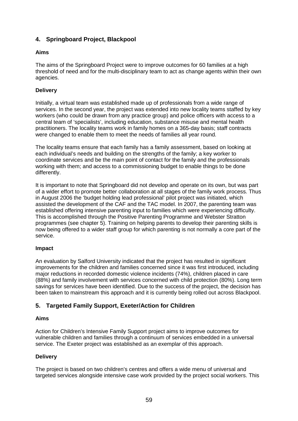# **4. Springboard Project, Blackpool**

### **Aims**

The aims of the Springboard Project were to improve outcomes for 60 families at a high threshold of need and for the multi-disciplinary team to act as change agents within their own agencies.

#### **Delivery**

Initially, a virtual team was established made up of professionals from a wide range of services. In the second year, the project was extended into new locality teams staffed by key workers (who could be drawn from any practice group) and police officers with access to a central team of 'specialists', including education, substance misuse and mental health practitioners. The locality teams work in family homes on a 365-day basis; staff contracts were changed to enable them to meet the needs of families all year round.

The locality teams ensure that each family has a family assessment, based on looking at each individual's needs and building on the strengths of the family; a key worker to coordinate services and be the main point of contact for the family and the professionals working with them; and access to a commissioning budget to enable things to be done differently.

It is important to note that Springboard did not develop and operate on its own, but was part of a wider effort to promote better collaboration at all stages of the family work process. Thus in August 2006 the 'budget holding lead professional' pilot project was initiated, which assisted the development of the CAF and the TAC model. In 2007, the parenting team was established offering intensive parenting input to families which were experiencing difficulty. This is accomplished through the Positive Parenting Programme and Webster Stratton programmes (see chapter 5). Training on helping parents to develop their parenting skills is now being offered to a wider staff group for which parenting is not normally a core part of the service.

#### **Impact**

An evaluation by Salford University indicated that the project has resulted in significant improvements for the children and families concerned since it was first introduced, including major reductions in recorded domestic violence incidents (74%), children placed in care (88%) and family involvement with services concerned with child protection (80%). Long term savings for services have been identified. Due to the success of the project, the decision has been taken to mainstream this approach and it is currently being rolled out across Blackpool.

# **5. Targeted Family Support, Exeter/Action for Children**

#### **Aims**

Action for Children's Intensive Family Support project aims to improve outcomes for vulnerable children and families through a continuum of services embedded in a universal service. The Exeter project was established as an exemplar of this approach.

#### **Delivery**

The project is based on two children's centres and offers a wide menu of universal and targeted services alongside intensive case work provided by the project social workers. This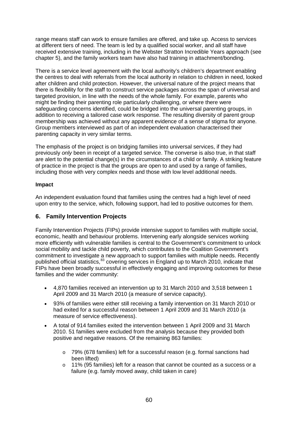range means staff can work to ensure families are offered, and take up. Access to services at different tiers of need. The team is led by a qualified social worker, and all staff have received extensive training, including in the Webster Stratton Incredible Years approach (see chapter 5), and the family workers team have also had training in attachment/bonding.

There is a service level agreement with the local authority's children's department enabling the centres to deal with referrals from the local authority in relation to children in need, looked after children and child protection. However, the universal nature of the project means that there is flexibility for the staff to construct service packages across the span of universal and targeted provision, in line with the needs of the whole family. For example, parents who might be finding their parenting role particularly challenging, or where there were safeguarding concerns identified, could be bridged into the universal parenting groups, in addition to receiving a tailored case work response. The resulting diversity of parent group membership was achieved without any apparent evidence of a sense of stigma for anyone. Group members interviewed as part of an independent evaluation characterised their parenting capacity in very similar terms.

The emphasis of the project is on bridging families into universal services, if they had previously *only* been in receipt of a targeted service. The converse is also true, in that staff are alert to the potential change(s) in the circumstances of a child or family. A striking feature of practice in the project is that the groups are open to and used by a range of families, including those with very complex needs and those with low level additional needs.

#### **Impact**

An independent evaluation found that families using the centres had a high level of need upon entry to the service, which, following support, had led to positive outcomes for them.

# **6. Family Intervention Projects**

Family Intervention Projects (FIPs) provide intensive support to families with multiple social, economic, health and behaviour problems. Intervening early alongside services working more efficiently with vulnerable families is central to the Government's commitment to unlock social mobility and tackle child poverty, which contributes to the Coalition Government's commitment to investigate a new approach to support families with multiple needs. Recently published official statistics,<sup>[83](#page-82-26)</sup> covering services in England up to March 2010, indicate that FIPs have been broadly successful in effectively engaging and improving outcomes for these families and the wider community:

- 4,870 families received an intervention up to 31 March 2010 and 3,518 between 1 April 2009 and 31 March 2010 (a measure of service capacity).
- 93% of families were either still receiving a family intervention on 31 March 2010 or had exited for a successful reason between 1 April 2009 and 31 March 2010 (a measure of service effectiveness).
- A total of 914 families exited the intervention between 1 April 2009 and 31 March 2010. 51 families were excluded from the analysis because they provided both positive and negative reasons. Of the remaining 863 families:
	- o 79% (678 families) left for a successful reason (e.g. formal sanctions had been lifted)
	- $\circ$  11% (95 families) left for a reason that cannot be counted as a success or a failure (e.g. family moved away, child taken in care)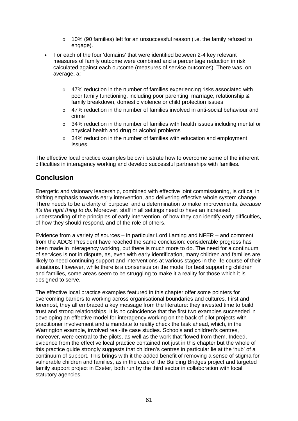- $\circ$  10% (90 families) left for an unsuccessful reason (i.e. the family refused to engage).
- For each of the four 'domains' that were identified between 2-4 key relevant measures of family outcome were combined and a percentage reduction in risk calculated against each outcome (measures of service outcomes). There was, on average, a:
	- $\circ$  47% reduction in the number of families experiencing risks associated with poor family functioning, including poor parenting, marriage, relationship & family breakdown, domestic violence or child protection issues
	- $\circ$  47% reduction in the number of families involved in anti-social behaviour and crime
	- o 34% reduction in the number of families with health issues including mental or physical health and drug or alcohol problems
	- $\circ$  34% reduction in the number of families with education and employment issues.

The effective local practice examples below illustrate how to overcome some of the inherent difficulties in interagency working and develop successful partnerships with families.

# **Conclusion**

Energetic and visionary leadership, combined with effective joint commissioning, is critical in shifting emphasis towards early intervention, and delivering effective whole system change. There needs to be a clarity of purpose, and a determination to make improvements, *because it's the right thing to do*. Moreover, staff in all settings need to have an increased understanding of the principles of early intervention, of how they can identify early difficulties, of how they should respond, and of the role of others.

Evidence from a variety of sources – in particular Lord Laming and NFER – and comment from the ADCS President have reached the same conclusion: considerable progress has been made in interagency working, but there is much more to do. The need for a continuum of services is not in dispute, as, even with early identification, many children and families are likely to need continuing support and interventions at various stages in the life course of their situations. However, while there is a consensus on the model for best supporting children and families, some areas seem to be struggling to make it a reality for those which it is designed to serve.

The effective local practice examples featured in this chapter offer some pointers for overcoming barriers to working across organisational boundaries and cultures. First and foremost, they all embraced a key message from the literature: they invested time to build trust and strong relationships. It is no coincidence that the first two examples succeeded in developing an effective model for interagency working on the back of pilot projects with practitioner involvement and a mandate to reality check the task ahead, which, in the Warrington example, involved real-life case studies. Schools and children's centres, moreover, were central to the pilots, as well as the work that flowed from them. Indeed, evidence from the effective local practice contained not just in this chapter but the whole of this practice guide strongly suggests that children's centres in particular lie at the 'hub' of a continuum of support. This brings with it the added benefit of removing a sense of stigma for vulnerable children and families, as in the case of the Building Bridges project and targeted family support project in Exeter, both run by the third sector in collaboration with local statutory agencies.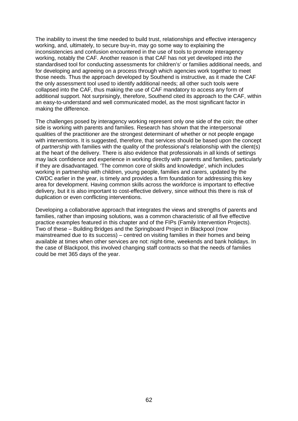The inability to invest the time needed to build trust, relationships and effective interagency working, and, ultimately, to secure buy-in, may go some way to explaining the inconsistencies and confusion encountered in the use of tools to promote interagency working, notably the CAF. Another reason is that CAF has not yet developed into *the* standardised tool for conducting assessments for children's' or families additional needs, and for developing and agreeing on a process through which agencies work together to meet those needs. Thus the approach developed by Southend is instructive, as it made the CAF the only assessment tool used to identify additional needs; all other such tools were collapsed into the CAF, thus making the use of CAF mandatory to access any form of additional support. Not surprisingly, therefore, Southend cited its approach to the CAF, within an easy-to-understand and well communicated model, as the most significant factor in making the difference.

The challenges posed by interagency working represent only one side of the coin; the other side is working with parents and families. Research has shown that the interpersonal qualities of the practitioner are the strongest determinant of whether or not people engage with interventions. It is suggested, therefore, that services should be based upon the concept of *partnership* with families with the quality of the professional's relationship with the client(s) at the heart of the delivery. There is also evidence that professionals in all kinds of settings may lack confidence and experience in working directly with parents and families, particularly if they are disadvantaged. 'The common core of skills and knowledge', which includes working in partnership with children, young people, families and carers, updated by the CWDC earlier in the year, is timely and provides a firm foundation for addressing this key area for development. Having common skills across the workforce is important to effective delivery, but it is also important to cost-effective delivery, since without this there is risk of duplication or even conflicting interventions.

Developing a collaborative approach that integrates the views and strengths of parents and families, rather than imposing solutions, was a common characteristic of all five effective practice examples featured in this chapter and of the FIPs (Family Intervention Projects). Two of these – Building Bridges and the Springboard Project in Blackpool (now mainstreamed due to its success) – centred on visiting families in their homes and being available at times when other services are not: night-time, weekends and bank holidays. In the case of Blackpool, this involved changing staff contracts so that the needs of families could be met 365 days of the year.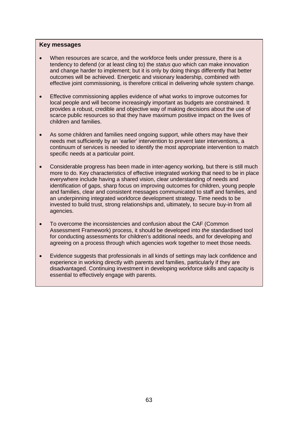#### **Key messages**

- When resources are scarce, and the workforce feels under pressure, there is a tendency to defend (or at least cling to) the *status quo* which can make innovation and change harder to implement; but it is only by doing things differently that better outcomes will be achieved. Energetic and visionary leadership, combined with effective joint commissioning, is therefore critical in delivering whole system change.
- Effective commissioning applies evidence of what works to improve outcomes for local people and will become increasingly important as budgets are constrained. It provides a robust, credible and objective way of making decisions about the use of scarce public resources so that they have maximum positive impact on the lives of children and families.
- As some children and families need ongoing support, while others may have their needs met sufficiently by an 'earlier' intervention to prevent later interventions, a continuum of services is needed to identify the most appropriate intervention to match specific needs at a particular point.
- Considerable progress has been made in inter-agency working, but there is still much more to do. Key characteristics of effective integrated working that need to be in place everywhere include having a shared vision, clear understanding of needs and identification of gaps, sharp focus on improving outcomes for children, young people and families, clear and consistent messages communicated to staff and families, and an underpinning integrated workforce development strategy. Time needs to be invested to build trust, strong relationships and, ultimately, to secure buy-in from all agencies.
- To overcome the inconsistencies and confusion about the CAF (Common Assessment Framework) process, it should be developed into *the* standardised tool for conducting assessments for children's additional needs, and for developing and agreeing on a process through which agencies work together to meet those needs.
- Evidence suggests that professionals in all kinds of settings may lack confidence and experience in working directly with parents and families, particularly if they are disadvantaged. Continuing investment in developing workforce skills and capacity is essential to effectively engage with parents.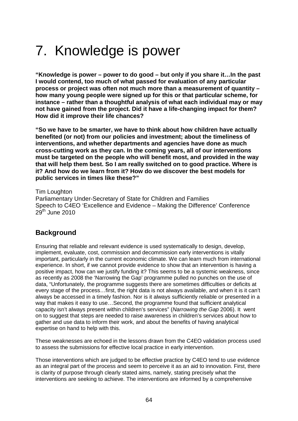# 7. Knowledge is power

**"Knowledge is power – power to do good – but only if you share it…In the past I would contend, too much of what passed for evaluation of any particular process or project was often not much more than a measurement of quantity – how many young people were signed up for this or that particular scheme, for instance – rather than a thoughtful analysis of what each individual may or may not have gained from the project. Did it have a life-changing impact for them? How did it improve their life chances?**

**"So we have to be smarter, we have to think about how children have actually benefited (or not) from our policies and investment; about the timeliness of interventions, and whether departments and agencies have done as much cross-cutting work as they can. In the coming years, all of our interventions must be targeted on the people who will benefit most, and provided in the way that will help them best. So I am really switched on to good practice. Where is it? And how do we learn from it? How do we discover the best models for public services in times like these?"** 

Tim Loughton Parliamentary Under-Secretary of State for Children and Families Speech to C4EO 'Excellence and Evidence – Making the Difference' Conference  $29<sup>th</sup>$  June 2010

# **Background**

Ensuring that reliable and relevant evidence is used systematically to design, develop, implement, evaluate, cost, commission and decommission early interventions is vitally important, particularly in the current economic climate. We can learn much from international experience. In short, if we cannot provide evidence to show that an intervention is having a positive impact, how can we justify funding it? This seems to be a systemic weakness, since as recently as 2008 the 'Narrowing the Gap' programme pulled no punches on the use of data, "Unfortunately, the programme suggests there are sometimes difficulties or deficits at every stage of the process…first, the right data is not always available, and when it is it can't always be accessed in a timely fashion. Nor is it always sufficiently reliable or presented in a way that makes it easy to use…Second, the programme found that sufficient analytical capacity isn't always present within children's services" (*Narrowing the Gap* 2006). It went on to suggest that steps are needed to raise awareness in children's services about how to gather and use data to inform their work, and about the benefits of having analytical expertise on hand to help with this.

These weaknesses are echoed in the lessons drawn from the C4EO validation process used to assess the submissions for effective local practice in early intervention.

Those interventions which are judged to be effective practice by C4EO tend to use evidence as an integral part of the process and seem to perceive it as an aid to innovation. First, there is clarity of purpose through clearly stated aims, namely, stating precisely what the interventions are seeking to achieve. The interventions are informed by a comprehensive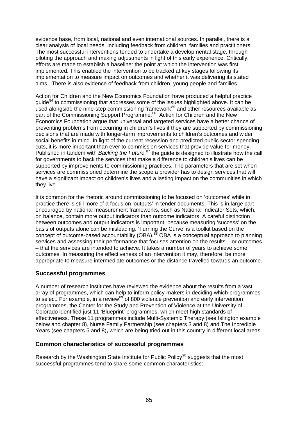evidence base, from local, national and even international sources. In parallel, there is a clear analysis of local needs, including feedback from children, families and practitioners. The most successful interventions tended to undertake a developmental stage, through piloting the approach and making adjustments in light of this early experience. Critically, efforts are made to establish a baseline: the point at which the intervention was first implemented. This enabled the intervention to be tracked at key stages following its implementation to measure impact on outcomes and whether it was delivering its stated aims. There is also evidence of feedback from children, young people and families.

Action for Children and the New Economics Foundation have produced a helpful practice guide $84$  to commissioning that addresses some of the issues highlighted above. It can be used alongside the nine-step commissioning framework $85$  and other resources available as part of the Commissioning Support Programme.<sup>[86](#page-83-0)</sup> Action for Children and the New Economics Foundation argue that universal and targeted services have a better chance of preventing problems from occurring in children's lives if they are supported by commissioning decisions that are made with longer-term improvements to children's outcomes and wider social benefits in mind. In light of the current recession and predicted public sector spending cuts, it is more important than ever to commission services that provide value for money. Published in tandem with *Backing the Future,* [87](#page-83-1) the guide is designed to illustrate how the call for governments to back the services that make a difference to children's lives can be supported by improvements to commissioning practices. The parameters that are set when services are commissioned determine the scope a provider has to design services that will have a significant impact on children's lives and a lasting impact on the communities in which they live.

It is common for the rhetoric around commissioning to be focused on 'outcomes' while in practice there is still more of a focus on 'outputs' in tender documents. This is in large part encouraged by national measurement frameworks, such as National Indicator Sets, which, on balance, contain more output indicators than outcome indicators. A careful distinction between outcomes and output indicators is important, because measuring 'success' on the basis of outputs alone can be misleading. 'Turning the Curve' is a toolkit based on the concept of outcome-based accountability (OBA).<sup>[88](#page-83-2)</sup> OBA is a conceptual approach to planning services and assessing their performance that focuses attention on the results – or outcomes – that the services are intended to achieve. It takes a number of years to achieve some outcomes. In measuring the effectiveness of an intervention it may, therefore, be more appropriate to measure intermediate outcomes or the distance travelled towards an outcome.

# **Successful programmes**

A number of research institutes have reviewed the evidence about the results from a vast array of programmes, which can help to inform policy-makers in deciding which programmes to select. For example, in a review<sup>[89](#page-83-3)</sup> of 800 violence prevention and early intervention programmes, the Center for the Study and Prevention of Violence at the University of Colorado identified just 11 'Blueprint' programmes, which meet high standards of effectiveness. These 11 programmes include Multi-Systemic Therapy (see Islington example below and chapter 8), Nurse Family Partnership (see chapters 3 and 8) and The Incredible Years (see chapters 5 and 8)**,** which are being tried out in this country in different local areas.

#### **Common characteristics of successful programmes**

Research by the Washington State Institute for Public Policy<sup>[90](#page-83-4)</sup> suggests that the most successful programmes tend to share some common characteristics: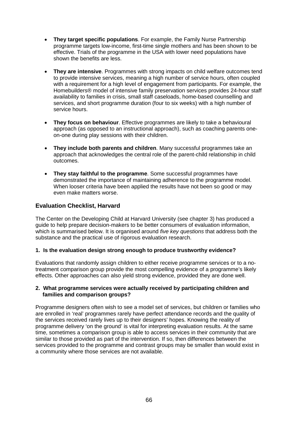- **They target specific populations**. For example, the Family Nurse Partnership programme targets low-income, first-time single mothers and has been shown to be effective. Trials of the programme in the USA with lower need populations have shown the benefits are less.
- **They are intensive**. Programmes with strong impacts on child welfare outcomes tend to provide intensive services, meaning a high number of service hours, often coupled with a requirement for a high level of engagement from participants. For example, the Homebuilders® model of intensive family preservation services provides 24-hour staff availability to families in crisis, small staff caseloads, home-based counselling and services, and short programme duration (four to six weeks) with a high number of service hours.
- **They focus on behaviour**. Effective programmes are likely to take a behavioural approach (as opposed to an instructional approach), such as coaching parents oneon-one during play sessions with their children.
- **They include both parents and children**. Many successful programmes take an approach that acknowledges the central role of the parent-child relationship in child outcomes.
- **They stay faithful to the programme**. Some successful programmes have demonstrated the importance of maintaining adherence to the programme model. When looser criteria have been applied the results have not been so good or may even make matters worse.

## **Evaluation Checklist, Harvard**

The Center on the Developing Child at Harvard University (see chapter 3) has produced a guide to help prepare decision-makers to be better consumers of evaluation information, which is summarised below. It is organised around *five key questions* that address both the substance and the practical use of rigorous evaluation research.

#### **1. Is the evaluation design strong enough to produce trustworthy evidence?**

Evaluations that randomly assign children to either receive programme services or to a notreatment comparison group provide the most compelling evidence of a programme's likely effects. Other approaches can also yield strong evidence, provided they are done well.

#### **2. What programme services were actually received by participating children and families and comparison groups?**

Programme designers often wish to see a model set of services, but children or families who are enrolled in 'real' programmes rarely have perfect attendance records and the quality of the services received rarely lives up to their designers' hopes. Knowing the reality of programme delivery 'on the ground' is vital for interpreting evaluation results. At the same time, sometimes a comparison group is able to access services in their community that are similar to those provided as part of the intervention. If so, then differences between the services provided to the programme and contrast groups may be smaller than would exist in a community where those services are not available.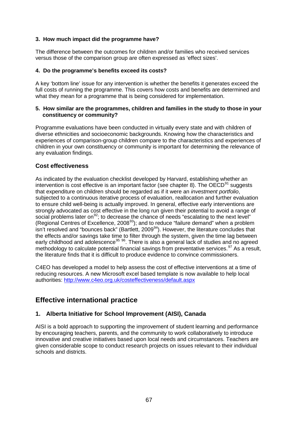#### **3. How much impact did the programme have?**

The difference between the outcomes for children and/or families who received services versus those of the comparison group are often expressed as 'effect sizes'.

#### **4. Do the programme's benefits exceed its costs?**

A key 'bottom line' issue for any intervention is whether the benefits it generates exceed the full costs of running the programme. This covers how costs and benefits are determined and what they mean for a programme that is being considered for implementation.

#### **5. How similar are the programmes, children and families in the study to those in your constituency or community?**

Programme evaluations have been conducted in virtually every state and with children of diverse ethnicities and socioeconomic backgrounds. Knowing how the characteristics and experiences of comparison-group children compare to the characteristics and experiences of children in your own constituency or community is important for determining the relevance of any evaluation findings.

## **Cost effectiveness**

As indicated by the evaluation checklist developed by Harvard, establishing whether an intervention is cost effective is an important factor (see chapter 8). The OECD $^{91}$  $^{91}$  $^{91}$  suggests that expenditure on children should be regarded as if it were an *investment portfolio*, subjected to a continuous iterative process of evaluation, reallocation and further evaluation to ensure child well-being is actually improved. In general, effective early interventions are strongly advocated as cost effective in the long run given their potential to avoid a range of social problems later on  $92$ ; to decrease the chance of needs "escalating to the next level" (Regional Centres of Excellence, 2008[93\)](#page-83-7); and to reduce "failure demand" when a problem isn't resolved and "bounces back" (Bartlett,  $2009<sup>94</sup>$  $2009<sup>94</sup>$  $2009<sup>94</sup>$ ). However, the literature concludes that the effects and/or savings take time to filter through the system, given the time lag between early childhood and adolescence<sup>[95](#page-83-9) 96</sup>. There is also a general lack of studies and no agreed methodology to calculate potential financial savings from preventative services.<sup>[97](#page-83-11)</sup> As a result, the literature finds that it is difficult to produce evidence to convince commissioners.

C4EO has developed a model to help assess the cost of effective interventions at a time of reducing resources. A new Microsoft excel based template is now available to help local authorities: <http://www.c4eo.org.uk/costeffectiveness/default.aspx>

# **Effective international practice**

# **1. Alberta Initiative for School Improvement (AISI), Canada**

AISI is a bold approach to supporting the improvement of student learning and performance by encouraging teachers, parents, and the community to work collaboratively to introduce innovative and creative initiatives based upon local needs and circumstances. Teachers are given considerable scope to conduct research projects on issues relevant to their individual schools and districts.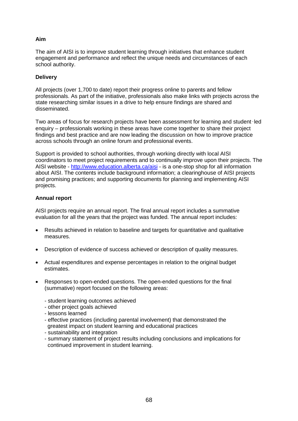## **Aim**

The aim of AISI is to improve student learning through initiatives that enhance student engagement and performance and reflect the unique needs and circumstances of each school authority.

#### **Delivery**

All projects (over 1,700 to date) report their progress online to parents and fellow professionals. As part of the initiative, professionals also make links with projects across the state researching similar issues in a drive to help ensure findings are shared and disseminated.

Two areas of focus for research projects have been assessment for learning and student‑led enquiry – professionals working in these areas have come together to share their project findings and best practice and are now leading the discussion on how to improve practice across schools through an online forum and professional events.

Support is provided to school authorities, through working directly with local AISI coordinators to meet project requirements and to continually improve upon their projects. The AISI website - <http://www.education.alberta.ca/aisi> - is a one-stop shop for all information about AISI. The contents include background information; a clearinghouse of AISI projects and promising practices; and supporting documents for planning and implementing AISI projects.

#### **Annual report**

AISI projects require an annual report. The final annual report includes a summative evaluation for all the years that the project was funded. The annual report includes:

- Results achieved in relation to baseline and targets for quantitative and qualitative measures.
- Description of evidence of success achieved or description of quality measures.
- Actual expenditures and expense percentages in relation to the original budget estimates.
- Responses to open-ended questions. The open-ended questions for the final (summative) report focused on the following areas:
	- student learning outcomes achieved
	- other project goals achieved
	- lessons learned
	- effective practices (including parental involvement) that demonstrated the greatest impact on student learning and educational practices
	- sustainability and integration
	- summary statement of project results including conclusions and implications for continued improvement in student learning.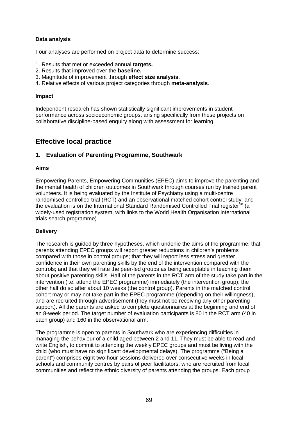#### **Data analysis**

Four analyses are performed on project data to determine success:

- 1. Results that met or exceeded annual **targets.**
- 2. Results that improved over the **baseline.**
- 3. Magnitude of improvement through **effect size analysis.**
- 4. Relative effects of various project categories through **meta-analysis**.

#### **Impact**

Independent research has shown statistically significant improvements in student performance across socioeconomic groups, arising specifically from these projects on collaborative discipline-based enquiry along with assessment for learning.

# **Effective local practice**

#### **1. Evaluation of Parenting Programme, Southwark**

#### **Aims**

Empowering Parents, Empowering Communities (EPEC) aims to improve the parenting and the mental health of children outcomes in Southwark through courses run by trained parent volunteers. It is being evaluated by the Institute of Psychiatry using a multi-centre randomised controlled trial (RCT) and an observational matched cohort control study, and the evaluation is on the International Standard Randomised Controlled Trial register<sup>[98](#page-83-12)</sup> (a widely-used registration system, with links to the World Health Organisation international trials search programme).

#### **Delivery**

The research is guided by three hypotheses, which underlie the aims of the programme: that parents attending EPEC groups will report greater reductions in children's problems compared with those in control groups; that they will report less stress and greater confidence in their own parenting skills by the end of the intervention compared with the controls; and that they will rate the peer-led groups as being acceptable in teaching them about positive parenting skills. Half of the parents in the RCT arm of the study take part in the intervention (i.e. attend the EPEC programme) immediately (the intervention group); the other half do so after about 10 weeks (the control group). Parents in the matched control cohort may or may not take part in the EPEC programme (depending on their willingness), and are recruited through advertisement (they must not be receiving any other parenting support). All the parents are asked to complete questionnaires at the beginning and end of an 8-week period. The target number of evaluation participants is 80 in the RCT arm (40 in each group) and 160 in the observational arm.

The programme is open to parents in Southwark who are experiencing difficulties in managing the behaviour of a child aged between 2 and 11. They must be able to read and write English, to commit to attending the weekly EPEC groups and must be living with the child (who must have no significant developmental delays). The programme ("Being a parent") comprises eight two-hour sessions delivered over consecutive weeks in local schools and community centres by pairs of peer facilitators, who are recruited from local communities and reflect the ethnic diversity of parents attending the groups. Each group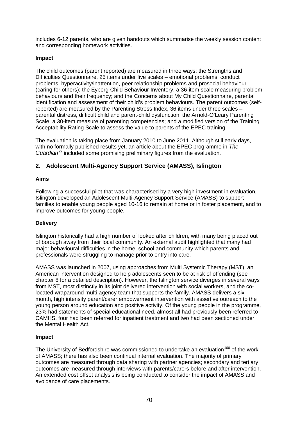includes 6-12 parents, who are given handouts which summarise the weekly session content and corresponding homework activities.

#### **Impact**

The child outcomes (parent reported) are measured in three ways: the Strengths and Difficulties Questionnaire, 25 items under five scales – emotional problems, conduct problems, hyperactivity/inattention, peer relationship problems and prosocial behaviour (caring for others); the Eyberg Child Behaviour Inventory, a 36-item scale measuring problem behaviours and their frequency; and the Concerns about My Child Questionnaire, parental identification and assessment of their child's problem behaviours. The parent outcomes (selfreported) are measured by the Parenting Stress Index, 36 items under three scales – parental distress, difficult child and parent-child dysfunction; the Arnold-O'Leary Parenting Scale, a 30-item measure of parenting competencies; and a modified version of the Training Acceptability Rating Scale to assess the value to parents of the EPEC training.

The evaluation is taking place from January 2010 to June 2011. Although still early days, with no formally published results yet, an article about the EPEC programme in *The Guardian[99](#page-83-13)* included some promising preliminary figures from the evaluation.

# **2. Adolescent Multi-Agency Support Service (AMASS), Islington**

#### **Aims**

Following a successful pilot that was characterised by a very high investment in evaluation, Islington developed an Adolescent Multi-Agency Support Service (AMASS) to support families to enable young people aged 10-16 to remain at home or in foster placement, and to improve outcomes for young people.

#### **Delivery**

Islington historically had a high number of looked after children, with many being placed out of borough away from their local community. An external audit highlighted that many had major behavioural difficulties in the home, school and community which parents and professionals were struggling to manage prior to entry into care.

AMASS was launched in 2007, using approaches from Multi Systemic Therapy (MST), an American intervention designed to help adolescents seen to be at risk of offending (see chapter 8 for a detailed description). However, the Islington service diverges in several ways from MST, most distinctly in its joint delivered intervention with social workers, and the colocated wraparound multi-agency team that supports the family. AMASS delivers a sixmonth, high intensity parent/carer empowerment intervention with assertive outreach to the young person around education and positive activity. Of the young people in the programme, 23% had statements of special educational need, almost all had previously been referred to CAMHS, four had been referred for inpatient treatment and two had been sectioned under the Mental Health Act.

#### **Impact**

The University of Bedfordshire was commissioned to undertake an evaluation<sup>[100](#page-83-14)</sup> of the work of AMASS; there has also been continual internal evaluation. The majority of primary outcomes are measured through data sharing with partner agencies; secondary and tertiary outcomes are measured through interviews with parents/carers before and after intervention. An extended cost offset analysis is being conducted to consider the impact of AMASS and avoidance of care placements.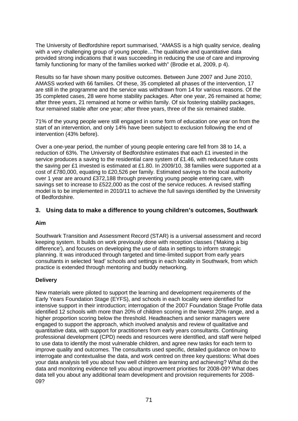The University of Bedfordshire report summarised, "AMASS is a high quality service, dealing with a very challenging group of young people...The qualitative and quantitative data provided strong indications that it was succeeding in reducing the use of care and improving family functioning for many of the families worked with" (Brodie et al, 2009, p 4).

Results so far have shown many positive outcomes. Between June 2007 and June 2010, AMASS worked with 66 families. Of these, 35 completed all phases of the intervention, 17 are still in the programme and the service was withdrawn from 14 for various reasons. Of the 35 completed cases, 28 were home stability packages. After one year, 26 remained at home; after three years, 21 remained at home or within family. Of six fostering stability packages, four remained stable after one year; after three years, three of the six remained stable.

71% of the young people were still engaged in some form of education one year on from the start of an intervention, and only 14% have been subject to exclusion following the end of intervention (43% before).

Over a one-year period, the number of young people entering care fell from 38 to 14, a reduction of 63%. The University of Bedfordshire estimates that each £1 invested in the service produces a saving to the residential care system of £1.46, with reduced future costs the saving per £1 invested is estimated at £1.80. In 2009/10, 38 families were supported at a cost of £780,000, equating to £20,526 per family. Estimated savings to the local authority over 1 year are around £372,188 through preventing young people entering care, with savings set to increase to £522,000 as the cost of the service reduces. A revised staffing model is to be implemented in 2010/11 to achieve the full savings identified by the University of Bedfordshire.

## **3. Using data to make a difference to young children's outcomes, Southwark**

#### **Aim**

Southwark Transition and Assessment Record (STAR) is a universal assessment and record keeping system. It builds on work previously done with reception classes ('Making a big difference'), and focuses on developing the use of data in settings to inform strategic planning. It was introduced through targeted and time-limited support from early years consultants in selected 'lead' schools and settings in each locality in Southwark, from which practice is extended through mentoring and buddy networking.

#### **Delivery**

New materials were piloted to support the learning and development requirements of the Early Years Foundation Stage (EYFS), and schools in each locality were identified for intensive support in their introduction; interrogation of the 2007 Foundation Stage Profile data identified 12 schools with more than 20% of children scoring in the lowest 20% range, and a higher proportion scoring below the threshold. Headteachers and senior managers were engaged to support the approach, which involved analysis and review of qualitative and quantitative data, with support for practitioners from early years consultants. Continuing professional development (CPD) needs and resources were identified, and staff were helped to use data to identify the most vulnerable children, and agree new tasks for each term to improve quality and outcomes. The consultants used specific, detailed guidance on how to interrogate and contextualise the data, and work centred on three key questions: What does your data analysis tell you about how well children are learning and achieving? What do the data and monitoring evidence tell you about improvement priorities for 2008-09? What does data tell you about any additional team development and provision requirements for 2008- 09?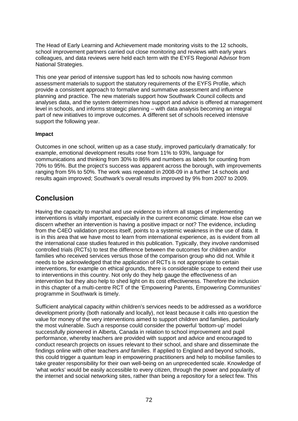The Head of Early Learning and Achievement made monitoring visits to the 12 schools, school improvement partners carried out close monitoring and reviews with early years colleagues, and data reviews were held each term with the EYFS Regional Advisor from National Strategies.

This one year period of intensive support has led to schools now having common assessment materials to support the statutory requirements of the EYFS Profile, which provide a consistent approach to formative and summative assessment and influence planning and practice. The new materials support how Southwark Council collects and analyses data, and the system determines how support and advice is offered at management level in schools, and informs strategic planning – with data analysis becoming an integral part of new initiatives to improve outcomes. A different set of schools received intensive support the following year.

#### **Impact**

Outcomes in one school, written up as a case study, improved particularly dramatically: for example, emotional development results rose from 11% to 93%, language for communications and thinking from 30% to 86% and numbers as labels for counting from 70% to 95%. But the project's success was apparent across the borough, with improvements ranging from 5% to 50%. The work was repeated in 2008-09 in a further 14 schools and results again improved; Southwark's overall results improved by 9% from 2007 to 2009.

# **Conclusion**

Having the capacity to marshal and use evidence to inform all stages of implementing interventions is vitally important, especially in the current economic climate. How else can we discern whether an intervention is having a positive impact or not? The evidence, including from the C4EO validation process itself, points to a systemic weakness in the use of data. It is in this area that we have most to learn from international experience, as is evident from all the international case studies featured in this publication. Typically, they involve randomised controlled trials (RCTs) to test the difference between the outcomes for children and/or families who received services versus those of the comparison group who did not. While it needs to be acknowledged that the application of RCTs is not appropriate to certain interventions, for example on ethical grounds, there is considerable scope to extend their use to interventions in this country. Not only do they help gauge the effectiveness of an intervention but they also help to shed light on its cost effectiveness. Therefore the inclusion in this chapter of a multi-centre RCT of the 'Empowering Parents, Empowering Communities' programme in Southwark is timely.

Sufficient analytical capacity within children's services needs to be addressed as a workforce development priority (both nationally and locally), not least because it calls into question the value for money of the very interventions aimed to support children and families, particularly the most vulnerable. Such a response could consider the powerful 'bottom-up' model successfully pioneered in Alberta, Canada in relation to school improvement and pupil performance, whereby teachers are provided with support and advice and encouraged to conduct research projects on issues relevant to their school, and share and disseminate the findings online with other teachers *and families*. If applied to England and beyond schools, this could trigger a quantum leap in empowering practitioners and help to mobilise families to take greater responsibility for their own well-being on an unprecedented scale. Knowledge of 'what works' would be easily accessible to every citizen, through the power and popularity of the internet and social networking sites, rather than being a repository for a select few. This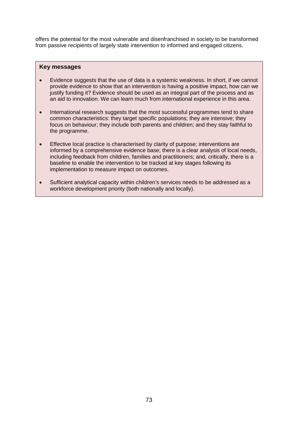offers the potential for the most vulnerable and disenfranchised in society to be transformed from passive recipients of largely state intervention to informed and engaged citizens.

#### **Key messages**

- Evidence suggests that the use of data is a systemic weakness. In short, if we cannot provide evidence to show that an intervention is having a positive impact, how can we justify funding it? Evidence should be used as an integral part of the process and as an aid to innovation. We can learn much from international experience in this area.
- International research suggests that the most successful programmes tend to share common characteristics: they target specific populations; they are intensive; they focus on behaviour; they include both parents and children; and they stay faithful to the programme.
- Effective local practice is characterised by clarity of purpose; interventions are informed by a comprehensive evidence base; there is a clear analysis of local needs, including feedback from children, families and practitioners; and, critically, there is a baseline to enable the intervention to be tracked at key stages following its implementation to measure impact on outcomes.
- Sufficient analytical capacity within children's services needs to be addressed as a workforce development priority (both nationally and locally).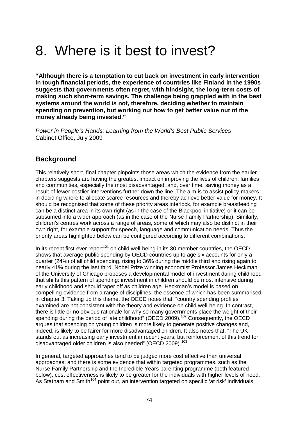## 8. Where is it best to invest?

**"Although there is a temptation to cut back on investment in early intervention in tough financial periods, the experience of countries like Finland in the 1990s suggests that governments often regret, with hindsight, the long-term costs of making such short-term savings. The challenge being grappled with in the best systems around the world is not, therefore, deciding whether to maintain spending on prevention, but working out how to get better value out of the money already being invested."**

*Power in People's Hands: Learning from the World's Best Public Services* Cabinet Office, July 2009

## **Background**

This relatively short, final chapter pinpoints those areas which the evidence from the earlier chapters suggests are having the greatest impact on improving the lives of children, families and communities, especially the most disadvantaged, and, over time, saving money as a result of fewer costlier interventions further down the line. The aim is to assist policy-makers in deciding where to allocate scarce resources and thereby achieve better value for money. It should be recognised that some of these priority areas interlock, for example breastfeeding can be a distinct area in its own right (as in the case of the Blackpool initiative) or it can be subsumed into a wider approach (as in the case of the Nurse Family Partnership). Similarly, children's centres work across a range of areas, some of which may also be distinct in their own right, for example support for speech, language and communication needs. Thus the priority areas highlighted below can be configured according to different combinations.

In its recent first-ever report<sup>[101](#page-83-0)</sup> on child well-being in its 30 member countries, the OECD shows that average public spending by OECD countries up to age six accounts for only a quarter (24%) of all child spending, rising to 36% during the middle third and rising again to nearly 41% during the last third. Nobel Prize winning economist Professor James Heckman of the University of Chicago proposes a developmental model of investment during childhood that shifts this pattern of spending: investment in children should be most intensive during early childhood and should taper off as children age. Heckman's model is based on compelling evidence from a range of disciplines, the essence of which has been summarised in chapter 3. Taking up this theme, the OECD notes that, "country spending profiles examined are not consistent with the theory and evidence on child well-being. In contrast, there is little or no obvious rationale for why so many governments place the weight of their spending during the period of late childhood" (OECD 2009).<sup>[102](#page-83-1)</sup> Consequently, the OECD argues that spending on young children is more likely to generate positive changes and, indeed, is likely to be fairer for more disadvantaged children. It also notes that, "The UK stands out as increasing early investment in recent years, but reinforcement of this trend for disadvantaged older children is also needed" (OECD 2009).<sup>[103](#page-83-2)</sup>

In general, targeted approaches tend to be judged more cost effective than universal approaches; and there is some evidence that within targeted programmes, such as the Nurse Family Partnership and the Incredible Years parenting programme (both featured below), cost effectiveness is likely to be greater for the individuals with higher levels of need. As Statham and Smith<sup>[104](#page-83-3)</sup> point out, an intervention targeted on specific 'at risk' individuals,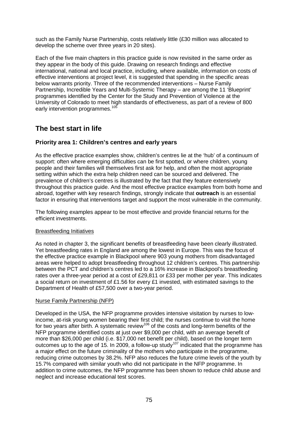such as the Family Nurse Partnership, costs relatively little (£30 million was allocated to develop the scheme over three years in 20 sites).

Each of the five main chapters in this practice guide is now revisited in the same order as they appear in the body of this guide. Drawing on research findings and effective international, national and local practice, including, where available, information on costs of effective interventions at project level, it is suggested that spending in the specific areas below warrants priority. Three of the recommended interventions – Nurse Family Partnership, Incredible Years and Multi-Systemic Therapy – are among the 11 'Blueprint' programmes identified by the Center for the Study and Prevention of Violence at the University of Colorado to meet high standards of effectiveness, as part of a review of 800 early intervention programmes.<sup>[105](#page-83-4)</sup>

## **The best start in life**

#### **Priority area 1: Children's centres and early years**

As the effective practice examples show, children's centres lie at the 'hub' of a continuum of support: often where emerging difficulties can be first spotted, or where children, young people and their families will themselves first ask for help, and often the most appropriate setting within which the extra help children need can be sourced and delivered. The prevalence of children's centres is illustrated by the fact that they feature extensively throughout this practice guide. And the most effective practice examples from both home and abroad, together with key research findings, strongly indicate that **outreach** is an essential factor in ensuring that interventions target and support the most vulnerable in the community.

The following examples appear to be most effective and provide financial returns for the efficient investments.

#### Breastfeeding Initiatives

As noted in chapter 3, the significant benefits of breastfeeding have been clearly illustrated. Yet breastfeeding rates in England are among the lowest in Europe. This was the focus of the effective practice example in Blackpool where 903 young mothers from disadvantaged areas were helped to adopt breastfeeding throughout 12 children's centres. This partnership between the PCT and children's centres led to a 16% increase in Blackpool's breastfeeding rates over a three-year period at a cost of £29,811 or £33 per mother per year. This indicates a social return on investment of £1.56 for every £1 invested, with estimated savings to the Department of Health of £57,500 over a two-year period.

#### Nurse Family Partnership (NFP)

Developed in the USA, the NFP programme provides intensive visitation by nurses to lowincome, at-risk young women bearing their first child; the nurses continue to visit the home for two years after birth. A systematic review<sup>[106](#page-83-5)</sup> of the costs and long-term benefits of the NFP programme identified costs at just over \$9,000 per child, with an average benefit of more than \$26,000 per child (i.e. \$17,000 net benefit per child), based on the longer term outcomes up to the age of 15. In 2009, a follow-up study<sup>[107](#page-83-6)</sup> indicated that the programme has a major effect on the future criminality of the mothers who participate in the programme, reducing crime outcomes by 38.2%. NFP also reduces the future crime levels of the youth by 15.7% compared with similar youth who did not participate in the NFP programme. In addition to crime outcomes, the NFP programme has been shown to reduce child abuse and neglect and increase educational test scores.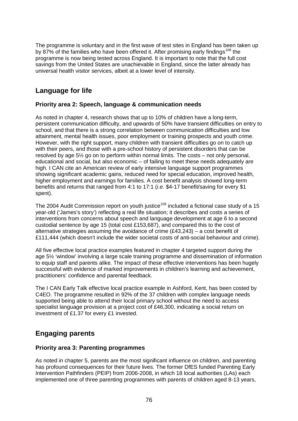The programme is voluntary and in the first wave of test sites in England has been taken up by 87% of the families who have been offered it. After promising early findings<sup>[108](#page-83-7)</sup> the programme is now being tested across England. It is important to note that the full cost savings from the United States are unachievable in England, since the latter already has universal health visitor services, albeit at a lower level of intensity.

## **Language for life**

#### **Priority area 2: Speech, language & communication needs**

As noted in chapter 4, research shows that up to 10% of children have a long-term, persistent communication difficulty, and upwards of 50% have transient difficulties on entry to school, and that there is a strong correlation between communication difficulties and low attainment, mental health issues, poor employment or training prospects and youth crime. However, with the right support, many children with transient difficulties go on to catch up with their peers, and those with a pre-school history of persistent disorders that can be resolved by age 5½ go on to perform within normal limits. The costs – not only personal, educational and social, but also economic – of failing to meet these needs adequately are high. I CAN cite an American review of early intensive language support programmes showing significant academic gains, reduced need for special education, improved health, higher employment and earnings for families. A cost benefit analysis showed long-term benefits and returns that ranged from 4:1 to 17:1 (*i.e.* \$4-17 benefit/saving for every \$1 spent).

The 2004 Audit Commission report on youth justice<sup>[109](#page-83-8)</sup> included a fictional case study of a 15 year-old ('James's story') reflecting a real life situation; it describes and costs a series of interventions from concerns about speech and language development at age 6 to a second custodial sentence by age 15 (total cost £153,687), and compared this to the cost of alternative strategies assuming the avoidance of crime (£43,243) – a cost benefit of £111,444 (which doesn't include the wider societal costs of anti-social behaviour and crime).

All five effective local practice examples featured in chapter 4 targeted support during the age 5½ 'window' involving a large scale training programme and dissemination of information to equip staff and parents alike. The impact of these effective interventions has been hugely successful with evidence of marked improvements in children's learning and achievement, practitioners' confidence and parental feedback.

The I CAN Early Talk effective local practice example in Ashford, Kent, has been costed by C4EO. The programme resulted in 92% of the 37 children with complex language needs supported being able to attend their local primary school without the need to access specialist language provision at a project cost of £46,300, indicating a social return on investment of £1.37 for every £1 invested.

## **Engaging parents**

#### **Priority area 3: Parenting programmes**

As noted in chapter 5, parents are the most significant influence on children, and parenting has profound consequences for their future lives. The former DfES funded Parenting Early Intervention Pathfinders (PEIP) from 2006-2008, in which 18 local authorities (LAs) each implemented one of three parenting programmes with parents of children aged 8-13 years,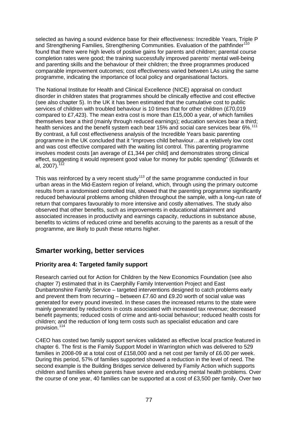selected as having a sound evidence base for their effectiveness: Incredible Years, Triple P and Strengthening Families, Strengthening Communities. Evaluation of the pathfinder<sup>1</sup> found that there were high levels of positive gains for parents and children; parental course completion rates were good; the training successfully improved parents' mental well-being and parenting skills and the behaviour of their children; the three programmes produced comparable improvement outcomes; cost effectiveness varied between LAs using the same programme, indicating the importance of local policy and organisational factors.

The National Institute for Health and Clinical Excellence (NICE) appraisal on conduct disorder in children states that programmes should be clinically effective and cost effective (see also chapter 5). In the UK it has been estimated that the cumulative cost to public services of children with troubled behaviour is 10 times that for other children (£70,019 compared to £7,423). The mean extra cost is more than £15,000 a year, of which families themselves bear a third (mainly through reduced earnings); education services bear a third; health services and the benefit system each bear 15% and social care services bear 6%.<sup>[111](#page-83-10)</sup> By contrast, a full cost effectiveness analysis of the Incredible Years basic parenting programme in the UK concluded that it "improves child behaviour…at a relatively low cost and was cost effective compared with the waiting list control. This parenting programme involves modest costs [an average of  $£1,344$  per child] and demonstrates strong clinical effect, suggesting it would represent good value for money for public spending" (Edwards et al, 2007).<sup>[112](#page-83-11)</sup>

This was reinforced by a very recent study $113$  of the same programme conducted in four urban areas in the Mid-Eastern region of Ireland, which, through using the primary outcome results from a randomised controlled trial, showed that the parenting programme significantly reduced behavioural problems among children throughout the sample, with a long-run rate of return that compares favourably to more intensive and costly alternatives. The study also observed that other benefits, such as improvements in educational attainment and associated increases in productivity and earnings capacity, reductions in substance abuse, benefits to victims of reduced crime and benefits accruing to the parents as a result of the programme, are likely to push these returns higher.

## **Smarter working, better services**

### **Priority area 4: Targeted family support**

Research carried out for Action for Children by the New Economics Foundation (see also chapter 7) estimated that in its Caerphilly Family Intervention Project and East Dunbartonshire Family Service – targeted interventions designed to catch problems early and prevent them from recurring – between £7.60 and £9.20 worth of social value was generated for every pound invested. In these cases the increased returns to the state were mainly generated by reductions in costs associated with increased tax revenue; decreased benefit payments; reduced costs of crime and anti-social behaviour; reduced health costs for children; and the reduction of long term costs such as specialist education and care provision.<sup>[114](#page-84-0)</sup>

C4EO has costed two family support services validated as effective local practice featured in chapter 6. The first is the Family Support Model in Warrington which was delivered to 529 families in 2008-09 at a total cost of £158,000 and a net cost per family of £6.00 per week. During this period, 57% of families supported showed a reduction in the level of need. The second example is the Building Bridges service delivered by Family Action which supports children and families where parents have severe and enduring mental health problems. Over the course of one year, 40 families can be supported at a cost of £3,500 per family. Over two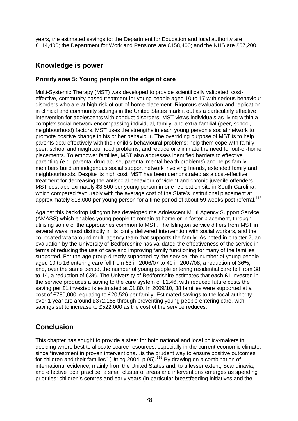years, the estimated savings to: the Department for Education and local authority are £114,400; the Department for Work and Pensions are £158,400; and the NHS are £67,200.

### **Knowledge is power**

#### **Priority area 5: Young people on the edge of care**

Multi-Systemic Therapy (MST) was developed to provide scientifically validated, costeffective, community-based treatment for young people aged 10 to 17 with serious behaviour disorders who are at high risk of out-of-home placement. Rigorous evaluation and replication in clinical and community settings in the United States mark it out as a particularly effective intervention for adolescents with conduct disorders. MST views individuals as living within a complex social network encompassing individual, family, and extra-familial (peer, school, neighbourhood) factors. MST uses the strengths in each young person's social network to promote positive change in his or her behaviour. The overriding purpose of MST is to help parents deal effectively with their child's behavioural problems; help them cope with family, peer, school and neighbourhood problems; and reduce or eliminate the need for out-of-home placements. To empower families, MST also addresses identified barriers to effective parenting (e.g. parental drug abuse, parental mental health problems) and helps family members build an indigenous social support network involving friends, extended family and neighbourhoods. Despite its high cost, MST has been demonstrated as a cost-effective treatment for decreasing the antisocial behaviour of violent and chronic juvenile offenders. MST cost approximately \$3,500 per young person in one replication site in South Carolina, which compared favourably with the average cost of the State's institutional placement at approximately \$18,000 per young person for a time period of about 59 weeks post referral.<sup>[115](#page-84-1)</sup>

Against this backdrop Islington has developed the Adolescent Multi Agency Support Service (AMASS) which enables young people to remain at home or in foster placement, through utilising some of the approaches common to MST. The Islington service differs from MST in several ways, most distinctly in its jointly delivered intervention with social workers, and the co-located wraparound multi-agency team that supports the family. As noted in chapter 7, an evaluation by the University of Bedfordshire has validated the effectiveness of the service in terms of reducing the use of care and improving family functioning for many of the families supported. For the age group directly supported by the service, the number of young people aged 10 to 16 entering care fell from 63 in 2006/07 to 40 in 2007/08, a reduction of 36%; and, over the same period, the number of young people entering residential care fell from 38 to 14, a reduction of 63%. The University of Bedfordshire estimates that each £1 invested in the service produces a saving to the care system of £1.46, with reduced future costs the saving per £1 invested is estimated at £1.80. In 2009/10, 38 families were supported at a cost of £780,000, equating to £20,526 per family. Estimated savings to the local authority over 1 year are around £372,188 through preventing young people entering care, with savings set to increase to £522,000 as the cost of the service reduces.

## **Conclusion**

This chapter has sought to provide a steer for both national and local policy-makers in deciding where best to allocate scarce resources, especially in the current economic climate, since "investment in proven interventions…is the prudent way to ensure positive outcomes for children and their families" (Utting 2004, p 95).<sup>[116](#page-84-2)</sup> By drawing on a combination of international evidence, mainly from the United States and, to a lesser extent, Scandinavia, and effective local practice, a small cluster of areas and interventions emerges as spending priorities: children's centres and early years (in particular breastfeeding initiatives and the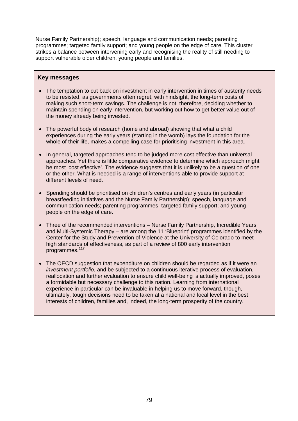Nurse Family Partnership); speech, language and communication needs; parenting programmes; targeted family support; and young people on the edge of care. This cluster strikes a balance between intervening early and recognising the reality of still needing to support vulnerable older children, young people and families.

#### **Key messages**

- The temptation to cut back on investment in early intervention in times of austerity needs to be resisted, as governments often regret, with hindsight, the long-term costs of making such short-term savings. The challenge is not, therefore, deciding whether to maintain spending on early intervention, but working out how to get better value out of the money already being invested.
- The powerful body of research (home and abroad) showing that what a child experiences during the early years (starting in the womb) lays the foundation for the whole of their life, makes a compelling case for prioritising investment in this area.
- In general, targeted approaches tend to be judged more cost effective than universal approaches. Yet there is little comparative evidence to determine which approach might be most 'cost effective'. The evidence suggests that it is unlikely to be a question of one or the other. What is needed is a range of interventions able to provide support at different levels of need.
- Spending should be prioritised on children's centres and early years (in particular breastfeeding initiatives and the Nurse Family Partnership); speech, language and communication needs; parenting programmes; targeted family support; and young people on the edge of care.
- Three of the recommended interventions Nurse Family Partnership, Incredible Years and Multi-Systemic Therapy – are among the 11 'Blueprint' programmes identified by the Center for the Study and Prevention of Violence at the University of Colorado to meet high standards of effectiveness, as part of a review of 800 early intervention programmes.[117](#page-84-3)
- The OECD suggestion that expenditure on children should be regarded as if it were an *investment portfolio*, and be subjected to a continuous iterative process of evaluation, reallocation and further evaluation to ensure child well-being is actually improved, poses a formidable but necessary challenge to this nation. Learning from international experience in particular can be invaluable in helping us to move forward, though, ultimately, tough decisions need to be taken at a national and local level in the best interests of children, families and, indeed, the long-term prosperity of the country.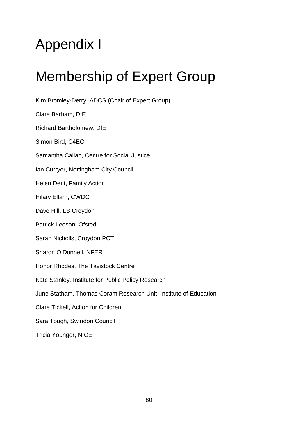# Appendix I

# Membership of Expert Group

Kim Bromley-Derry, ADCS (Chair of Expert Group) Clare Barham, DfE Richard Bartholomew, DfE Simon Bird, C4EO Samantha Callan, Centre for Social Justice Ian Curryer, Nottingham City Council Helen Dent, Family Action Hilary Ellam, CWDC Dave Hill, LB Croydon Patrick Leeson, Ofsted Sarah Nicholls, Croydon PCT Sharon O'Donnell, NFER Honor Rhodes, The Tavistock Centre Kate Stanley, Institute for Public Policy Research June Statham, Thomas Coram Research Unit, Institute of Education Clare Tickell, Action for Children Sara Tough, Swindon Council Tricia Younger, NICE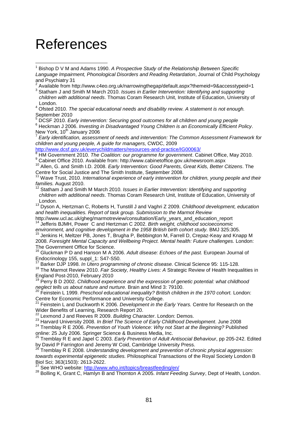## References

<sup>6</sup> Heckman J 2006. *Investing in Disadvantaged Young Children is an Economically Efficient Policy.*<br>New York, 10<sup>th</sup> January 2006

Early identification, assessment of needs and intervention: The Common Assessment Framework for children and young people, A guide for managers, CWDC, 2009<br>http://www.dcsf.gov.uk/everychildmatters/resources-and-practice/IG00063/

<sup>8</sup> HM Government 2010. The Coalition: our programme for government. Cabinet Office, May 2010.<br><sup>9</sup> Cabinet Office 2010. Available from: http://www.cabinetoffice.gov.uk/newsroom.aspx

<sup>10</sup> Allen, G. and Smith I.D. 2008. *Early Intervention: Good Parents, Great Kids, Better Citizens*. The Centre for Social Justice and The Smith Institute, September 2008.

<sup>11</sup> Wave Trust, 2010. *International experience of early intervention for children, young people and their families. August 2010.* 

*families.* August 2010. <sup>12</sup> Statham J and Smith M March 2010. *Issues in Earlier Intervention: Identifying and supporting children with additional needs*. Thomas Coram Research Unit, Institute of Education, University of London.

<sup>13</sup> Dyson A, Hertzman C, Roberts H, Tunstill J and Vaghri Z 2009. *Childhood development, education and health inequalities. Report of task group. Submission to the Marmot Review*

http://www.ucl.ac.uk/gheg/marmotreview/consultation/Early\_years\_and\_education\_report <sup>14</sup> Jefferis BJMH, Power C and Hertzman C 2002. *Birth weight, childhood socioeconomic* 

*environment, and cognitive development in the 1958 British birth cohort study.* BMJ 325:305. <sup>15</sup> Jenkins H, Meltzer PB, Jones T, Brugha P, Bebbington M, Farrell D, Crepaz-Keay and Knapp M 2008. *Foresight Mental Capacity and Wellbeing Project. Mental health: Future challenges.* London: The Government Office for Science.

<sup>16</sup> Gluckman P D and Hanson M A 2006. *Adult disease: Echoes of the past.* European Journal of Endocrinology 155, suppl\_1: S47-S50.

<sup>17</sup> Barker DJP 1998. *In Utero programming of chronic disease.* Clinical Science 95: 115-128.

<sup>18</sup> The Marmot Review 2010. *Fair Society, Healthy Lives: A Strategic Review of Health Inequalities in*<br>England Post-2010, February 2010

<sup>19</sup> Perry B D 2002. Childhood experience and the expression of genetic potential: what childhood *neglect tells us about nature and nurture.* Brain and Mind 3: 79100.

<sup>20</sup> Feinstein L 1999. *Preschool educational inequality? British children in the 1970 cohort.* London: Centre for Economic Performance and University College. <sup>21</sup> Feinstein L and Duckworth K 2006. *Development in the Early Years.* Centre for Research on the

Wider Benefits of Learning, Research Report 20.

<sup>22</sup> Lexmond J and Reeves R 2009. *Building Character*. London: Demos.

<sup>23</sup> Harvard University 2008. *In Brief The Science of Early Childhood Development*. June 2008

<sup>24</sup> Tremblay R E 2006. *Prevention of Youth Violence: Why not Start at the Beginning?* Published online: 25 July 2006. Springer Science & Business Media, Inc.

<sup>25</sup> Tremblay R E and Japel C 2003. *Early Prevention of Adult Antisocial Behaviour*, pp 205-242. Edited by David P Farrington and Jeremy W Coid, Cambridge University Press.

<sup>26</sup> Tremblay R E 2008. *Understanding development and prevention of chronic physical aggression: towards experimental epigenetic studies.* Philosophical Transactions of the Royal Society London B Biol Sci; 363(1503): 2613-2622.<br><sup>27</sup> See WHO website: http://www.who.int/topics/breastfeeding/en/

<sup>28</sup> Bolling K, Grant C, Hamlyn B and Thornton A 2005. *Infant Feeding Survey*, Dept of Health, London.

 <sup>1</sup> Bishop D V M and Adams 1990. *A Prospective Study of the Relationship Between Specific Language Impairment, Phonological Disorders and Reading Retardation*, Journal of Child Psychology and Psychiatry 31

<sup>2</sup> Available from http://www.c4eo.org.uk/narrowingthegap/default.aspx?themeid=9&accesstypeid=1

<sup>3</sup> Statham J and Smith M March 2010. *Issues in Earlier Intervention: Identifying and supporting children with additional needs*. Thomas Coram Research Unit, Institute of Education, University of London.

<sup>4</sup> Ofsted 2010. *The special educational needs and disability review. A statement is not enough.* September 2010<br>
September 2010<br>
Securing good outcomes for all children and young people<br>
SDCSF 2010. Early intervention: Securing good outcomes for all children and young people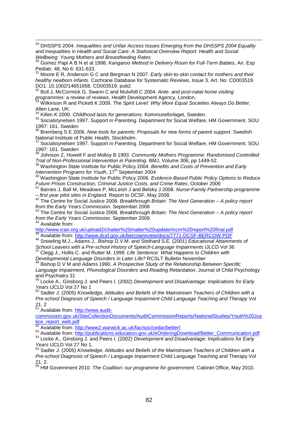29 DHSSPS 2004. *Inequalities and Unfair Access Issues Emerging from the DHSSPS 2004 Equality and Inequalities in Health and Social Care: A Statistical Overview Report: Health and Social Wellbeing: Young Mothers and Breastfeeding Rates*

<sup>30</sup> Gomez Papi A B N et al 1998. *Kangaroo Method in Delivery Room for Full-Term Babies*, An. Esp Pediatr. 48, No 6: 631-633.

<sup>31</sup> Moore E<sub>R</sub>. Anderson G C and Bergman N 2007. *Early skin-to-skin contact for mothers and their healthy newborn infants.* Cochrane Database for Systematic Reviews, Issue 3. Art. No: CD003519. DO1: 10.1002/14651858. CD003519. pub2

<sup>32</sup> Bull J, McCormick G, Swann C and Mulvihill C 2004. *Ante- and post-natal home visiting programmes: a review of reviews.* Health Development Agency, London. <sup>33</sup> Wilkinson R and Pickett K 2009. *The Spirit Level: Why More Equal Societies Always Do Better*,

Allen Lane, UK.<br><sup>34</sup> Killen K 2000. Childhood lasts for generations. Kommuneforlaget, Sweden.

<sup>34</sup> Killen K 2000. *Childhood lasts for generations.* Kommuneforlaget, Sweden. <sup>35</sup> Socialstynelsen 1997. Support in Parenting. Department for Social Welfare, HM Government. SOU 1997: 161. Sweden

<sup>36</sup> Bremberg S E 2006. *New tools for parents: Proposals for new forms of parent support.* Swedish National Institute of Public Health, Stockholm.

<sup>37</sup> Socialstynelsen 1997. Support in Parenting. Department for Social Welfare, HM Government. SOU 1997: 161. Sweden

<sup>38</sup> Johnson Z, Howell F and Molloy B 1993. *Community Mothers Programme: Randomised Controlled Trial of Non-Professional Intervention in Parenting.* BMJ, Volume 306, pp 1449-52.

<sup>39</sup> Washington State Institute for Public Policy 2004. *Benefits and Costs of Prevention and Early Intervention Programs for Youth, 17<sup>th</sup> September 2004* 

*Intervention Programs for Youth*, 17th September 2004 <sup>40</sup> Washington State Institute for Public Policy 2006. *Evidence-Based Public Policy Options to Reduce Future Prison Construction, Criminal Justice Costs, and Crime Rates*, October 2006

<sup>41</sup> Barnes J, Ball M, Meadows P, McLeish J and Belsky J 2008. *Nurse-Family Partnership programme*<br>– first vear pilot sites in England. Report to DCSF, May 2008.

<sup>42</sup> The Centre for Social Justice 2008. *Breakthrough Britain: The Next Generation – A policy report from the Early Years Commission. September 2008* 

<sup>43</sup> The Centre for Social Justice 2008. *Breakthrough Britain: The Next Generation – A policy report from the Early Years Commission.* September 2008 <sup>44</sup> Available from:

<http://www.ican.org.uk/upload2/chatter%20matter%20update/mcm%20report%20final.pdf> <sup>45</sup> Available from:<http://www.dcsf.gov.uk/bercowreview/docs/7771-DCSF-BERCOW.PDF>

<sup>46</sup> Snowling M.J., Adams J., Bishop D.V.M. and Stothard S.E. (2001) *Educational Attainments of School Leavers with a Pre-school History of Speech-Language Impairments* IJLCD Vol 36

<sup>47</sup> Clegg J., Hollis C. and Rutter M. 1999. *Life Sentence: What Happens to Children with Developmental Language Disorders in Later Life?* RCSLT Bulletin November

<sup>48</sup> Bishop D V M and Adams 1990. *A Prospective Study of the Relationship Between Specific Language Impairment, Phonological Disorders and Reading Retardation*, Journal of Child Psychology and Psychiatry 31

<sup>49</sup> Locke A., Ginsborg J. and Peers I. (2002) *Development and Disadvantage: Implications for Early Years* IJCLD Vol 27 No 1

<sup>50</sup> Sadler J. (2005) *Knowledge, Attitudes and Beliefs of the Mainstream Teachers of Children with a Pre-school Diagnosis of Speech / Language Impairment Child Language Teaching and Therapy* Vol 21, 2

51 Available from: [http://www.audit-](http://www.audit-commission.gov.uk/SiteCollectionDocuments/AuditCommissionReports/NationalStudies/Youth%20Justice_report_web.pdf)

[commission.gov.uk/SiteCollectionDocuments/AuditCommissionReports/NationalStudies/Youth%20Jus](http://www.audit-commission.gov.uk/SiteCollectionDocuments/AuditCommissionReports/NationalStudies/Youth%20Justice_report_web.pdf) [tice\\_report\\_web.pdf](http://www.audit-commission.gov.uk/SiteCollectionDocuments/AuditCommissionReports/NationalStudies/Youth%20Justice_report_web.pdf)<br>
<sup>52</sup> Available from: http://www2.warwick.ac.uk/fac/soc/cedar/better/

53 Available from: [http://publications.education.gov.uk/eOrderingDownload/Better\\_Communication.pdf](http://publications.education.gov.uk/eOrderingDownload/Better_Communication.pdf)<br>54 Locke A., Ginsborg J. and Peers I. (2002) Development and Disadvantage: Implications for Early *Years* IJCLD Vol 27 No 1.

<sup>55</sup> Sadler J. (2005) *Knowledge, Attitudes and Beliefs of the Mainstream Teachers of Children with a Pre-school Diagnosis of Speech / Language Impairment* Child Language Teaching and Therapy Vol 21, 2.

<sup>56</sup> HM Government 2010. *The Coalition: our programme for government*. Cabinet Office, May 2010.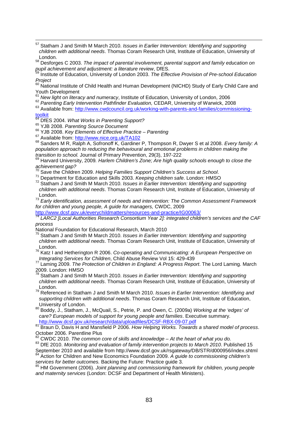57 Statham J and Smith M March 2010. *Issues in Earlier Intervention: Identifying and supporting children with additional needs*. Thomas Coram Research Unit, Institute of Education, University of London.

<sup>58</sup> Desforges C 2003. *The impact of parental involvement, parental support and family education on pupil achievement and adjustment: a literature review*, DfES.

<sup>59</sup> Institute of Education, University of London 2003. *The Effective Provision of Pre-school Education Project*

60 National Institute of Child Health and Human Development (NICHD) Study of Early Child Care and Youth Development<br><sup>61</sup> New light on literacy and numeracy, Institute of Education, University of London, 2006

<sup>62</sup> Parenting Early Intervention Pathfinder Evaluation, CEDAR, University of Warwick, 2008<br><sup>63</sup> Available from: [http://www.cwdcouncil.org.uk/working-with-parents-and-families/commissioning-](http://www.cwdcouncil.org.uk/working-with-parents-and-families/commissioning-toolkit)

[toolkit](http://www.cwdcouncil.org.uk/working-with-parents-and-families/commissioning-toolkit)<br><sup>64</sup> DfES 2004. What Works in Parenting Support?

<sup>65</sup> YJB 2008. Parenting Source Document<br><sup>66</sup> YJB 2008. Key Elements of Effective Practice – Parenting<br><sup>67</sup> Available from:<http://www.nice.org.uk/TA102><br><sup>67</sup> Sanders M R, Ralph A, Sofronoff K, Gardiner P, Thompson R, Dwyer *population approach to reducing the behavioural and emotional problems in children making the transition to school.* Journal of Primary Prevention, 29(3), 197-222

 $^{69}$  Harvard University, 2009. Harlem Children's Zone; Are high quality schools enough to close the achievement gap?<br> $^{70}$  Sove the Children 2000, the state of all the children 2000 that  $\sigma$ 

*achievement gap?* <sup>70</sup> Save the Children 2009. *Helping Families Support Children's Success at School*. <sup>71</sup> Department for Education and Skills 2003. *Keeping children safe*. London: HMSO

<sup>72</sup> Statham J and Smith M March 2010. *Issues in Earlier Intervention: Identifying and supporting children with additional needs*. Thomas Coram Research Unit, Institute of Education, University of London.

<sup>73</sup> *Early identification, assessment of needs and intervention: The Common Assessment Framework for children and young people, A guide for managers, CWDC, 2009*<br>http://www.dcsf.gov.uk/everychildmatters/resources-and-practice/IG00063/

LARC2 [Local Authorities Research Consortium Year 2]: integrated children's services and the CAF *process*

National Foundation for Educational Research, March 2010

<sup>75</sup> Statham J and Smith M March 2010. *Issues in Earlier Intervention: Identifying and supporting children with additional needs*. Thomas Coram Research Unit, Institute of Education, University of London.

<sup>76</sup> Katz I and Hetherington R 2006. *Co-operating and Communicating: A European Perspective on Integrating Services for Children*, Child Abuse Review Vol 15: 429-439 <sup>77</sup> Laming 2009. *The Protection of Children in England: A Progress Report*. The Lord Laming. March

 $\frac{1}{2}$  2009. London: HMSO

<sup>8</sup> Statham J and Smith M March 2010. *Issues in Earlier Intervention: Identifying and supporting children with additional needs*. Thomas Coram Research Unit, Institute of Education, University of London.

<sup>79</sup> Referenced in Statham J and Smith M March 2010. *Issues in Earlier Intervention: Identifying and supporting children with additional needs*. Thomas Coram Research Unit, Institute of Education,

University of London. <sup>80</sup> Boddy, J., Statham, J., McQuail, S., Petrie, P. and Owen, C. (2009a) *Working at the 'edges' of care? European models of support for young people and families. Executive summary.*<br>http://www.dcsf.gov.uk/research/data/uploadfiles/DCSF-RBX-09-07.pdf

at Hup.//www.dcsf.gov.uk/research/data/spicedines/DOSF-RBX-DOSF-PERS-RBS-RBA<br>Braun D, Davis H and Mansfield P 2006. *How Helping Works. Towards a shared model of process.* October 2006. Parentline Plus<br><sup>82</sup> CWDC 2010. The common core of skills and knowledge – At the heart of what you do.

<sup>82</sup> CWDC 2010. *The common core of skills and knowledge – At the heart of what you do.* <sup>83</sup> DfE 2010. *Monitoring and evaluation of family intervention projects to March 2010*. Published 15 September 2010 and available from http://www.dcsf.gov.uk/rsgateway/DB/STR/d000956/index.shtml

<sup>84</sup> Action for Children and New Economics Foundation 2009. *A guide to commissioning children's* 

services for better outcomes. Backing the Future: Practice guide 3.<br><sup>85</sup> HM Government (2006). *Joint planning and commissioning framework for children, young people and maternity services* (London: DCSF and Department of Health Ministers).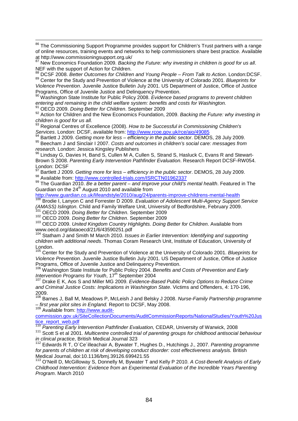<sup>86</sup> The Commissioning Support Programme provides support for Children's Trust partners with a range of online resources, training events and networks to help commissioners share best practice. Available at http://www.commissioningsupport.org.uk/

New Economics Foundation 2009. *Backing the Future: why investing in children is good for us all.* NEF with the support of Action for Children.

<sup>88</sup> DCSF 2008. *Better Outcomes for Children and Young People – From Talk to Action*. London:DCSF.

<sup>89</sup> Center for the Study and Prevention of Violence at the University of Colorado 2001. *Blueprints for Violence Prevention*. Juvenile Justice Bulletin July 2001. US Department of Justice, Office of Justice Programs, Office of Juvenile Justice and Delinquency Prevention.

<sup>90</sup> Washington State Institute for Public Policy 2008. *Evidence based programs to prevent children entering and remaining in the child welfare system: benefits and costs for Washington.*

<sup>92</sup> Action for Children and the New Economics Foundation, 2009. *Backing the Future: why investing in children is good for us all.*

<sup>93</sup> Regional Centres of Excellence (2008). *How to be Successful in Commissioning Children's* 

Services. London: DCSF, available from:<http://www.rcoe.gov.uk/rce/aio/49085><br>
<sup>94</sup> Bartlett J 2009. Getting more for less – efficiency in the public sector. DEMOS, 28 July 2009.<br>
<sup>95</sup> Beecham J and Sinclair I 2007. Costs a

<sup>96</sup> Lindsay G, Davies H, Band S, Cullen M A, Cullen S, Strand S, Hasluck C, Evans R and Stewart-Brown S 2008. *Parenting Early Intervention Pathfinder Evaluation*. Research Report DCSF-RW054.

London: DCSF<br><sup>97</sup> Bartlett J 2009. Getting more for less – efficiency in the public sector. DEMOS, 28 July 2009. <sup>97</sup> Bartlett J 2009. *Getting more for less – efficiency in the public sector*. DEMOS, 28 July 2009.<br><sup>98</sup> Available from: <u>http://www.controlled-trials.com/ISRCTN01962337</u>

<sup>99</sup> The Guardian 2010. *Be a better parent – and improve your child's mental health*. Featured in The Guardian on the  $24<sup>th</sup>$  August 2010 and available from

<http://www.guardian.co.uk/lifeandstyle/2010/aug/24/parents-improve-childrens-mental-health>

<sup>100</sup> Brodie I, Lanyon C and Forrester D 2009. *Evaluation of Adolescent Multi-Agency Support Service*  (AMASS) Islington. Child and Family Welfare Unit, University of Bedfordshire, February 2009.<br><sup>101</sup> OECD 2009. *Doing Better for Children*. September 2009<br><sup>102</sup> OECD 2009. *Doing Better for Children*. September 2009<br><sup>103</sup> O

<span id="page-83-0"></span>

<span id="page-83-1"></span>

<span id="page-83-2"></span>www.oecd.org/dataoecd/21/6/43590251.pdf

<span id="page-83-3"></span><sup>104</sup> Statham J and Smith M March 2010. *Issues in Earlier Intervention: Identifying and supporting children with additional needs*. Thomas Coram Research Unit, Institute of Education, University of London.

<span id="page-83-4"></span><sup>105</sup> Center for the Study and Prevention of Violence at the University of Colorado 2001. *Blueprints for Violence Prevention*. Juvenile Justice Bulletin July 2001. US Department of Justice, Office of Justice Programs, Office of Juvenile Justice and Delinquency Prevention.

<span id="page-83-5"></span><sup>106</sup> Washington State Institute for Public Policy 2004. *Benefits and Costs of Prevention and Early* 

<span id="page-83-6"></span><sup>107</sup> Drake E K, Aos S and Miller MG 2009. *Evidence-Based Public Policy Options to Reduce Crime and Criminal Justice Costs: Implications in Washington State*. Victims and Offenders, 4: 170-196, 2009.

<span id="page-83-7"></span><sup>108</sup> Barnes J, Ball M, Meadows P, McLeish J and Belsky J 2008. *Nurse-Family Partnership programme* 

**<sup>109</sup>** Available from: [http://www.audit-](http://www.audit-commission.gov.uk/SiteCollectionDocuments/AuditCommissionReports/NationalStudies/Youth%20Justice_report_web.pdf)

<span id="page-83-8"></span>[commission.gov.uk/SiteCollectionDocuments/AuditCommissionReports/NationalStudies/Youth%20Jus](http://www.audit-commission.gov.uk/SiteCollectionDocuments/AuditCommissionReports/NationalStudies/Youth%20Justice_report_web.pdf) [tice\\_report\\_web.pdf](http://www.audit-commission.gov.uk/SiteCollectionDocuments/AuditCommissionReports/NationalStudies/Youth%20Justice_report_web.pdf)<br>
110 Parenting Early Intervention Pathfinder Evaluation, CEDAR, University of Warwick, 2008

<span id="page-83-10"></span><span id="page-83-9"></span><sup>111</sup> Scott S et al 2001. Multicentre controlled trial of parenting groups for childhood antisocial behaviour *in clinical practice*, British Medical Journal 323

<span id="page-83-11"></span><sup>112</sup> Edwards R T, O´Ce´illeachair A, Bywater T, Hughes D., Hutchings J., 2007. *Parenting programme for parents of children at risk of developing conduct disorder: cost effectiveness analysis.* British Medical Journal, doi:10.1136/bmj.39126.699421.55<br><sup>113</sup> O'Neill D, McGilloway S, Donnelly M, Bywater T and Kelly P 2010. *A Cost-Benefit Analysis of Early* 

<span id="page-83-12"></span>*Childhood Intervention: Evidence from an Experimental Evaluation of the Incredible Years Parenting Program*. March 2010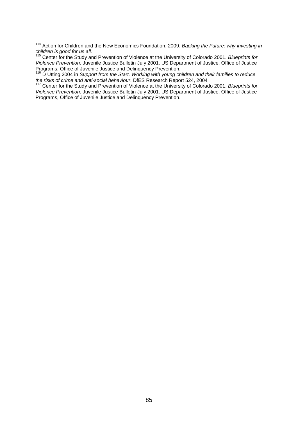<span id="page-84-0"></span><sup>114</sup> Action for Children and the New Economics Foundation, 2009. *Backing the Future: why investing in children is good for us all.* 

<span id="page-84-1"></span><sup>115</sup> Center for the Study and Prevention of Violence at the University of Colorado 2001. *Blueprints for Violence Prevention*. Juvenile Justice Bulletin July 2001. US Department of Justice, Office of Justice

<span id="page-84-2"></span><sup>116</sup> D Utting 2004 in *Support from the Start. Working with young children and their families to reduce the risks of crime and anti-social behaviour*. DfES Research Report 524, 2004 <sup>117</sup> Center for the Study and Prevention of Violence at the University of Colorado 2001. *Blueprints for* 

<span id="page-84-3"></span>*Violence Prevention*. Juvenile Justice Bulletin July 2001. US Department of Justice, Office of Justice Programs, Office of Juvenile Justice and Delinquency Prevention.